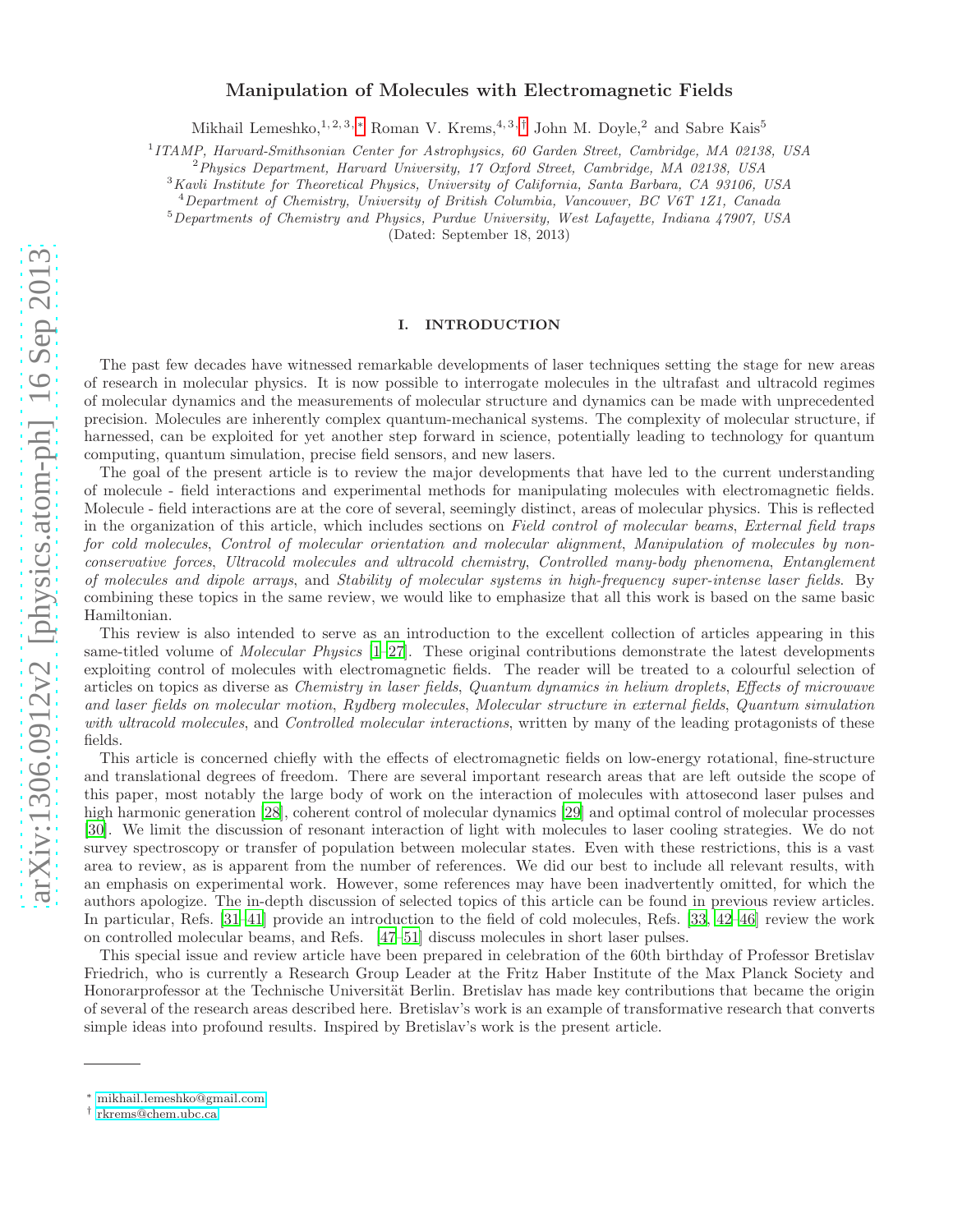# arXiv:1306.0912v2 [physics.atom-ph] 16 Sep 2013 [arXiv:1306.0912v2 \[physics.atom-ph\] 16 Sep 2013](http://arxiv.org/abs/1306.0912v2)

# Manipulation of Molecules with Electromagnetic Fields

Mikhail Lemeshko,<sup>1, 2, 3, \*</sup> Roman V. Krems,<sup>4, 3, [†](#page-0-1)</sup> John M. Doyle,<sup>2</sup> and Sabre Kais<sup>5</sup>

1 *ITAMP, Harvard-Smithsonian Center for Astrophysics, 60 Garden Street, Cambridge, MA 02138, USA*

<sup>2</sup>*Physics Department, Harvard University, 17 Oxford Street, Cambridge, MA 02138, USA*

<sup>3</sup>*Kavli Institute for Theoretical Physics, University of California, Santa Barbara, CA 93106, USA*

<sup>4</sup>*Department of Chemistry, University of British Columbia, Vancouver, BC V6T 1Z1, Canada*

<sup>5</sup>*Departments of Chemistry and Physics, Purdue University, West Lafayette, Indiana 47907, USA*

(Dated: September 18, 2013)

# I. INTRODUCTION

The past few decades have witnessed remarkable developments of laser techniques setting the stage for new areas of research in molecular physics. It is now possible to interrogate molecules in the ultrafast and ultracold regimes of molecular dynamics and the measurements of molecular structure and dynamics can be made with unprecedented precision. Molecules are inherently complex quantum-mechanical systems. The complexity of molecular structure, if harnessed, can be exploited for yet another step forward in science, potentially leading to technology for quantum computing, quantum simulation, precise field sensors, and new lasers.

The goal of the present article is to review the major developments that have led to the current understanding of molecule - field interactions and experimental methods for manipulating molecules with electromagnetic fields. Molecule - field interactions are at the core of several, seemingly distinct, areas of molecular physics. This is reflected in the organization of this article, which includes sections on Field control of molecular beams, External field traps for cold molecules, Control of molecular orientation and molecular alignment, Manipulation of molecules by nonconservative forces, Ultracold molecules and ultracold chemistry, Controlled many-body phenomena, Entanglement of molecules and dipole arrays, and Stability of molecular systems in high-frequency super-intense laser fields. By combining these topics in the same review, we would like to emphasize that all this work is based on the same basic Hamiltonian.

This review is also intended to serve as an introduction to the excellent collection of articles appearing in this same-titled volume of *Molecular Physics* [\[1](#page-22-0)[–27\]](#page-22-1). These original contributions demonstrate the latest developments exploiting control of molecules with electromagnetic fields. The reader will be treated to a colourful selection of articles on topics as diverse as Chemistry in laser fields, Quantum dynamics in helium droplets, Effects of microwave and laser fields on molecular motion, Rydberg molecules, Molecular structure in external fields, Quantum simulation with ultracold molecules, and Controlled molecular interactions, written by many of the leading protagonists of these fields.

This article is concerned chiefly with the effects of electromagnetic fields on low-energy rotational, fine-structure and translational degrees of freedom. There are several important research areas that are left outside the scope of this paper, most notably the large body of work on the interaction of molecules with attosecond laser pulses and high harmonic generation [\[28\]](#page-22-2), coherent control of molecular dynamics [\[29](#page-22-3)] and optimal control of molecular processes [\[30\]](#page-22-4). We limit the discussion of resonant interaction of light with molecules to laser cooling strategies. We do not survey spectroscopy or transfer of population between molecular states. Even with these restrictions, this is a vast area to review, as is apparent from the number of references. We did our best to include all relevant results, with an emphasis on experimental work. However, some references may have been inadvertently omitted, for which the authors apologize. The in-depth discussion of selected topics of this article can be found in previous review articles. In particular, Refs. [\[31](#page-22-5)[–41\]](#page-23-0) provide an introduction to the field of cold molecules, Refs. [\[33,](#page-22-6) [42](#page-23-1)[–46\]](#page-23-2) review the work on controlled molecular beams, and Refs. [\[47](#page-23-3)[–51\]](#page-23-4) discuss molecules in short laser pulses.

This special issue and review article have been prepared in celebration of the 60th birthday of Professor Bretislav Friedrich, who is currently a Research Group Leader at the Fritz Haber Institute of the Max Planck Society and Honorarprofessor at the Technische Universität Berlin. Bretislav has made key contributions that became the origin of several of the research areas described here. Bretislav's work is an example of transformative research that converts simple ideas into profound results. Inspired by Bretislav's work is the present article.

<span id="page-0-0"></span><sup>∗</sup> [mikhail.lemeshko@gmail.com](mailto:mikhail.lemeshko@gmail.com)

<span id="page-0-1"></span><sup>†</sup> [rkrems@chem.ubc.ca](mailto:rkrems@chem.ubc.ca)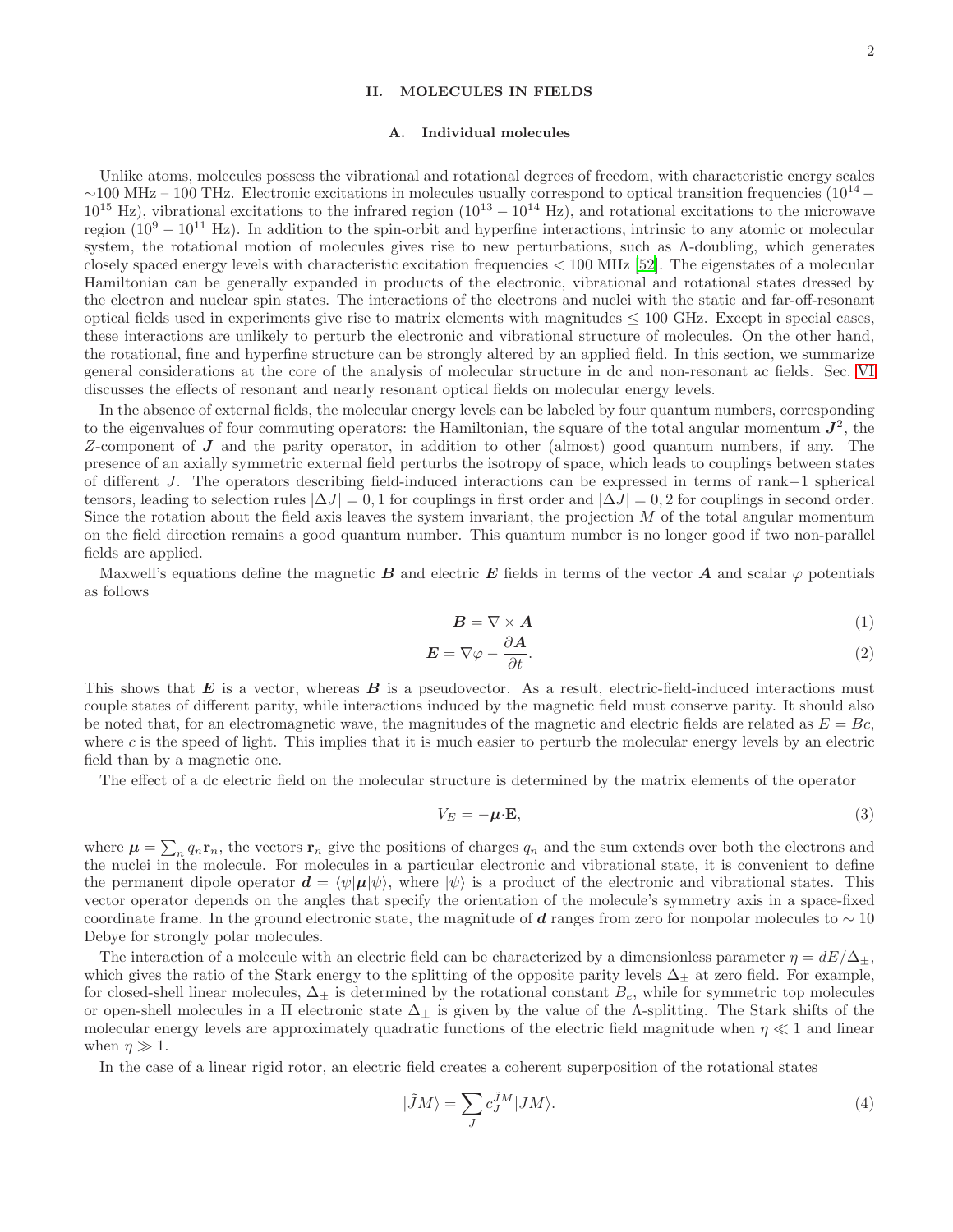# II. MOLECULES IN FIELDS

### A. Individual molecules

Unlike atoms, molecules possess the vibrational and rotational degrees of freedom, with characteristic energy scales  $\sim$ 100 MHz – 100 THz. Electronic excitations in molecules usually correspond to optical transition frequencies (10<sup>14</sup> –  $10^{15}$  Hz), vibrational excitations to the infrared region  $(10^{13} - 10^{14}$  Hz), and rotational excitations to the microwave region  $(10^9 - 10^{11}$  Hz). In addition to the spin-orbit and hyperfine interactions, intrinsic to any atomic or molecular system, the rotational motion of molecules gives rise to new perturbations, such as Λ-doubling, which generates closely spaced energy levels with characteristic excitation frequencies < 100 MHz [\[52\]](#page-23-5). The eigenstates of a molecular Hamiltonian can be generally expanded in products of the electronic, vibrational and rotational states dressed by the electron and nuclear spin states. The interactions of the electrons and nuclei with the static and far-off-resonant optical fields used in experiments give rise to matrix elements with magnitudes ≤ 100 GHz. Except in special cases, these interactions are unlikely to perturb the electronic and vibrational structure of molecules. On the other hand, the rotational, fine and hyperfine structure can be strongly altered by an applied field. In this section, we summarize general considerations at the core of the analysis of molecular structure in dc and non-resonant ac fields. Sec. [VI](#page-13-0) discusses the effects of resonant and nearly resonant optical fields on molecular energy levels.

In the absence of external fields, the molecular energy levels can be labeled by four quantum numbers, corresponding to the eigenvalues of four commuting operators: the Hamiltonian, the square of the total angular momentum  $J^2$ , the Z-component of  $J$  and the parity operator, in addition to other (almost) good quantum numbers, if any. The presence of an axially symmetric external field perturbs the isotropy of space, which leads to couplings between states of different J. The operators describing field-induced interactions can be expressed in terms of rank−1 spherical tensors, leading to selection rules  $|\Delta J| = 0$ , 1 for couplings in first order and  $|\Delta J| = 0$ , 2 for couplings in second order. Since the rotation about the field axis leaves the system invariant, the projection  $M$  of the total angular momentum on the field direction remains a good quantum number. This quantum number is no longer good if two non-parallel fields are applied.

Maxwell's equations define the magnetic **B** and electric **E** fields in terms of the vector **A** and scalar  $\varphi$  potentials as follows

$$
B = \nabla \times A \tag{1}
$$

$$
E = \nabla \varphi - \frac{\partial A}{\partial t}.
$$
\n<sup>(2)</sup>

This shows that  $E$  is a vector, whereas  $B$  is a pseudovector. As a result, electric-field-induced interactions must couple states of different parity, while interactions induced by the magnetic field must conserve parity. It should also be noted that, for an electromagnetic wave, the magnitudes of the magnetic and electric fields are related as  $E = Bc$ , where c is the speed of light. This implies that it is much easier to perturb the molecular energy levels by an electric field than by a magnetic one.

The effect of a dc electric field on the molecular structure is determined by the matrix elements of the operator

$$
V_E = -\mu \cdot \mathbf{E},\tag{3}
$$

where  $\mu = \sum_n q_n \mathbf{r}_n$ , the vectors  $\mathbf{r}_n$  give the positions of charges  $q_n$  and the sum extends over both the electrons and the nuclei in the molecule. For molecules in a particular electronic and vibrational state, it is convenient to define the permanent dipole operator  $\mathbf{d} = \langle \psi | \mathbf{\mu} | \psi \rangle$ , where  $|\psi \rangle$  is a product of the electronic and vibrational states. This vector operator depends on the angles that specify the orientation of the molecule's symmetry axis in a space-fixed coordinate frame. In the ground electronic state, the magnitude of d ranges from zero for nonpolar molecules to  $\sim 10$ Debye for strongly polar molecules.

The interaction of a molecule with an electric field can be characterized by a dimensionless parameter  $\eta = dE/\Delta_{\pm}$ , which gives the ratio of the Stark energy to the splitting of the opposite parity levels  $\Delta_{\pm}$  at zero field. For example, for closed-shell linear molecules,  $\Delta_{\pm}$  is determined by the rotational constant  $B_e$ , while for symmetric top molecules or open-shell molecules in a  $\Pi$  electronic state  $\Delta_{\pm}$  is given by the value of the  $\Lambda$ -splitting. The Stark shifts of the molecular energy levels are approximately quadratic functions of the electric field magnitude when  $\eta \ll 1$  and linear when  $\eta \gg 1$ .

In the case of a linear rigid rotor, an electric field creates a coherent superposition of the rotational states

<span id="page-1-0"></span>
$$
|\tilde{J}M\rangle = \sum_{J} c_{J}^{\tilde{J}M} |JM\rangle. \tag{4}
$$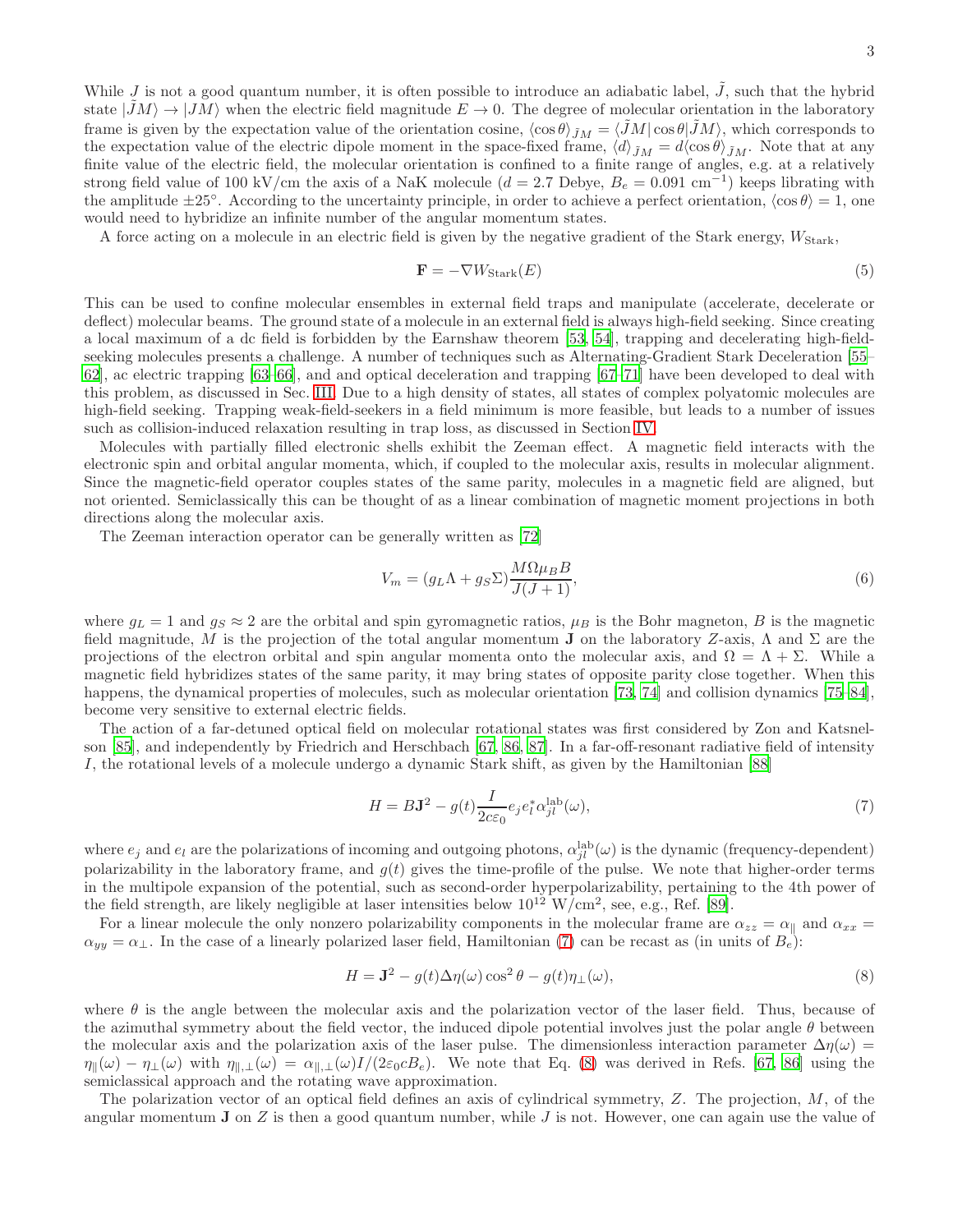While  $J$  is not a good quantum number, it is often possible to introduce an adiabatic label,  $J$ , such that the hybrid state  $|JM\rangle \rightarrow |JM\rangle$  when the electric field magnitude  $E \rightarrow 0$ . The degree of molecular orientation in the laboratory frame is given by the expectation value of the orientation cosine,  $\langle \cos \theta \rangle_{\tilde{J}M} = \langle \tilde{J}M | \cos \theta | \tilde{J}M \rangle$ , which corresponds to the expectation value of the electric dipole moment in the space-fixed frame,  $\langle d \rangle_{\tilde{J}M} = d\langle \cos \theta \rangle_{\tilde{J}M}$ . Note that at any finite value of the electric field, the molecular orientation is confined to a finite range of angles, e.g. at a relatively strong field value of 100 kV/cm the axis of a NaK molecule  $(d = 2.7 \text{ Debye}, B_e = 0.091 \text{ cm}^{-1})$  keeps librating with the amplitude  $\pm 25^\circ$ . According to the uncertainty principle, in order to achieve a perfect orientation,  $\langle \cos \theta \rangle = 1$ , one would need to hybridize an infinite number of the angular momentum states.

A force acting on a molecule in an electric field is given by the negative gradient of the Stark energy,  $W_{Stark}$ ,

$$
\mathbf{F} = -\nabla W_{\text{Stark}}(E) \tag{5}
$$

This can be used to confine molecular ensembles in external field traps and manipulate (accelerate, decelerate or deflect) molecular beams. The ground state of a molecule in an external field is always high-field seeking. Since creating a local maximum of a dc field is forbidden by the Earnshaw theorem [\[53,](#page-23-6) [54\]](#page-23-7), trapping and decelerating high-fieldseeking molecules presents a challenge. A number of techniques such as Alternating-Gradient Stark Deceleration [\[55](#page-23-8)– [62\]](#page-23-9), ac electric trapping [\[63](#page-23-10)[–66\]](#page-23-11), and and optical deceleration and trapping [\[67](#page-23-12)[–71\]](#page-23-13) have been developed to deal with this problem, as discussed in Sec. [III.](#page-4-0) Due to a high density of states, all states of complex polyatomic molecules are high-field seeking. Trapping weak-field-seekers in a field minimum is more feasible, but leads to a number of issues such as collision-induced relaxation resulting in trap loss, as discussed in Section [IV.](#page-6-0)

Molecules with partially filled electronic shells exhibit the Zeeman effect. A magnetic field interacts with the electronic spin and orbital angular momenta, which, if coupled to the molecular axis, results in molecular alignment. Since the magnetic-field operator couples states of the same parity, molecules in a magnetic field are aligned, but not oriented. Semiclassically this can be thought of as a linear combination of magnetic moment projections in both directions along the molecular axis.

The Zeeman interaction operator can be generally written as [\[72\]](#page-23-14)

$$
V_m = (g_L \Lambda + g_S \Sigma) \frac{M \Omega \mu_B B}{J(J+1)},\tag{6}
$$

where  $g_L = 1$  and  $g_S \approx 2$  are the orbital and spin gyromagnetic ratios,  $\mu_B$  is the Bohr magneton, B is the magnetic field magnitude, M is the projection of the total angular momentum **J** on the laboratory Z-axis,  $\Lambda$  and  $\Sigma$  are the projections of the electron orbital and spin angular momenta onto the molecular axis, and  $\Omega = \Lambda + \Sigma$ . While a magnetic field hybridizes states of the same parity, it may bring states of opposite parity close together. When this happens, the dynamical properties of molecules, such as molecular orientation [\[73,](#page-23-15) [74\]](#page-23-16) and collision dynamics [\[75](#page-23-17)[–84\]](#page-23-18), become very sensitive to external electric fields.

The action of a far-detuned optical field on molecular rotational states was first considered by Zon and Katsnelson [\[85\]](#page-23-19), and independently by Friedrich and Herschbach [\[67,](#page-23-12) [86,](#page-23-20) [87\]](#page-23-21). In a far-off-resonant radiative field of intensity I, the rotational levels of a molecule undergo a dynamic Stark shift, as given by the Hamiltonian [\[88\]](#page-23-22)

<span id="page-2-0"></span>
$$
H = B\mathbf{J}^2 - g(t)\frac{I}{2c\varepsilon_0}e_j e_l^* \alpha_{jl}^{\text{lab}}(\omega),\tag{7}
$$

where  $e_j$  and  $e_l$  are the polarizations of incoming and outgoing photons,  $\alpha_{jl}^{\text{lab}}(\omega)$  is the dynamic (frequency-dependent) polarizability in the laboratory frame, and  $g(t)$  gives the time-profile of the pulse. We note that higher-order terms in the multipole expansion of the potential, such as second-order hyperpolarizability, pertaining to the 4th power of the field strength, are likely negligible at laser intensities below  $10^{12}$  W/cm<sup>2</sup>, see, e.g., Ref. [\[89\]](#page-23-23).

For a linear molecule the only nonzero polarizability components in the molecular frame are  $\alpha_{zz} = \alpha_{\parallel}$  and  $\alpha_{xx} =$  $\alpha_{yy} = \alpha_{\perp}$ . In the case of a linearly polarized laser field, Hamiltonian [\(7\)](#page-2-0) can be recast as (in units of  $B_e$ ):

<span id="page-2-1"></span>
$$
H = \mathbf{J}^2 - g(t)\Delta\eta(\omega)\cos^2\theta - g(t)\eta_{\perp}(\omega),\tag{8}
$$

where  $\theta$  is the angle between the molecular axis and the polarization vector of the laser field. Thus, because of the azimuthal symmetry about the field vector, the induced dipole potential involves just the polar angle  $\theta$  between the molecular axis and the polarization axis of the laser pulse. The dimensionless interaction parameter  $\Delta \eta(\omega)$  =  $\eta_{\parallel}(\omega) - \eta_{\perp}(\omega)$  with  $\eta_{\parallel,\perp}(\omega) = \alpha_{\parallel,\perp}(\omega)I/(2\varepsilon_0 cB_e)$ . We note that Eq. [\(8\)](#page-2-1) was derived in Refs. [\[67,](#page-23-12) [86\]](#page-23-20) using the semiclassical approach and the rotating wave approximation.

The polarization vector of an optical field defines an axis of cylindrical symmetry,  $Z$ . The projection,  $M$ , of the angular momentum  $J$  on  $Z$  is then a good quantum number, while  $J$  is not. However, one can again use the value of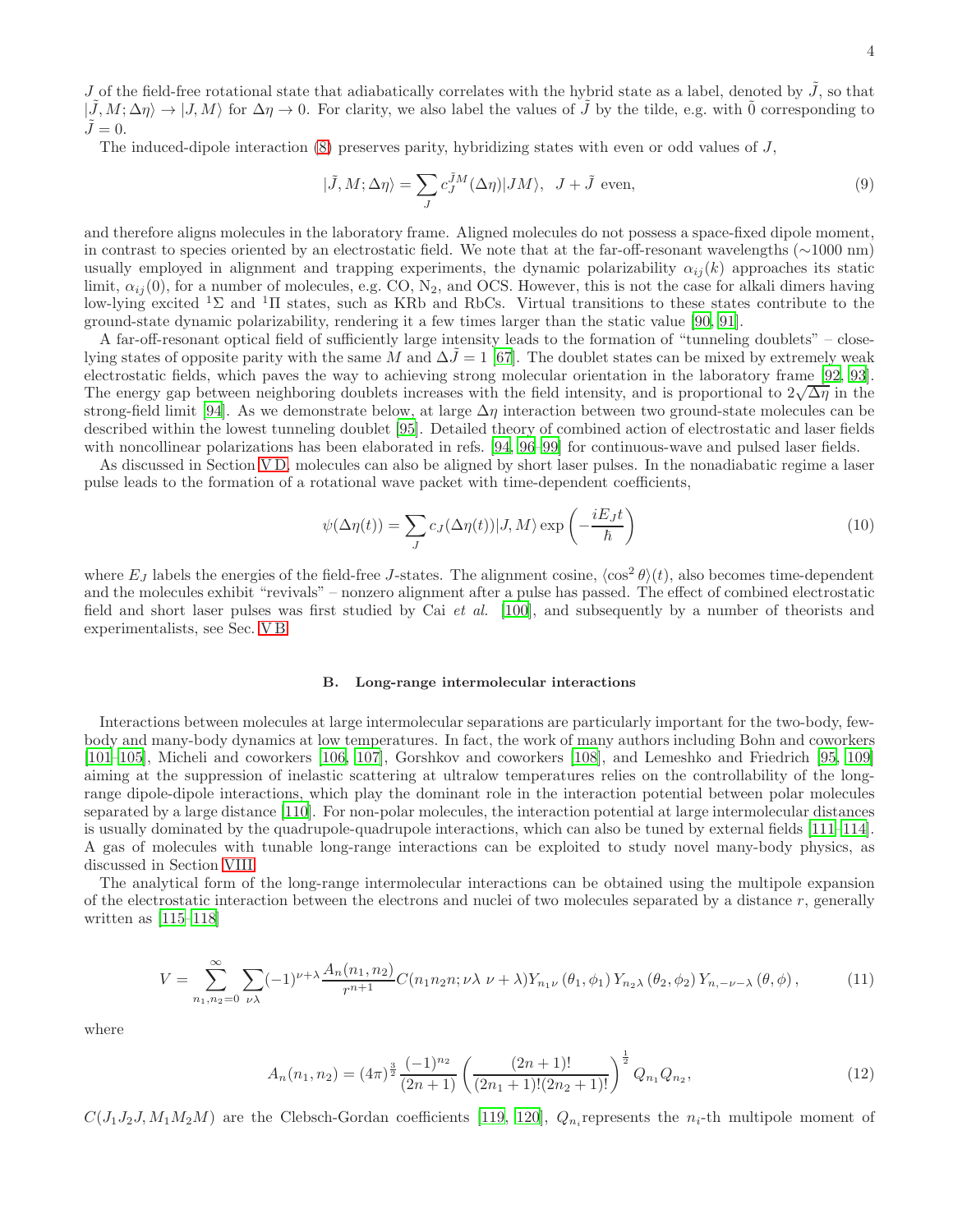J of the field-free rotational state that adiabatically correlates with the hybrid state as a label, denoted by  $\tilde{J}$ , so that  $|\tilde{J}, M; \Delta \eta \rangle \rightarrow |J, M\rangle$  for  $\Delta \eta \rightarrow 0$ . For clarity, we also label the values of  $\tilde{J}$  by the tilde, e.g. with  $\tilde{0}$  corresponding to  $\tilde{J}=0.$ 

The induced-dipole interaction [\(8\)](#page-2-1) preserves parity, hybridizing states with even or odd values of J,

$$
|\tilde{J}, M; \Delta \eta \rangle = \sum_{J} c_{J}^{\tilde{J}M} (\Delta \eta) | J M \rangle, \ \ J + \tilde{J} \text{ even}, \tag{9}
$$

and therefore aligns molecules in the laboratory frame. Aligned molecules do not possess a space-fixed dipole moment, in contrast to species oriented by an electrostatic field. We note that at the far-off-resonant wavelengths (∼1000 nm) usually employed in alignment and trapping experiments, the dynamic polarizability  $\alpha_{ij}(k)$  approaches its static limit,  $\alpha_{ij}(0)$ , for a number of molecules, e.g. CO, N<sub>2</sub>, and OCS. However, this is not the case for alkali dimers having low-lying excited  ${}^{1}\Sigma$  and  ${}^{1}\Pi$  states, such as KRb and RbCs. Virtual transitions to these states contribute to the ground-state dynamic polarizability, rendering it a few times larger than the static value [\[90,](#page-23-24) [91\]](#page-23-25).

A far-off-resonant optical field of sufficiently large intensity leads to the formation of "tunneling doublets" – closelying states of opposite parity with the same M and  $\Delta J = 1$  [\[67\]](#page-23-12). The doublet states can be mixed by extremely weak electrostatic fields, which paves the way to achieving strong molecular orientation in the laboratory frame [\[92,](#page-23-26) [93\]](#page-23-27). The energy gap between neighboring doublets increases with the field intensity, and is proportional to  $2\sqrt{\Delta\eta}$  in the strong-field limit [\[94\]](#page-23-28). As we demonstrate below, at large  $\Delta \eta$  interaction between two ground-state molecules can be described within the lowest tunneling doublet [\[95\]](#page-23-29). Detailed theory of combined action of electrostatic and laser fields with noncollinear polarizations has been elaborated in refs. [\[94,](#page-23-28) [96](#page-23-30)[–99\]](#page-24-0) for continuous-wave and pulsed laser fields.

As discussed in Section [V D,](#page-11-0) molecules can also be aligned by short laser pulses. In the nonadiabatic regime a laser pulse leads to the formation of a rotational wave packet with time-dependent coefficients,

$$
\psi(\Delta \eta(t)) = \sum_{J} c_{J}(\Delta \eta(t)) | J, M \rangle \exp\left(-\frac{iE_{J}t}{\hbar}\right)
$$
\n(10)

where  $E_J$  labels the energies of the field-free J-states. The alignment cosine,  $\langle \cos^2 \theta \rangle(t)$ , also becomes time-dependent and the molecules exhibit "revivals" – nonzero alignment after a pulse has passed. The effect of combined electrostatic field and short laser pulses was first studied by Cai et al. [\[100\]](#page-24-1), and subsequently by a number of theorists and experimentalists, see Sec. [V B.](#page-9-0)

# B. Long-range intermolecular interactions

Interactions between molecules at large intermolecular separations are particularly important for the two-body, fewbody and many-body dynamics at low temperatures. In fact, the work of many authors including Bohn and coworkers [\[101](#page-24-2)[–105\]](#page-24-3), Micheli and coworkers [\[106,](#page-24-4) [107\]](#page-24-5), Gorshkov and coworkers [\[108\]](#page-24-6), and Lemeshko and Friedrich [\[95](#page-23-29), [109\]](#page-24-7) aiming at the suppression of inelastic scattering at ultralow temperatures relies on the controllability of the longrange dipole-dipole interactions, which play the dominant role in the interaction potential between polar molecules separated by a large distance [\[110\]](#page-24-8). For non-polar molecules, the interaction potential at large intermolecular distances is usually dominated by the quadrupole-quadrupole interactions, which can also be tuned by external fields [\[111](#page-24-9)[–114\]](#page-24-10). A gas of molecules with tunable long-range interactions can be exploited to study novel many-body physics, as discussed in Section [VIII.](#page-17-0)

The analytical form of the long-range intermolecular interactions can be obtained using the multipole expansion of the electrostatic interaction between the electrons and nuclei of two molecules separated by a distance  $r$ , generally written as [\[115](#page-24-11)[–118\]](#page-24-12)

<span id="page-3-0"></span>
$$
V = \sum_{n_1, n_2 = 0}^{\infty} \sum_{\nu \lambda} (-1)^{\nu + \lambda} \frac{A_n(n_1, n_2)}{r^{n+1}} C(n_1 n_2 n; \nu \lambda \nu + \lambda) Y_{n_1 \nu} (\theta_1, \phi_1) Y_{n_2 \lambda} (\theta_2, \phi_2) Y_{n, -\nu - \lambda} (\theta, \phi), \tag{11}
$$

where

$$
A_n(n_1, n_2) = (4\pi)^{\frac{3}{2}} \frac{(-1)^{n_2}}{(2n+1)} \left( \frac{(2n+1)!}{(2n_1+1)!(2n_2+1)!} \right)^{\frac{1}{2}} Q_{n_1} Q_{n_2}, \tag{12}
$$

 $C(J_1J_2J, M_1M_2M)$  are the Clebsch-Gordan coefficients [\[119](#page-24-13), [120\]](#page-24-14),  $Q_{n_i}$  represents the  $n_i$ -th multipole moment of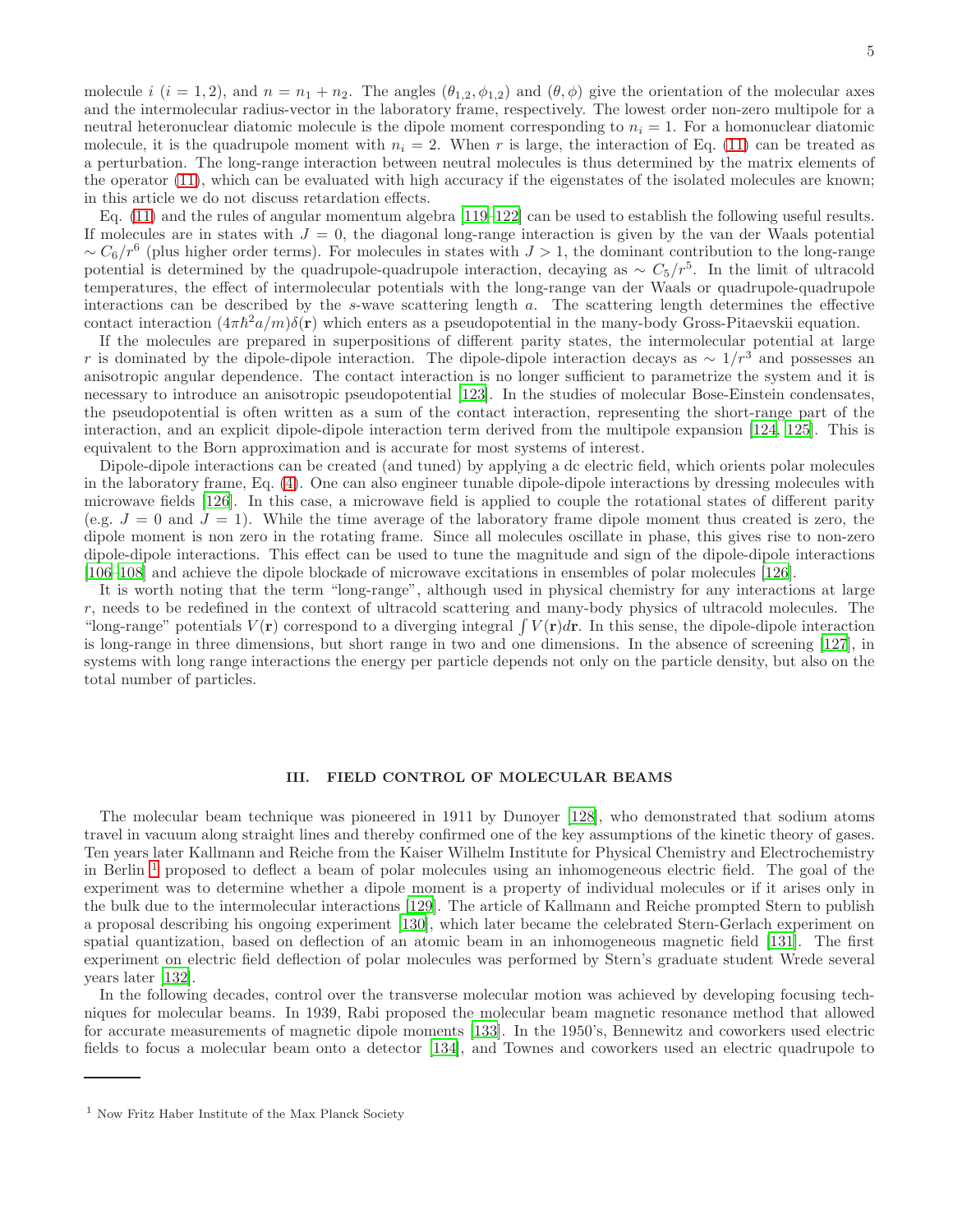5

molecule  $i$   $(i = 1, 2)$ , and  $n = n_1 + n_2$ . The angles  $(\theta_{1,2}, \phi_{1,2})$  and  $(\theta, \phi)$  give the orientation of the molecular axes and the intermolecular radius-vector in the laboratory frame, respectively. The lowest order non-zero multipole for a neutral heteronuclear diatomic molecule is the dipole moment corresponding to  $n<sub>i</sub> = 1$ . For a homonuclear diatomic molecule, it is the quadrupole moment with  $n<sub>i</sub> = 2$ . When r is large, the interaction of Eq. [\(11\)](#page-3-0) can be treated as a perturbation. The long-range interaction between neutral molecules is thus determined by the matrix elements of the operator [\(11\)](#page-3-0), which can be evaluated with high accuracy if the eigenstates of the isolated molecules are known; in this article we do not discuss retardation effects.

Eq. [\(11\)](#page-3-0) and the rules of angular momentum algebra [\[119](#page-24-13)[–122](#page-24-15)] can be used to establish the following useful results. If molecules are in states with  $J = 0$ , the diagonal long-range interaction is given by the van der Waals potential  $\sim C_6/r^6$  (plus higher order terms). For molecules in states with  $J > 1$ , the dominant contribution to the long-range potential is determined by the quadrupole-quadrupole interaction, decaying as  $\sim C_5/r^5$ . In the limit of ultracold temperatures, the effect of intermolecular potentials with the long-range van der Waals or quadrupole-quadrupole interactions can be described by the s-wave scattering length a. The scattering length determines the effective contact interaction  $(4\pi\hbar^2 a/m)\delta(\mathbf{r})$  which enters as a pseudopotential in the many-body Gross-Pitaevskii equation.

If the molecules are prepared in superpositions of different parity states, the intermolecular potential at large r is dominated by the dipole-dipole interaction. The dipole-dipole interaction decays as  $\sim 1/r^3$  and possesses an anisotropic angular dependence. The contact interaction is no longer sufficient to parametrize the system and it is necessary to introduce an anisotropic pseudopotential [\[123\]](#page-24-16). In the studies of molecular Bose-Einstein condensates, the pseudopotential is often written as a sum of the contact interaction, representing the short-range part of the interaction, and an explicit dipole-dipole interaction term derived from the multipole expansion [\[124,](#page-24-17) [125\]](#page-24-18). This is equivalent to the Born approximation and is accurate for most systems of interest.

Dipole-dipole interactions can be created (and tuned) by applying a dc electric field, which orients polar molecules in the laboratory frame, Eq. [\(4\)](#page-1-0). One can also engineer tunable dipole-dipole interactions by dressing molecules with microwave fields [\[126](#page-24-19)]. In this case, a microwave field is applied to couple the rotational states of different parity (e.g.  $J = 0$  and  $J = 1$ ). While the time average of the laboratory frame dipole moment thus created is zero, the dipole moment is non zero in the rotating frame. Since all molecules oscillate in phase, this gives rise to non-zero dipole-dipole interactions. This effect can be used to tune the magnitude and sign of the dipole-dipole interactions [\[106](#page-24-4)[–108\]](#page-24-6) and achieve the dipole blockade of microwave excitations in ensembles of polar molecules [\[126\]](#page-24-19).

It is worth noting that the term "long-range", although used in physical chemistry for any interactions at large  $r$ , needs to be redefined in the context of ultracold scattering and many-body physics of ultracold molecules. The "long-range" potentials  $V(\mathbf{r})$  correspond to a diverging integral  $\int V(\mathbf{r})d\mathbf{r}$ . In this sense, the dipole-dipole interaction is long-range in three dimensions, but short range in two and one dimensions. In the absence of screening [\[127\]](#page-24-20), in systems with long range interactions the energy per particle depends not only on the particle density, but also on the total number of particles.

# <span id="page-4-0"></span>III. FIELD CONTROL OF MOLECULAR BEAMS

The molecular beam technique was pioneered in 1911 by Dunoyer [\[128\]](#page-24-21), who demonstrated that sodium atoms travel in vacuum along straight lines and thereby confirmed one of the key assumptions of the kinetic theory of gases. Ten years later Kallmann and Reiche from the Kaiser Wilhelm Institute for Physical Chemistry and Electrochemistry in Berlin<sup>[1](#page-4-1)</sup> proposed to deflect a beam of polar molecules using an inhomogeneous electric field. The goal of the experiment was to determine whether a dipole moment is a property of individual molecules or if it arises only in the bulk due to the intermolecular interactions [\[129](#page-24-22)]. The article of Kallmann and Reiche prompted Stern to publish a proposal describing his ongoing experiment [\[130](#page-24-23)], which later became the celebrated Stern-Gerlach experiment on spatial quantization, based on deflection of an atomic beam in an inhomogeneous magnetic field [\[131\]](#page-24-24). The first experiment on electric field deflection of polar molecules was performed by Stern's graduate student Wrede several years later [\[132\]](#page-24-25).

In the following decades, control over the transverse molecular motion was achieved by developing focusing techniques for molecular beams. In 1939, Rabi proposed the molecular beam magnetic resonance method that allowed for accurate measurements of magnetic dipole moments [\[133\]](#page-24-26). In the 1950's, Bennewitz and coworkers used electric fields to focus a molecular beam onto a detector [\[134](#page-24-27)], and Townes and coworkers used an electric quadrupole to

<span id="page-4-1"></span><sup>1</sup> Now Fritz Haber Institute of the Max Planck Society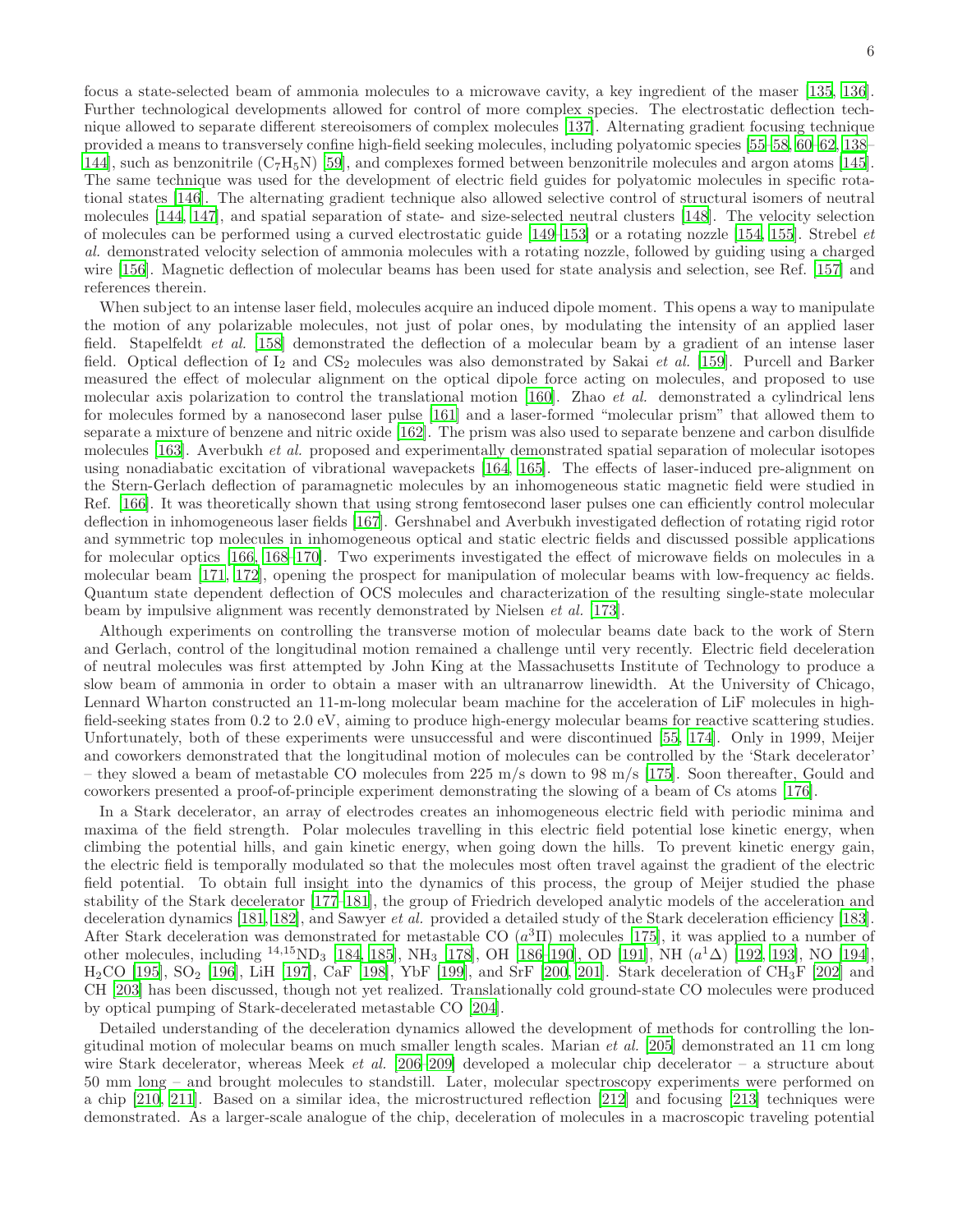focus a state-selected beam of ammonia molecules to a microwave cavity, a key ingredient of the maser [\[135,](#page-24-28) [136\]](#page-24-29). Further technological developments allowed for control of more complex species. The electrostatic deflection technique allowed to separate different stereoisomers of complex molecules [\[137\]](#page-24-30). Alternating gradient focusing technique provided a means to transversely confine high-field seeking molecules, including polyatomic species [\[55](#page-23-8)[–58,](#page-23-31) [60](#page-23-32)[–62,](#page-23-9) [138](#page-24-31)– [144\]](#page-24-32), such as benzonitrile  $(C_7H_5N)$  [\[59\]](#page-23-33), and complexes formed between benzonitrile molecules and argon atoms [\[145\]](#page-24-33). The same technique was used for the development of electric field guides for polyatomic molecules in specific rotational states [\[146\]](#page-24-34). The alternating gradient technique also allowed selective control of structural isomers of neutral molecules [\[144](#page-24-32), [147\]](#page-24-35), and spatial separation of state- and size-selected neutral clusters [\[148](#page-24-36)]. The velocity selection of molecules can be performed using a curved electrostatic guide [\[149](#page-24-37)[–153\]](#page-24-38) or a rotating nozzle [\[154,](#page-24-39) [155](#page-24-40)]. Strebel et al. demonstrated velocity selection of ammonia molecules with a rotating nozzle, followed by guiding using a charged wire [\[156\]](#page-24-41). Magnetic deflection of molecular beams has been used for state analysis and selection, see Ref. [\[157\]](#page-25-0) and references therein.

When subject to an intense laser field, molecules acquire an induced dipole moment. This opens a way to manipulate the motion of any polarizable molecules, not just of polar ones, by modulating the intensity of an applied laser field. Stapelfeldt et al. [\[158\]](#page-25-1) demonstrated the deflection of a molecular beam by a gradient of an intense laser field. Optical deflection of  $I_2$  and  $CS_2$  molecules was also demonstrated by Sakai *et al.* [\[159\]](#page-25-2). Purcell and Barker measured the effect of molecular alignment on the optical dipole force acting on molecules, and proposed to use molecular axis polarization to control the translational motion [\[160\]](#page-25-3). Zhao *et al.* demonstrated a cylindrical lens for molecules formed by a nanosecond laser pulse [\[161](#page-25-4)] and a laser-formed "molecular prism" that allowed them to separate a mixture of benzene and nitric oxide [\[162](#page-25-5)]. The prism was also used to separate benzene and carbon disulfide molecules [\[163\]](#page-25-6). Averbukh et al. proposed and experimentally demonstrated spatial separation of molecular isotopes using nonadiabatic excitation of vibrational wavepackets [\[164,](#page-25-7) [165\]](#page-25-8). The effects of laser-induced pre-alignment on the Stern-Gerlach deflection of paramagnetic molecules by an inhomogeneous static magnetic field were studied in Ref. [\[166\]](#page-25-9). It was theoretically shown that using strong femtosecond laser pulses one can efficiently control molecular deflection in inhomogeneous laser fields [\[167\]](#page-25-10). Gershnabel and Averbukh investigated deflection of rotating rigid rotor and symmetric top molecules in inhomogeneous optical and static electric fields and discussed possible applications for molecular optics [\[166](#page-25-9), [168](#page-25-11)[–170\]](#page-25-12). Two experiments investigated the effect of microwave fields on molecules in a molecular beam [\[171,](#page-25-13) [172](#page-25-14)], opening the prospect for manipulation of molecular beams with low-frequency ac fields. Quantum state dependent deflection of OCS molecules and characterization of the resulting single-state molecular beam by impulsive alignment was recently demonstrated by Nielsen et al. [\[173](#page-25-15)].

Although experiments on controlling the transverse motion of molecular beams date back to the work of Stern and Gerlach, control of the longitudinal motion remained a challenge until very recently. Electric field deceleration of neutral molecules was first attempted by John King at the Massachusetts Institute of Technology to produce a slow beam of ammonia in order to obtain a maser with an ultranarrow linewidth. At the University of Chicago, Lennard Wharton constructed an 11-m-long molecular beam machine for the acceleration of LiF molecules in highfield-seeking states from 0.2 to 2.0 eV, aiming to produce high-energy molecular beams for reactive scattering studies. Unfortunately, both of these experiments were unsuccessful and were discontinued [\[55,](#page-23-8) [174\]](#page-25-16). Only in 1999, Meijer and coworkers demonstrated that the longitudinal motion of molecules can be controlled by the 'Stark decelerator' – they slowed a beam of metastable CO molecules from 225 m/s down to 98 m/s [\[175\]](#page-25-17). Soon thereafter, Gould and coworkers presented a proof-of-principle experiment demonstrating the slowing of a beam of Cs atoms [\[176](#page-25-18)].

In a Stark decelerator, an array of electrodes creates an inhomogeneous electric field with periodic minima and maxima of the field strength. Polar molecules travelling in this electric field potential lose kinetic energy, when climbing the potential hills, and gain kinetic energy, when going down the hills. To prevent kinetic energy gain, the electric field is temporally modulated so that the molecules most often travel against the gradient of the electric field potential. To obtain full insight into the dynamics of this process, the group of Meijer studied the phase stability of the Stark decelerator [\[177](#page-25-19)[–181\]](#page-25-20), the group of Friedrich developed analytic models of the acceleration and deceleration dynamics [\[181,](#page-25-20) [182](#page-25-21)], and Sawyer et al. provided a detailed study of the Stark deceleration efficiency [\[183\]](#page-25-22). After Stark deceleration was demonstrated for metastable CO  $(a^{3} \Pi)$  molecules [\[175](#page-25-17)], it was applied to a number of other molecules, including  $^{14,15}ND_3$  [\[184,](#page-25-23) [185\]](#page-25-24), NH<sub>3</sub> [\[178\]](#page-25-25), OH [\[186](#page-25-26)[–190\]](#page-25-27), OD [\[191\]](#page-25-28), NH  $(a^1\Delta)$  [\[192,](#page-25-29) [193\]](#page-25-30), NO [\[194\]](#page-25-31), H2CO [\[195](#page-25-32)], SO<sup>2</sup> [\[196\]](#page-25-33), LiH [\[197](#page-25-34)], CaF [\[198\]](#page-25-35), YbF [\[199](#page-25-36)], and SrF [\[200,](#page-25-37) [201](#page-25-38)]. Stark deceleration of CH3F [\[202\]](#page-25-39) and CH [\[203\]](#page-25-40) has been discussed, though not yet realized. Translationally cold ground-state CO molecules were produced by optical pumping of Stark-decelerated metastable CO [\[204\]](#page-25-41).

Detailed understanding of the deceleration dynamics allowed the development of methods for controlling the longitudinal motion of molecular beams on much smaller length scales. Marian *et al.* [\[205\]](#page-25-42) demonstrated an 11 cm long wire Stark decelerator, whereas Meek *et al.* [\[206](#page-25-43)[–209\]](#page-26-0) developed a molecular chip decelerator – a structure about 50 mm long – and brought molecules to standstill. Later, molecular spectroscopy experiments were performed on a chip [\[210,](#page-26-1) [211\]](#page-26-2). Based on a similar idea, the microstructured reflection [\[212\]](#page-26-3) and focusing [\[213\]](#page-26-4) techniques were demonstrated. As a larger-scale analogue of the chip, deceleration of molecules in a macroscopic traveling potential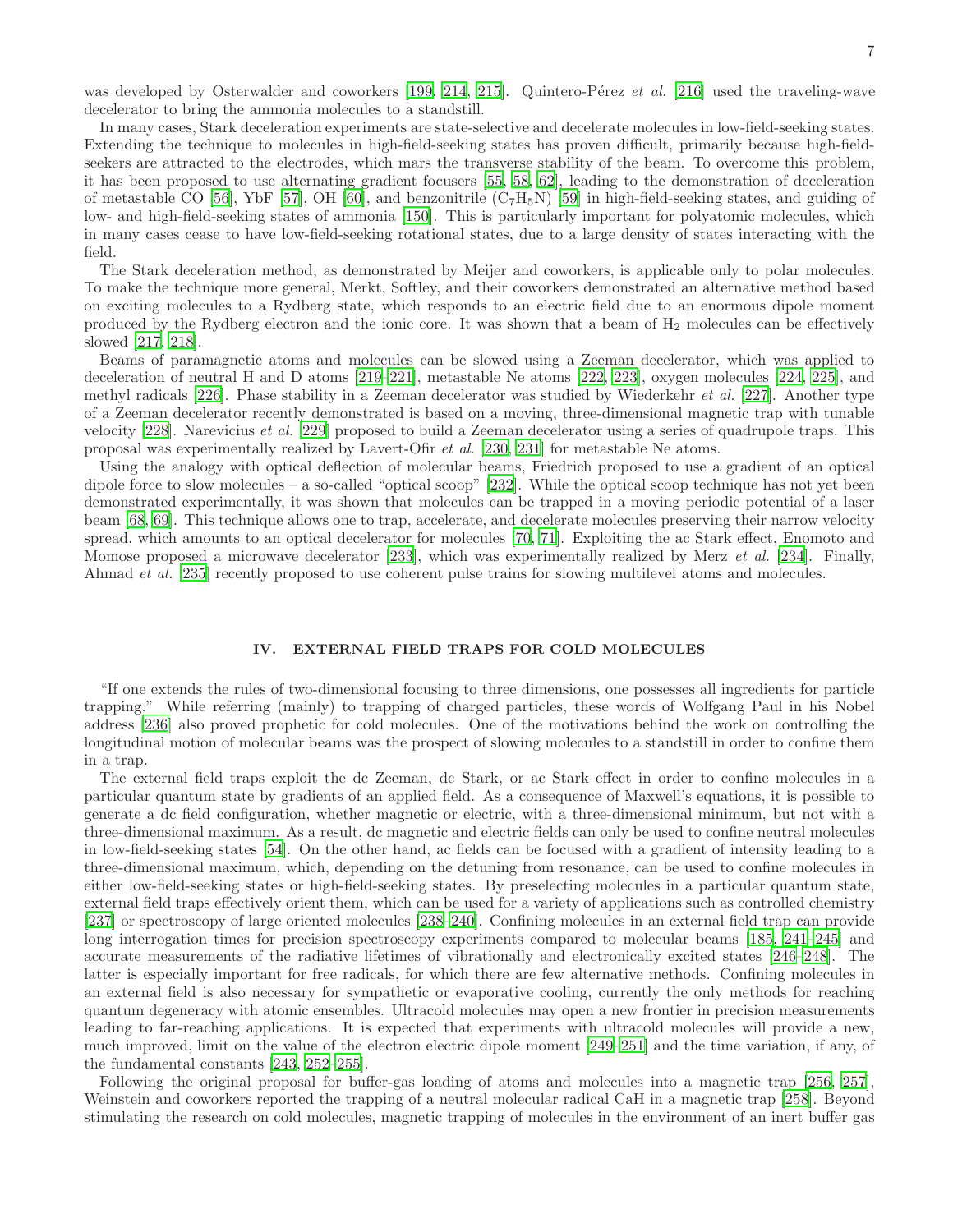was developed by Osterwalder and coworkers [\[199,](#page-25-36) [214,](#page-26-5) [215](#page-26-6)]. Quintero-Pérez et al. [\[216\]](#page-26-7) used the traveling-wave decelerator to bring the ammonia molecules to a standstill.

In many cases, Stark deceleration experiments are state-selective and decelerate molecules in low-field-seeking states. Extending the technique to molecules in high-field-seeking states has proven difficult, primarily because high-fieldseekers are attracted to the electrodes, which mars the transverse stability of the beam. To overcome this problem, it has been proposed to use alternating gradient focusers [\[55](#page-23-8), [58,](#page-23-31) [62\]](#page-23-9), leading to the demonstration of deceleration of metastable CO [\[56](#page-23-34)], YbF [\[57](#page-23-35)], OH [\[60\]](#page-23-32), and benzonitrile  $(C_7H_5N)$  [\[59](#page-23-33)] in high-field-seeking states, and guiding of low- and high-field-seeking states of ammonia [\[150\]](#page-24-42). This is particularly important for polyatomic molecules, which in many cases cease to have low-field-seeking rotational states, due to a large density of states interacting with the field.

The Stark deceleration method, as demonstrated by Meijer and coworkers, is applicable only to polar molecules. To make the technique more general, Merkt, Softley, and their coworkers demonstrated an alternative method based on exciting molecules to a Rydberg state, which responds to an electric field due to an enormous dipole moment produced by the Rydberg electron and the ionic core. It was shown that a beam of  $H_2$  molecules can be effectively slowed [\[217](#page-26-8), [218\]](#page-26-9).

Beams of paramagnetic atoms and molecules can be slowed using a Zeeman decelerator, which was applied to deceleration of neutral H and D atoms [\[219](#page-26-10)[–221\]](#page-26-11), metastable Ne atoms [\[222](#page-26-12), [223\]](#page-26-13), oxygen molecules [\[224,](#page-26-14) [225\]](#page-26-15), and methyl radicals [\[226\]](#page-26-16). Phase stability in a Zeeman decelerator was studied by Wiederkehr et al. [\[227\]](#page-26-17). Another type of a Zeeman decelerator recently demonstrated is based on a moving, three-dimensional magnetic trap with tunable velocity [\[228](#page-26-18)]. Narevicius et al. [\[229\]](#page-26-19) proposed to build a Zeeman decelerator using a series of quadrupole traps. This proposal was experimentally realized by Lavert-Ofir et al. [\[230,](#page-26-20) [231\]](#page-26-21) for metastable Ne atoms.

Using the analogy with optical deflection of molecular beams, Friedrich proposed to use a gradient of an optical dipole force to slow molecules – a so-called "optical scoop" [\[232\]](#page-26-22). While the optical scoop technique has not yet been demonstrated experimentally, it was shown that molecules can be trapped in a moving periodic potential of a laser beam [\[68,](#page-23-36) [69\]](#page-23-37). This technique allows one to trap, accelerate, and decelerate molecules preserving their narrow velocity spread, which amounts to an optical decelerator for molecules [\[70](#page-23-38), [71](#page-23-13)]. Exploiting the ac Stark effect, Enomoto and Momose proposed a microwave decelerator [\[233\]](#page-26-23), which was experimentally realized by Merz et al. [\[234\]](#page-26-24). Finally, Ahmad *et al.* [\[235](#page-26-25)] recently proposed to use coherent pulse trains for slowing multilevel atoms and molecules.

# <span id="page-6-0"></span>IV. EXTERNAL FIELD TRAPS FOR COLD MOLECULES

"If one extends the rules of two-dimensional focusing to three dimensions, one possesses all ingredients for particle trapping." While referring (mainly) to trapping of charged particles, these words of Wolfgang Paul in his Nobel address [\[236\]](#page-26-26) also proved prophetic for cold molecules. One of the motivations behind the work on controlling the longitudinal motion of molecular beams was the prospect of slowing molecules to a standstill in order to confine them in a trap.

The external field traps exploit the dc Zeeman, dc Stark, or ac Stark effect in order to confine molecules in a particular quantum state by gradients of an applied field. As a consequence of Maxwell's equations, it is possible to generate a dc field configuration, whether magnetic or electric, with a three-dimensional minimum, but not with a three-dimensional maximum. As a result, dc magnetic and electric fields can only be used to confine neutral molecules in low-field-seeking states [\[54\]](#page-23-7). On the other hand, ac fields can be focused with a gradient of intensity leading to a three-dimensional maximum, which, depending on the detuning from resonance, can be used to confine molecules in either low-field-seeking states or high-field-seeking states. By preselecting molecules in a particular quantum state, external field traps effectively orient them, which can be used for a variety of applications such as controlled chemistry [\[237\]](#page-26-27) or spectroscopy of large oriented molecules [\[238](#page-26-28)[–240\]](#page-26-29). Confining molecules in an external field trap can provide long interrogation times for precision spectroscopy experiments compared to molecular beams [\[185,](#page-25-24) [241](#page-26-30)[–245\]](#page-26-31) and accurate measurements of the radiative lifetimes of vibrationally and electronically excited states [\[246](#page-26-32)[–248\]](#page-26-33). The latter is especially important for free radicals, for which there are few alternative methods. Confining molecules in an external field is also necessary for sympathetic or evaporative cooling, currently the only methods for reaching quantum degeneracy with atomic ensembles. Ultracold molecules may open a new frontier in precision measurements leading to far-reaching applications. It is expected that experiments with ultracold molecules will provide a new, much improved, limit on the value of the electron electric dipole moment [\[249](#page-26-34)[–251](#page-26-35)] and the time variation, if any, of the fundamental constants [\[243,](#page-26-36) [252](#page-26-37)[–255\]](#page-26-38).

Following the original proposal for buffer-gas loading of atoms and molecules into a magnetic trap [\[256](#page-26-39), [257\]](#page-26-40), Weinstein and coworkers reported the trapping of a neutral molecular radical CaH in a magnetic trap [\[258\]](#page-26-41). Beyond stimulating the research on cold molecules, magnetic trapping of molecules in the environment of an inert buffer gas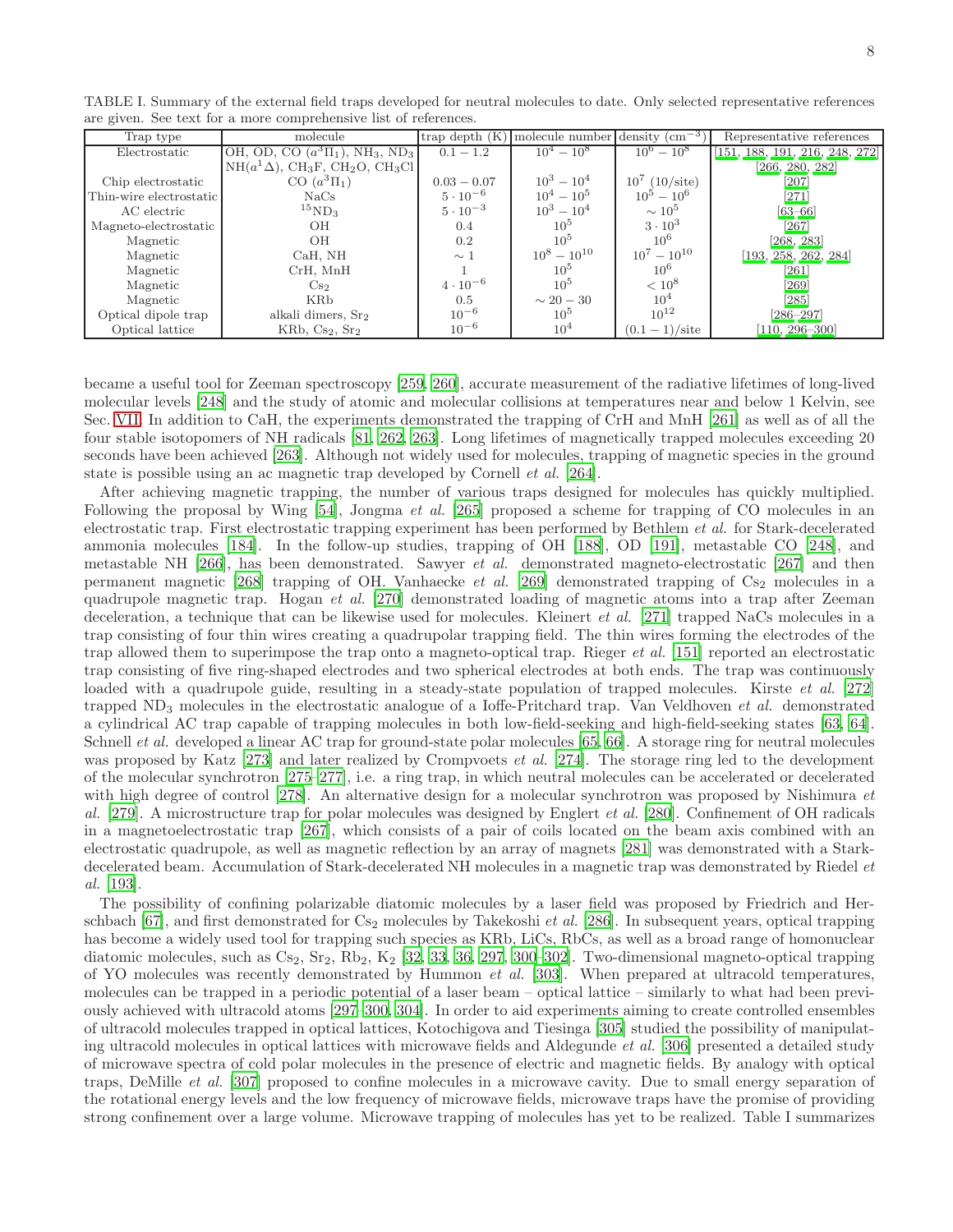| Trap type               | molecule                                                                  | trap depth $(K)$  | molecule number density $\rm (cm^{-3}$ |                         | Representative references      |
|-------------------------|---------------------------------------------------------------------------|-------------------|----------------------------------------|-------------------------|--------------------------------|
| Electrostatic           | OH, OD, CO $(a^3\Pi_1)$ , NH <sub>3</sub> , ND <sub>3</sub>               | $0.1 - 1.2$       | $10^4 - 10^8$                          | $10^6 - 10^8$           | [151, 188, 191, 216, 248, 272] |
|                         | $NH(a1\Delta)$ , CH <sub>3</sub> F, CH <sub>2</sub> O, CH <sub>3</sub> Cl |                   |                                        |                         | [266, 280, 282]                |
| Chip electrostatic      | CO $(a^3\Pi_1)$                                                           | $0.03 - 0.07$     | $10^3 - 10^4$                          | $10^7$ (10/site)        | [207]                          |
| Thin-wire electrostatic | NaCs                                                                      | $5 \cdot 10^{-6}$ | $10^4 - 10^5$                          | $10^5 - 10^6$           | $[271]$                        |
| AC electric             | $^{15}$ ND <sub>3</sub>                                                   | $5 \cdot 10^{-3}$ | $10^3 - 10^4$                          | $\sim 10^5$             | $[63 - 66]$                    |
| Magneto-electrostatic   | OН                                                                        | 0.4               | $10^{5}$                               | $3 \cdot 10^3$          | $[267]$                        |
| Magnetic                | OН                                                                        | 0.2               | 10 <sup>5</sup>                        | $10^{6}$                | [268, 283]                     |
| Magnetic                | CaH, NH                                                                   | $\sim$ 1          | $10^8 - 10^{10}$                       | $10^7 - 10^{10}$        | [193, 258, 262, 284]           |
| Magnetic                | $CrH$ , Mn $H$                                                            |                   | $10^{5}$                               | $10^{6}$                | [261]                          |
| Magnetic                | $\mathrm{Cs}_2$                                                           | $4 \cdot 10^{-6}$ | 10 <sup>5</sup>                        | $< 10^{8}$              | [269]                          |
| Magnetic                | KRb                                                                       | 0.5               | $\sim 20 - 30$                         | $10^{4}$                | $[285]$                        |
| Optical dipole trap     | alkali dimers, Sr <sub>2</sub>                                            | $10^{-6}$         | 10 <sup>5</sup>                        | $10^{12}$               | $[286 - 297]$                  |
| Optical lattice         | KRb, Cs <sub>2</sub> , Sr <sub>2</sub>                                    | $10^{-6}$         | 10 <sup>4</sup>                        | $(0.1 - 1)/\text{site}$ | $[110, 296 - 300]$             |

TABLE I. Summary of the external field traps developed for neutral molecules to date. Only selected representative references are given. See text for a more comprehensive list of references.

became a useful tool for Zeeman spectroscopy [\[259,](#page-26-42) [260\]](#page-26-43), accurate measurement of the radiative lifetimes of long-lived molecular levels [\[248\]](#page-26-33) and the study of atomic and molecular collisions at temperatures near and below 1 Kelvin, see Sec. [VII.](#page-14-0) In addition to CaH, the experiments demonstrated the trapping of CrH and MnH [\[261\]](#page-27-10) as well as of all the four stable isotopomers of NH radicals [\[81,](#page-23-39) [262,](#page-27-8) [263](#page-27-17)]. Long lifetimes of magnetically trapped molecules exceeding 20 seconds have been achieved [\[263\]](#page-27-17). Although not widely used for molecules, trapping of magnetic species in the ground state is possible using an ac magnetic trap developed by Cornell et al. [\[264\]](#page-27-18).

After achieving magnetic trapping, the number of various traps designed for molecules has quickly multiplied. Following the proposal by Wing [\[54\]](#page-23-7), Jongma et al. [\[265\]](#page-27-19) proposed a scheme for trapping of CO molecules in an electrostatic trap. First electrostatic trapping experiment has been performed by Bethlem et al. for Stark-decelerated ammonia molecules [\[184\]](#page-25-23). In the follow-up studies, trapping of OH [\[188](#page-25-44)], OD [\[191\]](#page-25-28), metastable CO [\[248](#page-26-33)], and metastable NH  $[266]$ , has been demonstrated. Sawyer *et al.* demonstrated magneto-electrostatic  $[267]$  and then permanent magnetic [\[268\]](#page-27-6) trapping of OH. Vanhaecke et al. [\[269\]](#page-27-11) demonstrated trapping of  $Cs<sub>2</sub>$  molecules in a quadrupole magnetic trap. Hogan et al. [\[270](#page-27-20)] demonstrated loading of magnetic atoms into a trap after Zeeman deceleration, a technique that can be likewise used for molecules. Kleinert *et al.* [\[271](#page-27-4)] trapped NaCs molecules in a trap consisting of four thin wires creating a quadrupolar trapping field. The thin wires forming the electrodes of the trap allowed them to superimpose the trap onto a magneto-optical trap. Rieger et al. [\[151](#page-24-43)] reported an electrostatic trap consisting of five ring-shaped electrodes and two spherical electrodes at both ends. The trap was continuously loaded with a quadrupole guide, resulting in a steady-state population of trapped molecules. Kirste *et al.* [\[272](#page-27-0)] trapped ND<sub>3</sub> molecules in the electrostatic analogue of a Ioffe-Pritchard trap. Van Veldhoven et al. demonstrated a cylindrical AC trap capable of trapping molecules in both low-field-seeking and high-field-seeking states [\[63,](#page-23-10) [64\]](#page-23-40). Schnell *et al.* developed a linear AC trap for ground-state polar molecules [\[65](#page-23-41), [66\]](#page-23-11). A storage ring for neutral molecules was proposed by Katz [\[273\]](#page-27-21) and later realized by Crompvoets *et al.* [\[274\]](#page-27-22). The storage ring led to the development of the molecular synchrotron [\[275](#page-27-23)[–277](#page-27-24)], i.e. a ring trap, in which neutral molecules can be accelerated or decelerated with high degree of control [\[278\]](#page-27-25). An alternative design for a molecular synchrotron was proposed by Nishimura et al. [\[279\]](#page-27-26). A microstructure trap for polar molecules was designed by Englert et al. [\[280\]](#page-27-2). Confinement of OH radicals in a magnetoelectrostatic trap [\[267](#page-27-5)], which consists of a pair of coils located on the beam axis combined with an electrostatic quadrupole, as well as magnetic reflection by an array of magnets [\[281\]](#page-27-27) was demonstrated with a Starkdecelerated beam. Accumulation of Stark-decelerated NH molecules in a magnetic trap was demonstrated by Riedel et al. [\[193\]](#page-25-30).

The possibility of confining polarizable diatomic molecules by a laser field was proposed by Friedrich and Herschbach  $[67]$ , and first demonstrated for Cs<sub>2</sub> molecules by Takekoshi *et al.* [\[286\]](#page-27-13). In subsequent years, optical trapping has become a widely used tool for trapping such species as KRb, LiCs, RbCs, as well as a broad range of homonuclear diatomic molecules, such as  $Cs_2$ ,  $Sr_2$ ,  $Rb_2$ ,  $K_2$  [\[32,](#page-22-7) [33,](#page-22-6) [36,](#page-22-8) [297,](#page-27-14) [300](#page-27-16)[–302\]](#page-27-28). Two-dimensional magneto-optical trapping of YO molecules was recently demonstrated by Hummon et al. [\[303\]](#page-27-29). When prepared at ultracold temperatures, molecules can be trapped in a periodic potential of a laser beam – optical lattice – similarly to what had been previously achieved with ultracold atoms [\[297](#page-27-14)[–300,](#page-27-16) [304\]](#page-27-30). In order to aid experiments aiming to create controlled ensembles of ultracold molecules trapped in optical lattices, Kotochigova and Tiesinga [\[305](#page-27-31)] studied the possibility of manipulating ultracold molecules in optical lattices with microwave fields and Aldegunde et al. [\[306](#page-27-32)] presented a detailed study of microwave spectra of cold polar molecules in the presence of electric and magnetic fields. By analogy with optical traps, DeMille et al. [\[307](#page-27-33)] proposed to confine molecules in a microwave cavity. Due to small energy separation of the rotational energy levels and the low frequency of microwave fields, microwave traps have the promise of providing strong confinement over a large volume. Microwave trapping of molecules has yet to be realized. Table I summarizes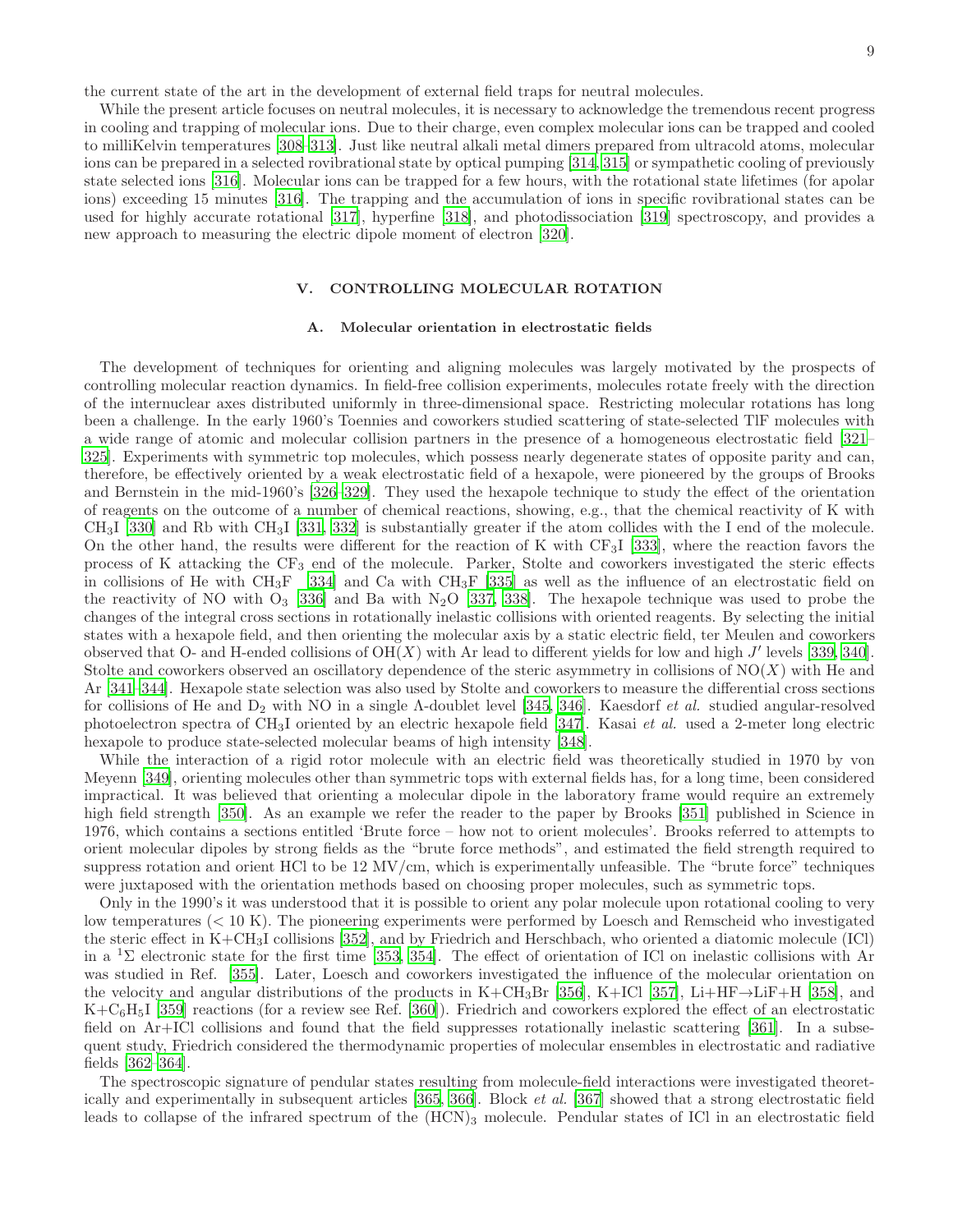the current state of the art in the development of external field traps for neutral molecules.

While the present article focuses on neutral molecules, it is necessary to acknowledge the tremendous recent progress in cooling and trapping of molecular ions. Due to their charge, even complex molecular ions can be trapped and cooled to milliKelvin temperatures [\[308](#page-27-34)[–313\]](#page-28-0). Just like neutral alkali metal dimers prepared from ultracold atoms, molecular ions can be prepared in a selected rovibrational state by optical pumping [\[314,](#page-28-1) [315\]](#page-28-2) or sympathetic cooling of previously state selected ions [\[316\]](#page-28-3). Molecular ions can be trapped for a few hours, with the rotational state lifetimes (for apolar ions) exceeding 15 minutes [\[316\]](#page-28-3). The trapping and the accumulation of ions in specific rovibrational states can be used for highly accurate rotational [\[317\]](#page-28-4), hyperfine [\[318](#page-28-5)], and photodissociation [\[319\]](#page-28-6) spectroscopy, and provides a new approach to measuring the electric dipole moment of electron [\[320\]](#page-28-7).

# V. CONTROLLING MOLECULAR ROTATION

### A. Molecular orientation in electrostatic fields

The development of techniques for orienting and aligning molecules was largely motivated by the prospects of controlling molecular reaction dynamics. In field-free collision experiments, molecules rotate freely with the direction of the internuclear axes distributed uniformly in three-dimensional space. Restricting molecular rotations has long been a challenge. In the early 1960's Toennies and coworkers studied scattering of state-selected TlF molecules with a wide range of atomic and molecular collision partners in the presence of a homogeneous electrostatic field [\[321](#page-28-8)– [325](#page-28-9)]. Experiments with symmetric top molecules, which possess nearly degenerate states of opposite parity and can, therefore, be effectively oriented by a weak electrostatic field of a hexapole, were pioneered by the groups of Brooks and Bernstein in the mid-1960's [\[326](#page-28-10)[–329](#page-28-11)]. They used the hexapole technique to study the effect of the orientation of reagents on the outcome of a number of chemical reactions, showing, e.g., that the chemical reactivity of K with CH3I [\[330](#page-28-12)] and Rb with CH3I [\[331,](#page-28-13) [332\]](#page-28-14) is substantially greater if the atom collides with the I end of the molecule. On the other hand, the results were different for the reaction of K with  $CF_3I$  [\[333\]](#page-28-15), where the reaction favors the process of K attacking the CF<sup>3</sup> end of the molecule. Parker, Stolte and coworkers investigated the steric effects in collisions of He with  $CH_3F$  [\[334](#page-28-16)] and Ca with  $CH_3F$  [\[335\]](#page-28-17) as well as the influence of an electrostatic field on the reactivity of NO with  $O_3$  [\[336\]](#page-28-18) and Ba with N<sub>2</sub>O [\[337](#page-28-19), [338](#page-28-20)]. The hexapole technique was used to probe the changes of the integral cross sections in rotationally inelastic collisions with oriented reagents. By selecting the initial states with a hexapole field, and then orienting the molecular axis by a static electric field, ter Meulen and coworkers observed that O- and H-ended collisions of  $OH(X)$  with Ar lead to different yields for low and high  $J'$  levels [\[339](#page-28-21), [340\]](#page-28-22). Stolte and coworkers observed an oscillatory dependence of the steric asymmetry in collisions of  $NO(X)$  with He and Ar [\[341](#page-28-23)[–344\]](#page-28-24). Hexapole state selection was also used by Stolte and coworkers to measure the differential cross sections for collisions of He and  $D_2$  with NO in a single  $\Lambda$ -doublet level [\[345](#page-28-25), [346\]](#page-28-26). Kaesdorf et al. studied angular-resolved photoelectron spectra of CH3I oriented by an electric hexapole field [\[347\]](#page-28-27). Kasai et al. used a 2-meter long electric hexapole to produce state-selected molecular beams of high intensity [\[348](#page-28-28)].

While the interaction of a rigid rotor molecule with an electric field was theoretically studied in 1970 by von Meyenn [\[349\]](#page-28-29), orienting molecules other than symmetric tops with external fields has, for a long time, been considered impractical. It was believed that orienting a molecular dipole in the laboratory frame would require an extremely high field strength [\[350\]](#page-28-30). As an example we refer the reader to the paper by Brooks [\[351\]](#page-28-31) published in Science in 1976, which contains a sections entitled 'Brute force – how not to orient molecules'. Brooks referred to attempts to orient molecular dipoles by strong fields as the "brute force methods", and estimated the field strength required to suppress rotation and orient HCl to be 12 MV/cm, which is experimentally unfeasible. The "brute force" techniques were juxtaposed with the orientation methods based on choosing proper molecules, such as symmetric tops.

Only in the 1990's it was understood that it is possible to orient any polar molecule upon rotational cooling to very low temperatures (< 10 K). The pioneering experiments were performed by Loesch and Remscheid who investigated the steric effect in K+CH3I collisions [\[352\]](#page-28-32), and by Friedrich and Herschbach, who oriented a diatomic molecule (ICl) in a <sup>1</sup> $\Sigma$  electronic state for the first time [\[353,](#page-28-33) [354\]](#page-28-34). The effect of orientation of ICl on inelastic collisions with Ar was studied in Ref. [\[355\]](#page-28-35). Later, Loesch and coworkers investigated the influence of the molecular orientation on the velocity and angular distributions of the products in K+CH<sub>3</sub>Br [\[356\]](#page-28-36), K+ICl [\[357](#page-28-37)], Li+HF→LiF+H [\[358\]](#page-28-38), and  $K+C_6H_5I$  [\[359\]](#page-28-39) reactions (for a review see Ref. [\[360\]](#page-28-40)). Friedrich and coworkers explored the effect of an electrostatic field on Ar+ICl collisions and found that the field suppresses rotationally inelastic scattering [\[361\]](#page-28-41). In a subsequent study, Friedrich considered the thermodynamic properties of molecular ensembles in electrostatic and radiative fields [\[362](#page-28-42)[–364](#page-28-43)].

The spectroscopic signature of pendular states resulting from molecule-field interactions were investigated theoretically and experimentally in subsequent articles [\[365,](#page-28-44) [366](#page-28-45)]. Block et al. [\[367](#page-29-0)] showed that a strong electrostatic field leads to collapse of the infrared spectrum of the  $(HCN)_3$  molecule. Pendular states of ICl in an electrostatic field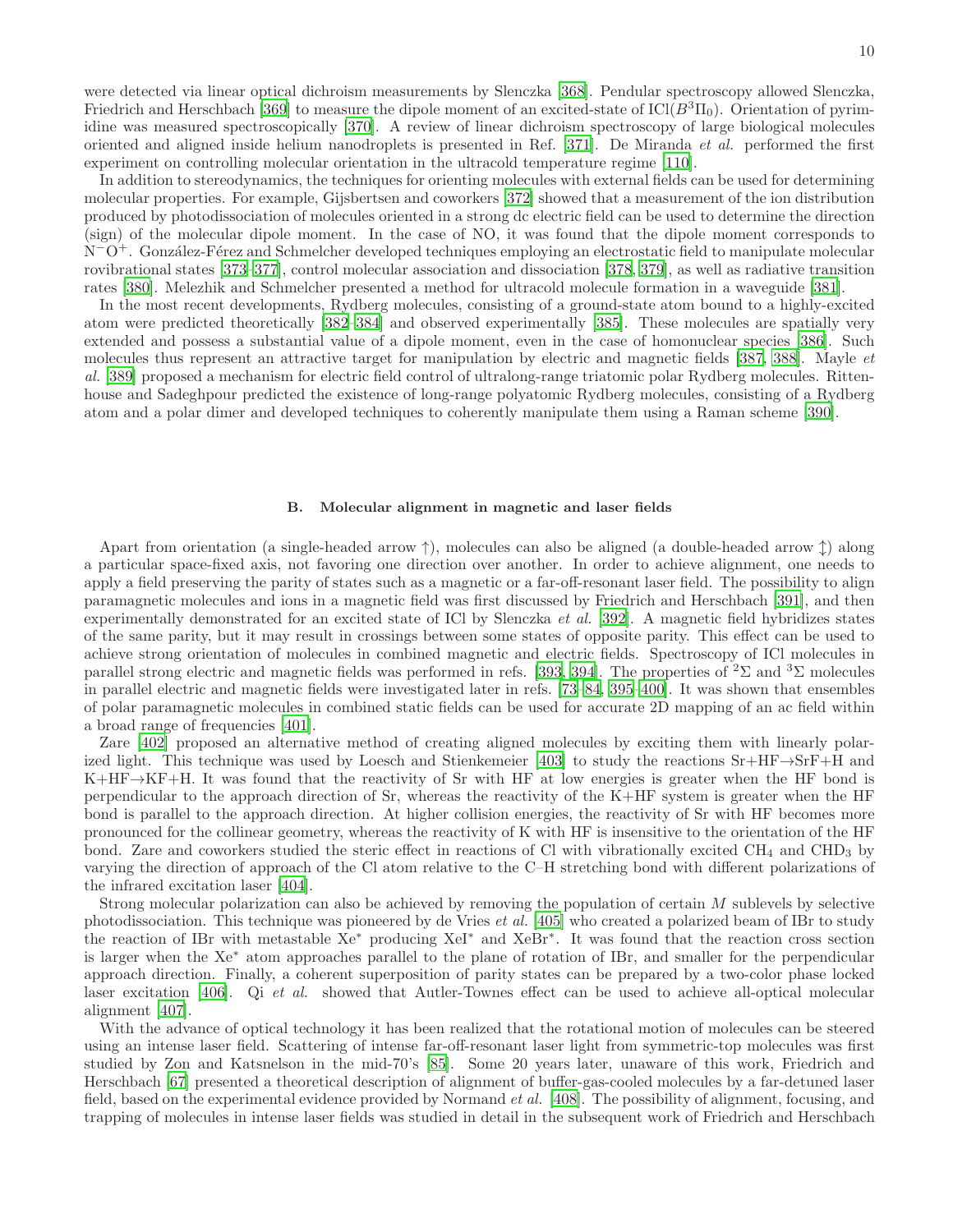In addition to stereodynamics, the techniques for orienting molecules with external fields can be used for determining molecular properties. For example, Gijsbertsen and coworkers [\[372\]](#page-29-5) showed that a measurement of the ion distribution produced by photodissociation of molecules oriented in a strong dc electric field can be used to determine the direction (sign) of the molecular dipole moment. In the case of NO, it was found that the dipole moment corresponds to N<sup>−</sup>O<sup>+</sup>. González-Férez and Schmelcher developed techniques employing an electrostatic field to manipulate molecular rovibrational states [\[373](#page-29-6)[–377\]](#page-29-7), control molecular association and dissociation [\[378](#page-29-8), [379\]](#page-29-9), as well as radiative transition rates [\[380](#page-29-10)]. Melezhik and Schmelcher presented a method for ultracold molecule formation in a waveguide [\[381\]](#page-29-11).

In the most recent developments, Rydberg molecules, consisting of a ground-state atom bound to a highly-excited atom were predicted theoretically [\[382](#page-29-12)[–384\]](#page-29-13) and observed experimentally [\[385\]](#page-29-14). These molecules are spatially very extended and possess a substantial value of a dipole moment, even in the case of homonuclear species [\[386\]](#page-29-15). Such molecules thus represent an attractive target for manipulation by electric and magnetic fields [\[387,](#page-29-16) [388](#page-29-17)]. Mayle et al. [\[389](#page-29-18)] proposed a mechanism for electric field control of ultralong-range triatomic polar Rydberg molecules. Rittenhouse and Sadeghpour predicted the existence of long-range polyatomic Rydberg molecules, consisting of a Rydberg atom and a polar dimer and developed techniques to coherently manipulate them using a Raman scheme [\[390\]](#page-29-19).

### <span id="page-9-0"></span>B. Molecular alignment in magnetic and laser fields

Apart from orientation (a single-headed arrow  $\uparrow$ ), molecules can also be aligned (a double-headed arrow  $\uparrow$ ) along a particular space-fixed axis, not favoring one direction over another. In order to achieve alignment, one needs to apply a field preserving the parity of states such as a magnetic or a far-off-resonant laser field. The possibility to align paramagnetic molecules and ions in a magnetic field was first discussed by Friedrich and Herschbach [\[391\]](#page-29-20), and then experimentally demonstrated for an excited state of ICl by Slenczka et al. [\[392](#page-29-21)]. A magnetic field hybridizes states of the same parity, but it may result in crossings between some states of opposite parity. This effect can be used to achieve strong orientation of molecules in combined magnetic and electric fields. Spectroscopy of ICl molecules in parallel strong electric and magnetic fields was performed in refs. [\[393](#page-29-22), [394](#page-29-23)]. The properties of <sup>2</sup>Σ and <sup>3</sup>Σ molecules in parallel electric and magnetic fields were investigated later in refs. [\[73](#page-23-15)[–84,](#page-23-18) [395](#page-29-24)[–400\]](#page-29-25). It was shown that ensembles of polar paramagnetic molecules in combined static fields can be used for accurate 2D mapping of an ac field within a broad range of frequencies [\[401\]](#page-29-26).

Zare [\[402\]](#page-29-27) proposed an alternative method of creating aligned molecules by exciting them with linearly polarized light. This technique was used by Loesch and Stienkemeier [\[403\]](#page-29-28) to study the reactions Sr+HF→SrF+H and K+HF→KF+H. It was found that the reactivity of Sr with HF at low energies is greater when the HF bond is perpendicular to the approach direction of Sr, whereas the reactivity of the K+HF system is greater when the HF bond is parallel to the approach direction. At higher collision energies, the reactivity of Sr with HF becomes more pronounced for the collinear geometry, whereas the reactivity of K with HF is insensitive to the orientation of the HF bond. Zare and coworkers studied the steric effect in reactions of Cl with vibrationally excited  $CH<sub>4</sub>$  and  $CH<sub>3</sub>$  by varying the direction of approach of the Cl atom relative to the C–H stretching bond with different polarizations of the infrared excitation laser [\[404\]](#page-29-29).

Strong molecular polarization can also be achieved by removing the population of certain M sublevels by selective photodissociation. This technique was pioneered by de Vries et al. [\[405](#page-29-30)] who created a polarized beam of IBr to study the reaction of IBr with metastable Xe<sup>∗</sup> producing XeI<sup>∗</sup> and XeBr<sup>∗</sup> . It was found that the reaction cross section is larger when the Xe<sup>∗</sup> atom approaches parallel to the plane of rotation of IBr, and smaller for the perpendicular approach direction. Finally, a coherent superposition of parity states can be prepared by a two-color phase locked laser excitation [\[406\]](#page-29-31). Qi et al. showed that Autler-Townes effect can be used to achieve all-optical molecular alignment [\[407\]](#page-29-32).

With the advance of optical technology it has been realized that the rotational motion of molecules can be steered using an intense laser field. Scattering of intense far-off-resonant laser light from symmetric-top molecules was first studied by Zon and Katsnelson in the mid-70's [\[85\]](#page-23-19). Some 20 years later, unaware of this work, Friedrich and Herschbach [\[67](#page-23-12)] presented a theoretical description of alignment of buffer-gas-cooled molecules by a far-detuned laser field, based on the experimental evidence provided by Normand et al. [\[408\]](#page-29-33). The possibility of alignment, focusing, and trapping of molecules in intense laser fields was studied in detail in the subsequent work of Friedrich and Herschbach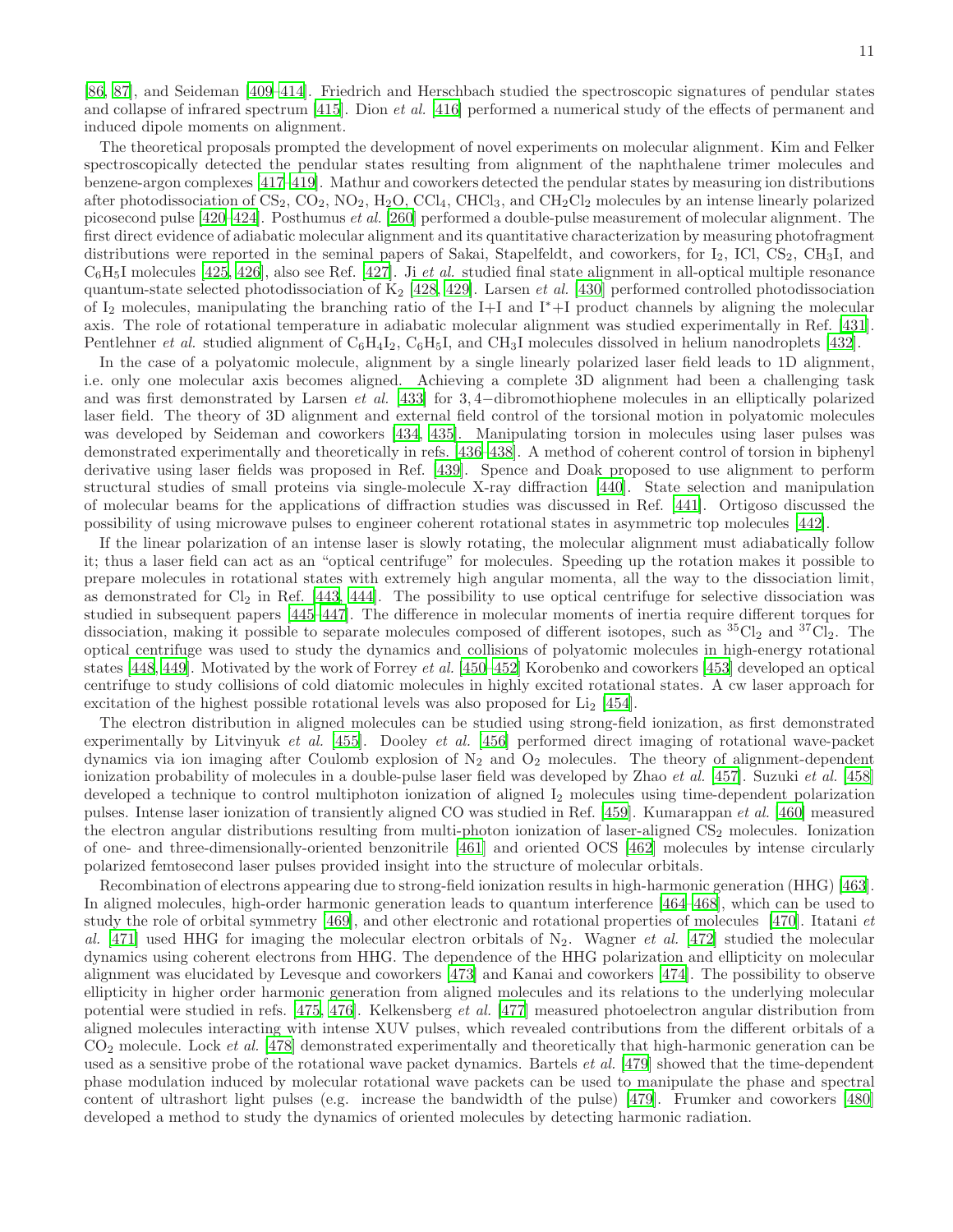[\[86,](#page-23-20) [87](#page-23-21)], and Seideman [\[409](#page-29-34)[–414](#page-29-35)]. Friedrich and Herschbach studied the spectroscopic signatures of pendular states and collapse of infrared spectrum [\[415\]](#page-29-36). Dion *et al.* [\[416\]](#page-29-37) performed a numerical study of the effects of permanent and induced dipole moments on alignment.

The theoretical proposals prompted the development of novel experiments on molecular alignment. Kim and Felker spectroscopically detected the pendular states resulting from alignment of the naphthalene trimer molecules and benzene-argon complexes [\[417](#page-29-38)[–419\]](#page-29-39). Mathur and coworkers detected the pendular states by measuring ion distributions after photodissociation of  $CS_2$ ,  $CO_2$ ,  $NO_2$ ,  $H_2O$ ,  $CCl_4$ ,  $CHCl_3$ , and  $CH_2Cl_2$  molecules by an intense linearly polarized picosecond pulse [\[420](#page-29-40)[–424\]](#page-29-41). Posthumus et al. [\[260\]](#page-26-43) performed a double-pulse measurement of molecular alignment. The first direct evidence of adiabatic molecular alignment and its quantitative characterization by measuring photofragment distributions were reported in the seminal papers of Sakai, Stapelfeldt, and coworkers, for  $I_2$ , ICl, CS<sub>2</sub>, CH<sub>3</sub>I, and  $C_6H_5I$  molecules [\[425,](#page-29-42) [426\]](#page-29-43), also see Ref. [\[427\]](#page-30-0). Ji et al. studied final state alignment in all-optical multiple resonance quantum-state selected photodissociation of  $K_2$  [\[428,](#page-30-1) [429\]](#page-30-2). Larsen *et al.* [\[430\]](#page-30-3) performed controlled photodissociation of I<sup>2</sup> molecules, manipulating the branching ratio of the I+I and I∗+I product channels by aligning the molecular axis. The role of rotational temperature in adiabatic molecular alignment was studied experimentally in Ref. [\[431\]](#page-30-4). Pentlehner *et al.* studied alignment of  $C_6H_4I_2$ ,  $C_6H_5I$ , and  $CH_3I$  molecules dissolved in helium nanodroplets [\[432](#page-30-5)].

In the case of a polyatomic molecule, alignment by a single linearly polarized laser field leads to 1D alignment, i.e. only one molecular axis becomes aligned. Achieving a complete 3D alignment had been a challenging task and was first demonstrated by Larsen et al. [\[433](#page-30-6)] for 3, 4−dibromothiophene molecules in an elliptically polarized laser field. The theory of 3D alignment and external field control of the torsional motion in polyatomic molecules was developed by Seideman and coworkers [\[434](#page-30-7), [435\]](#page-30-8). Manipulating torsion in molecules using laser pulses was demonstrated experimentally and theoretically in refs. [\[436](#page-30-9)[–438\]](#page-30-10). A method of coherent control of torsion in biphenyl derivative using laser fields was proposed in Ref. [\[439\]](#page-30-11). Spence and Doak proposed to use alignment to perform structural studies of small proteins via single-molecule X-ray diffraction [\[440](#page-30-12)]. State selection and manipulation of molecular beams for the applications of diffraction studies was discussed in Ref. [\[441\]](#page-30-13). Ortigoso discussed the possibility of using microwave pulses to engineer coherent rotational states in asymmetric top molecules [\[442](#page-30-14)].

If the linear polarization of an intense laser is slowly rotating, the molecular alignment must adiabatically follow it; thus a laser field can act as an "optical centrifuge" for molecules. Speeding up the rotation makes it possible to prepare molecules in rotational states with extremely high angular momenta, all the way to the dissociation limit, as demonstrated for  $Cl_2$  in Ref. [\[443,](#page-30-15) [444\]](#page-30-16). The possibility to use optical centrifuge for selective dissociation was studied in subsequent papers [\[445](#page-30-17)[–447\]](#page-30-18). The difference in molecular moments of inertia require different torques for dissociation, making it possible to separate molecules composed of different isotopes, such as  ${}^{35}Cl_2$  and  ${}^{37}Cl_2$ . The optical centrifuge was used to study the dynamics and collisions of polyatomic molecules in high-energy rotational states [\[448](#page-30-19), [449\]](#page-30-20). Motivated by the work of Forrey et al. [\[450–](#page-30-21)[452\]](#page-30-22) Korobenko and coworkers [\[453\]](#page-30-23) developed an optical centrifuge to study collisions of cold diatomic molecules in highly excited rotational states. A cw laser approach for excitation of the highest possible rotational levels was also proposed for Li<sub>2</sub> [\[454\]](#page-30-24).

The electron distribution in aligned molecules can be studied using strong-field ionization, as first demonstrated experimentally by Litvinyuk et al. [\[455\]](#page-30-25). Dooley et al. [\[456\]](#page-30-26) performed direct imaging of rotational wave-packet dynamics via ion imaging after Coulomb explosion of  $N_2$  and  $O_2$  molecules. The theory of alignment-dependent ionization probability of molecules in a double-pulse laser field was developed by Zhao *et al.* [\[457](#page-30-27)]. Suzuki *et al.* [\[458](#page-30-28)] developed a technique to control multiphoton ionization of aligned I<sup>2</sup> molecules using time-dependent polarization pulses. Intense laser ionization of transiently aligned CO was studied in Ref. [\[459\]](#page-30-29). Kumarappan et al. [\[460\]](#page-30-30) measured the electron angular distributions resulting from multi-photon ionization of laser-aligned  $CS<sub>2</sub>$  molecules. Ionization of one- and three-dimensionally-oriented benzonitrile [\[461](#page-30-31)] and oriented OCS [\[462](#page-30-32)] molecules by intense circularly polarized femtosecond laser pulses provided insight into the structure of molecular orbitals.

Recombination of electrons appearing due to strong-field ionization results in high-harmonic generation (HHG) [\[463\]](#page-30-33). In aligned molecules, high-order harmonic generation leads to quantum interference [\[464](#page-30-34)[–468\]](#page-30-35), which can be used to study the role of orbital symmetry [\[469\]](#page-30-36), and other electronic and rotational properties of molecules [\[470\]](#page-30-37). Itatani et al. [\[471\]](#page-30-38) used HHG for imaging the molecular electron orbitals of  $N_2$ . Wagner *et al.* [\[472\]](#page-30-39) studied the molecular dynamics using coherent electrons from HHG. The dependence of the HHG polarization and ellipticity on molecular alignment was elucidated by Levesque and coworkers [\[473\]](#page-30-40) and Kanai and coworkers [\[474\]](#page-30-41). The possibility to observe ellipticity in higher order harmonic generation from aligned molecules and its relations to the underlying molecular potential were studied in refs. [\[475,](#page-30-42) [476\]](#page-30-43). Kelkensberg et al. [\[477](#page-30-44)] measured photoelectron angular distribution from aligned molecules interacting with intense XUV pulses, which revealed contributions from the different orbitals of a  $CO<sub>2</sub>$  molecule. Lock *et al.* [\[478\]](#page-31-0) demonstrated experimentally and theoretically that high-harmonic generation can be used as a sensitive probe of the rotational wave packet dynamics. Bartels *et al.* [\[479\]](#page-31-1) showed that the time-dependent phase modulation induced by molecular rotational wave packets can be used to manipulate the phase and spectral content of ultrashort light pulses (e.g. increase the bandwidth of the pulse) [\[479\]](#page-31-1). Frumker and coworkers [\[480](#page-31-2)] developed a method to study the dynamics of oriented molecules by detecting harmonic radiation.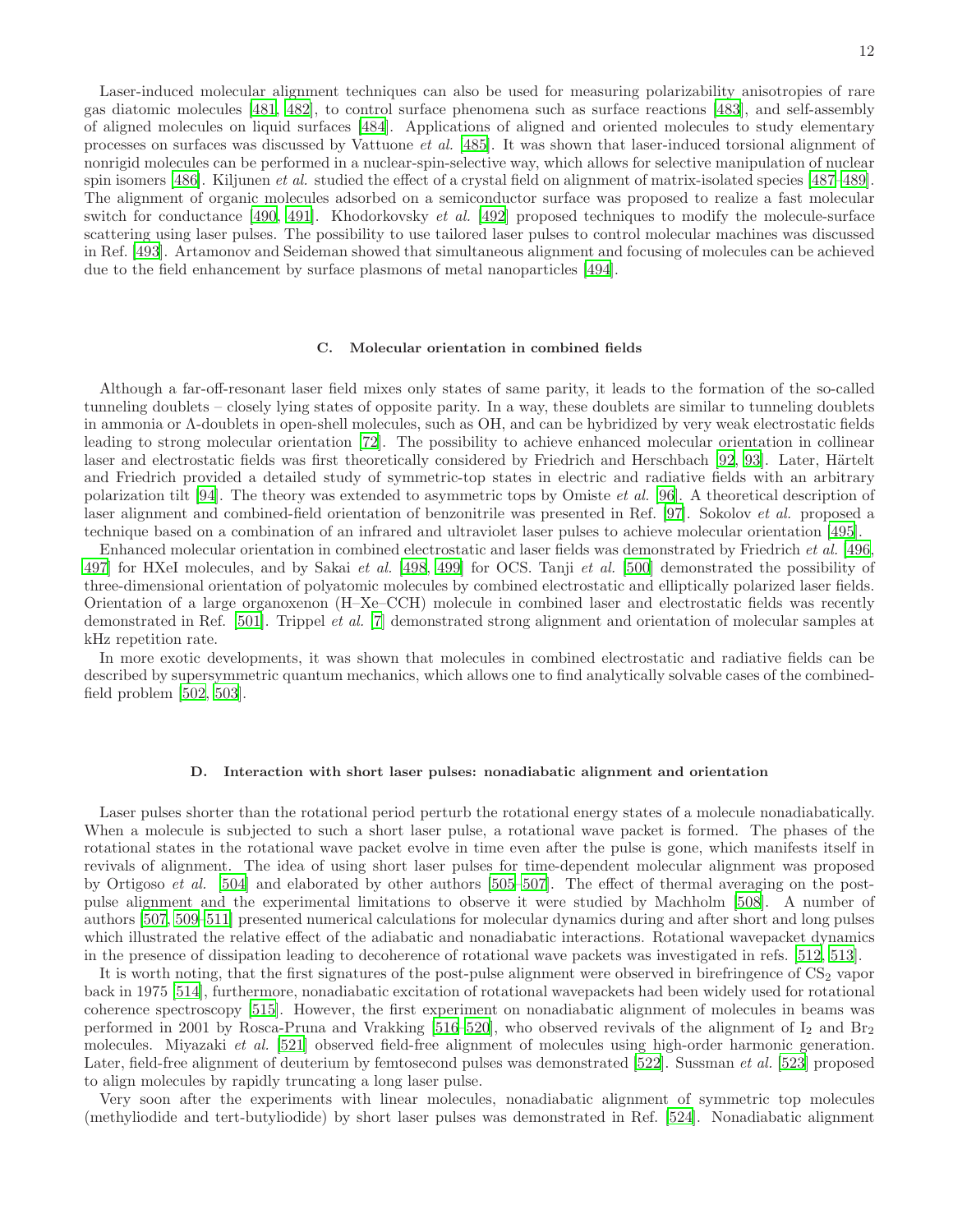Laser-induced molecular alignment techniques can also be used for measuring polarizability anisotropies of rare gas diatomic molecules [\[481](#page-31-3), [482](#page-31-4)], to control surface phenomena such as surface reactions [\[483\]](#page-31-5), and self-assembly of aligned molecules on liquid surfaces [\[484\]](#page-31-6). Applications of aligned and oriented molecules to study elementary processes on surfaces was discussed by Vattuone et al. [\[485\]](#page-31-7). It was shown that laser-induced torsional alignment of nonrigid molecules can be performed in a nuclear-spin-selective way, which allows for selective manipulation of nuclear spin isomers [\[486\]](#page-31-8). Kiljunen *et al.* studied the effect of a crystal field on alignment of matrix-isolated species [\[487](#page-31-9)[–489\]](#page-31-10). The alignment of organic molecules adsorbed on a semiconductor surface was proposed to realize a fast molecular switch for conductance [\[490,](#page-31-11) [491\]](#page-31-12). Khodorkovsky *et al.* [\[492\]](#page-31-13) proposed techniques to modify the molecule-surface scattering using laser pulses. The possibility to use tailored laser pulses to control molecular machines was discussed in Ref. [\[493\]](#page-31-14). Artamonov and Seideman showed that simultaneous alignment and focusing of molecules can be achieved due to the field enhancement by surface plasmons of metal nanoparticles [\[494](#page-31-15)].

# C. Molecular orientation in combined fields

Although a far-off-resonant laser field mixes only states of same parity, it leads to the formation of the so-called tunneling doublets – closely lying states of opposite parity. In a way, these doublets are similar to tunneling doublets in ammonia or Λ-doublets in open-shell molecules, such as OH, and can be hybridized by very weak electrostatic fields leading to strong molecular orientation [\[72\]](#page-23-14). The possibility to achieve enhanced molecular orientation in collinear laser and electrostatic fields was first theoretically considered by Friedrich and Herschbach [\[92](#page-23-26), [93\]](#page-23-27). Later, Härtelt and Friedrich provided a detailed study of symmetric-top states in electric and radiative fields with an arbitrary polarization tilt [\[94](#page-23-28)]. The theory was extended to asymmetric tops by Omiste et al. [\[96\]](#page-23-30). A theoretical description of laser alignment and combined-field orientation of benzonitrile was presented in Ref. [\[97\]](#page-23-42). Sokolov et al. proposed a technique based on a combination of an infrared and ultraviolet laser pulses to achieve molecular orientation [\[495\]](#page-31-16).

Enhanced molecular orientation in combined electrostatic and laser fields was demonstrated by Friedrich et al. [\[496](#page-31-17), [497\]](#page-31-18) for HXeI molecules, and by Sakai et al. [\[498](#page-31-19), [499\]](#page-31-20) for OCS. Tanji et al. [\[500\]](#page-31-21) demonstrated the possibility of three-dimensional orientation of polyatomic molecules by combined electrostatic and elliptically polarized laser fields. Orientation of a large organoxenon (H–Xe–CCH) molecule in combined laser and electrostatic fields was recently demonstrated in Ref. [\[501\]](#page-31-22). Trippel et al. [\[7](#page-22-9)] demonstrated strong alignment and orientation of molecular samples at kHz repetition rate.

In more exotic developments, it was shown that molecules in combined electrostatic and radiative fields can be described by supersymmetric quantum mechanics, which allows one to find analytically solvable cases of the combinedfield problem [\[502](#page-31-23), [503](#page-31-24)].

### <span id="page-11-0"></span>D. Interaction with short laser pulses: nonadiabatic alignment and orientation

Laser pulses shorter than the rotational period perturb the rotational energy states of a molecule nonadiabatically. When a molecule is subjected to such a short laser pulse, a rotational wave packet is formed. The phases of the rotational states in the rotational wave packet evolve in time even after the pulse is gone, which manifests itself in revivals of alignment. The idea of using short laser pulses for time-dependent molecular alignment was proposed by Ortigoso et al. [\[504\]](#page-31-25) and elaborated by other authors [\[505](#page-31-26)[–507\]](#page-31-27). The effect of thermal averaging on the postpulse alignment and the experimental limitations to observe it were studied by Machholm [\[508\]](#page-31-28). A number of authors [\[507](#page-31-27), [509](#page-31-29)[–511\]](#page-31-30) presented numerical calculations for molecular dynamics during and after short and long pulses which illustrated the relative effect of the adiabatic and nonadiabatic interactions. Rotational wavepacket dynamics in the presence of dissipation leading to decoherence of rotational wave packets was investigated in refs. [\[512,](#page-31-31) [513\]](#page-31-32).

It is worth noting, that the first signatures of the post-pulse alignment were observed in birefringence of  $CS_2$  vapor back in 1975 [\[514](#page-31-33)], furthermore, nonadiabatic excitation of rotational wavepackets had been widely used for rotational coherence spectroscopy [\[515\]](#page-31-34). However, the first experiment on nonadiabatic alignment of molecules in beams was performed in 2001 by Rosca-Pruna and Vrakking [\[516](#page-31-35)[–520\]](#page-31-36), who observed revivals of the alignment of  $I_2$  and  $Br_2$ molecules. Miyazaki et al. [\[521](#page-31-37)] observed field-free alignment of molecules using high-order harmonic generation. Later, field-free alignment of deuterium by femtosecond pulses was demonstrated [\[522\]](#page-31-38). Sussman *et al.* [\[523](#page-31-39)] proposed to align molecules by rapidly truncating a long laser pulse.

Very soon after the experiments with linear molecules, nonadiabatic alignment of symmetric top molecules (methyliodide and tert-butyliodide) by short laser pulses was demonstrated in Ref. [\[524\]](#page-31-40). Nonadiabatic alignment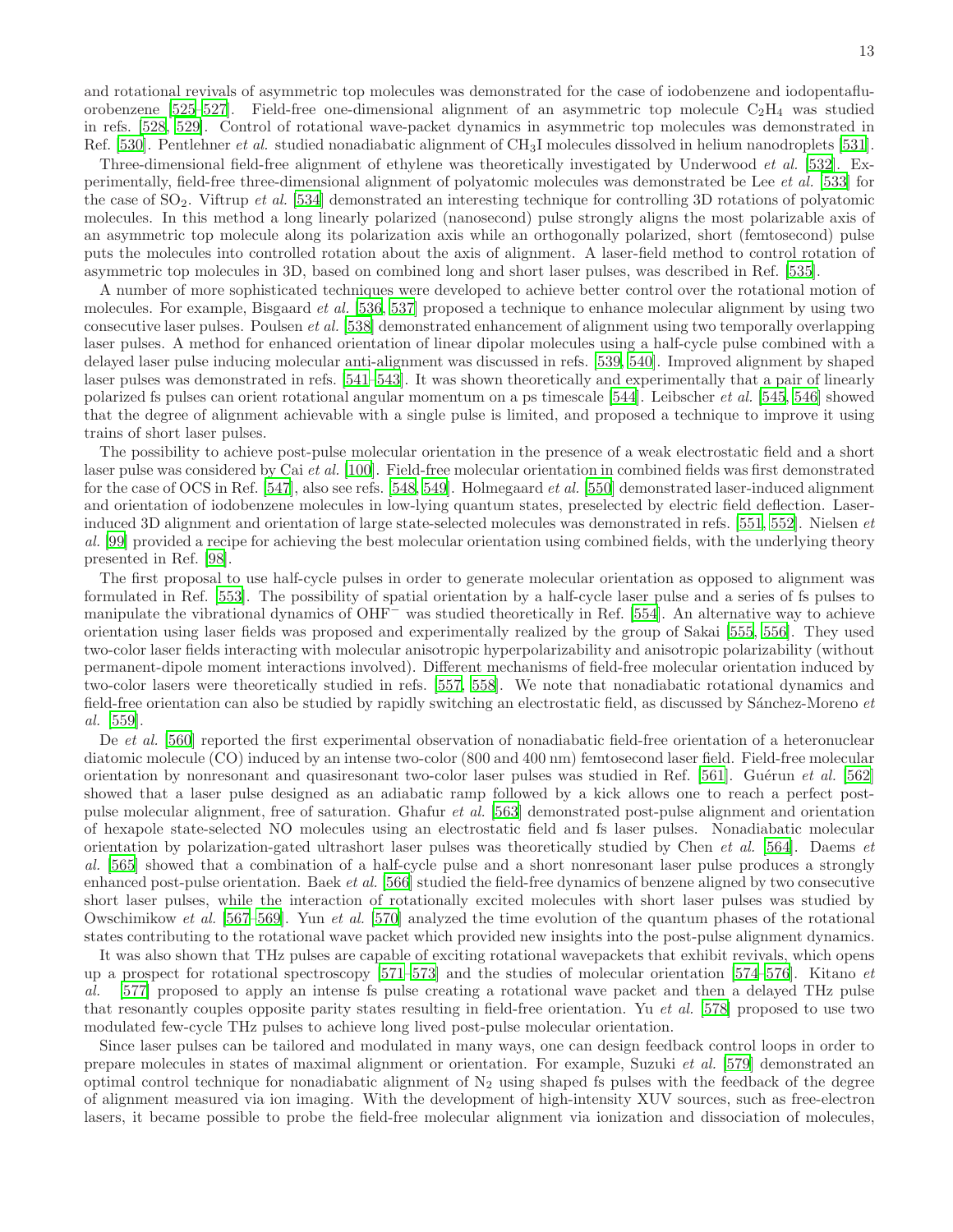and rotational revivals of asymmetric top molecules was demonstrated for the case of iodobenzene and iodopentaflu-orobenzene [\[525](#page-31-41)[–527\]](#page-31-42). Field-free one-dimensional alignment of an asymmetric top molecule  $C_2H_4$  was studied in refs. [\[528,](#page-31-43) [529\]](#page-31-44). Control of rotational wave-packet dynamics in asymmetric top molecules was demonstrated in Ref. [\[530\]](#page-31-45). Pentlehner *et al.* studied nonadiabatic alignment of CH<sub>3</sub>I molecules dissolved in helium nanodroplets [\[531\]](#page-31-46).

Three-dimensional field-free alignment of ethylene was theoretically investigated by Underwood et al. [\[532\]](#page-31-47). Experimentally, field-free three-dimensional alignment of polyatomic molecules was demonstrated be Lee et al. [\[533](#page-31-48)] for the case of  $SO_2$ . Viftrup *et al.* [\[534\]](#page-31-49) demonstrated an interesting technique for controlling 3D rotations of polyatomic molecules. In this method a long linearly polarized (nanosecond) pulse strongly aligns the most polarizable axis of an asymmetric top molecule along its polarization axis while an orthogonally polarized, short (femtosecond) pulse puts the molecules into controlled rotation about the axis of alignment. A laser-field method to control rotation of asymmetric top molecules in 3D, based on combined long and short laser pulses, was described in Ref. [\[535\]](#page-32-0).

A number of more sophisticated techniques were developed to achieve better control over the rotational motion of molecules. For example, Bisgaard *et al.* [\[536,](#page-32-1) [537](#page-32-2)] proposed a technique to enhance molecular alignment by using two consecutive laser pulses. Poulsen et al. [\[538](#page-32-3)] demonstrated enhancement of alignment using two temporally overlapping laser pulses. A method for enhanced orientation of linear dipolar molecules using a half-cycle pulse combined with a delayed laser pulse inducing molecular anti-alignment was discussed in refs. [\[539,](#page-32-4) [540\]](#page-32-5). Improved alignment by shaped laser pulses was demonstrated in refs. [\[541](#page-32-6)[–543](#page-32-7)]. It was shown theoretically and experimentally that a pair of linearly polarized fs pulses can orient rotational angular momentum on a ps timescale [\[544\]](#page-32-8). Leibscher et al. [\[545,](#page-32-9) [546\]](#page-32-10) showed that the degree of alignment achievable with a single pulse is limited, and proposed a technique to improve it using trains of short laser pulses.

The possibility to achieve post-pulse molecular orientation in the presence of a weak electrostatic field and a short laser pulse was considered by Cai et al. [\[100\]](#page-24-1). Field-free molecular orientation in combined fields was first demonstrated for the case of OCS in Ref. [\[547\]](#page-32-11), also see refs. [\[548,](#page-32-12) [549](#page-32-13)]. Holmegaard et al. [\[550\]](#page-32-14) demonstrated laser-induced alignment and orientation of iodobenzene molecules in low-lying quantum states, preselected by electric field deflection. Laserinduced 3D alignment and orientation of large state-selected molecules was demonstrated in refs. [\[551,](#page-32-15) [552\]](#page-32-16). Nielsen et al. [\[99\]](#page-24-0) provided a recipe for achieving the best molecular orientation using combined fields, with the underlying theory presented in Ref. [\[98\]](#page-23-43).

The first proposal to use half-cycle pulses in order to generate molecular orientation as opposed to alignment was formulated in Ref. [\[553\]](#page-32-17). The possibility of spatial orientation by a half-cycle laser pulse and a series of fs pulses to manipulate the vibrational dynamics of OHF<sup>−</sup> was studied theoretically in Ref. [\[554\]](#page-32-18). An alternative way to achieve orientation using laser fields was proposed and experimentally realized by the group of Sakai [\[555](#page-32-19), [556\]](#page-32-20). They used two-color laser fields interacting with molecular anisotropic hyperpolarizability and anisotropic polarizability (without permanent-dipole moment interactions involved). Different mechanisms of field-free molecular orientation induced by two-color lasers were theoretically studied in refs. [\[557,](#page-32-21) [558](#page-32-22)]. We note that nonadiabatic rotational dynamics and field-free orientation can also be studied by rapidly switching an electrostatic field, as discussed by Sánchez-Moreno et al. [\[559\]](#page-32-23).

De et al. [\[560](#page-32-24)] reported the first experimental observation of nonadiabatic field-free orientation of a heteronuclear diatomic molecule (CO) induced by an intense two-color (800 and 400 nm) femtosecond laser field. Field-free molecular orientation by nonresonant and quasiresonant two-color laser pulses was studied in Ref.  $[561]$ . Guérun et al.  $[562]$  $[562]$ showed that a laser pulse designed as an adiabatic ramp followed by a kick allows one to reach a perfect postpulse molecular alignment, free of saturation. Ghafur et al. [\[563](#page-32-27)] demonstrated post-pulse alignment and orientation of hexapole state-selected NO molecules using an electrostatic field and fs laser pulses. Nonadiabatic molecular orientation by polarization-gated ultrashort laser pulses was theoretically studied by Chen et al. [\[564\]](#page-32-28). Daems et al. [\[565\]](#page-32-29) showed that a combination of a half-cycle pulse and a short nonresonant laser pulse produces a strongly enhanced post-pulse orientation. Baek et al. [\[566](#page-32-30)] studied the field-free dynamics of benzene aligned by two consecutive short laser pulses, while the interaction of rotationally excited molecules with short laser pulses was studied by Owschimikow et al. [\[567](#page-32-31)[–569\]](#page-32-32). Yun et al. [\[570\]](#page-32-33) analyzed the time evolution of the quantum phases of the rotational states contributing to the rotational wave packet which provided new insights into the post-pulse alignment dynamics.

It was also shown that THz pulses are capable of exciting rotational wavepackets that exhibit revivals, which opens up a prospect for rotational spectroscopy  $[571–573]$  $[571–573]$  and the studies of molecular orientation  $[574–576]$  $[574–576]$ . Kitano *et* al. [\[577](#page-32-38)] proposed to apply an intense fs pulse creating a rotational wave packet and then a delayed THz pulse that resonantly couples opposite parity states resulting in field-free orientation. Yu et al. [\[578\]](#page-32-39) proposed to use two modulated few-cycle THz pulses to achieve long lived post-pulse molecular orientation.

Since laser pulses can be tailored and modulated in many ways, one can design feedback control loops in order to prepare molecules in states of maximal alignment or orientation. For example, Suzuki et al. [\[579](#page-32-40)] demonstrated an optimal control technique for nonadiabatic alignment of  $N_2$  using shaped fs pulses with the feedback of the degree of alignment measured via ion imaging. With the development of high-intensity XUV sources, such as free-electron lasers, it became possible to probe the field-free molecular alignment via ionization and dissociation of molecules,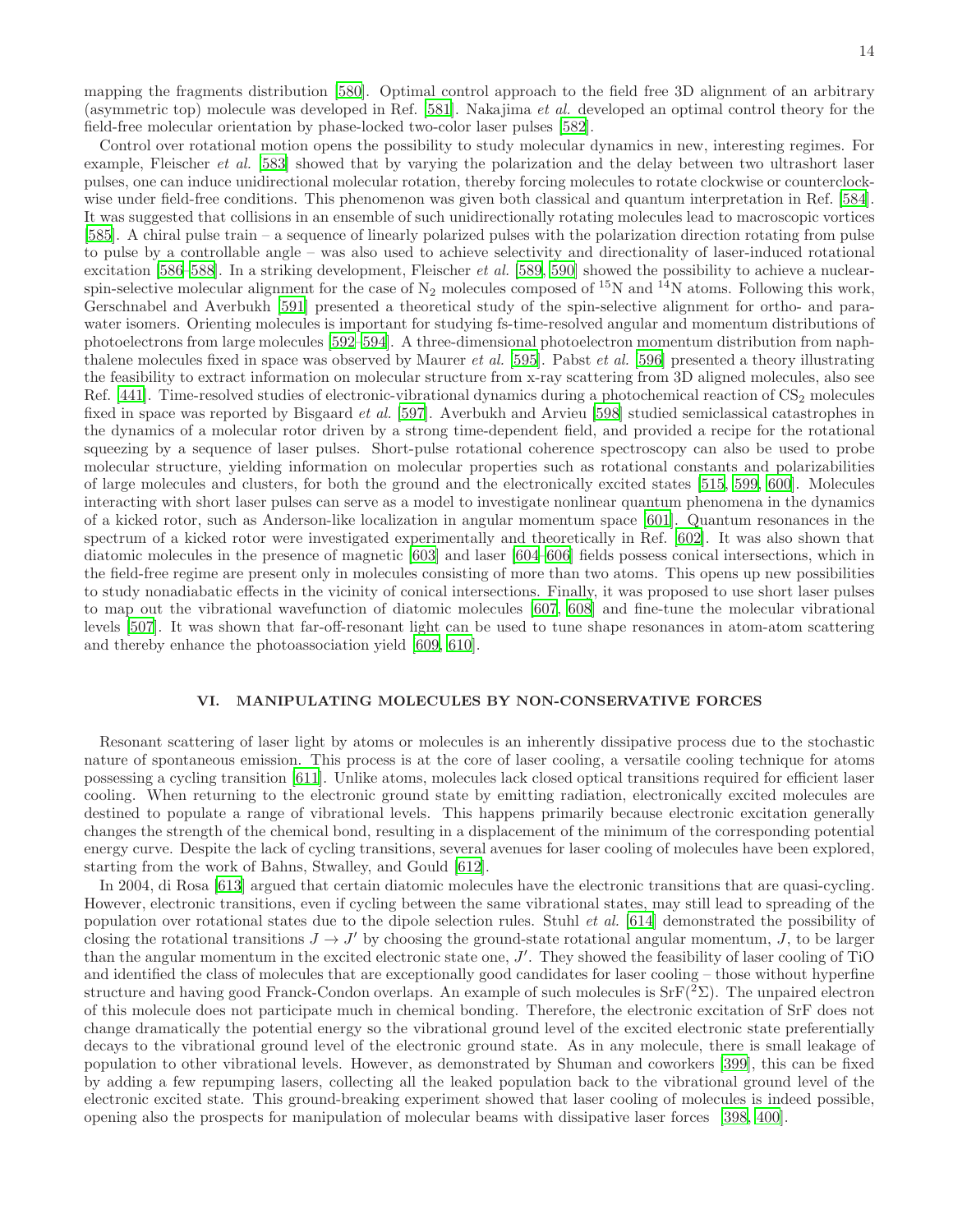mapping the fragments distribution [\[580\]](#page-32-41). Optimal control approach to the field free 3D alignment of an arbitrary (asymmetric top) molecule was developed in Ref. [\[581\]](#page-32-42). Nakajima et al. developed an optimal control theory for the field-free molecular orientation by phase-locked two-color laser pulses [\[582\]](#page-32-43).

Control over rotational motion opens the possibility to study molecular dynamics in new, interesting regimes. For example, Fleischer et al. [\[583\]](#page-32-44) showed that by varying the polarization and the delay between two ultrashort laser pulses, one can induce unidirectional molecular rotation, thereby forcing molecules to rotate clockwise or counterclockwise under field-free conditions. This phenomenon was given both classical and quantum interpretation in Ref. [\[584\]](#page-32-45). It was suggested that collisions in an ensemble of such unidirectionally rotating molecules lead to macroscopic vortices [\[585\]](#page-32-46). A chiral pulse train – a sequence of linearly polarized pulses with the polarization direction rotating from pulse to pulse by a controllable angle – was also used to achieve selectivity and directionality of laser-induced rotational excitation [\[586](#page-32-47)[–588\]](#page-32-48). In a striking development, Fleischer et al. [\[589](#page-32-49), [590](#page-33-0)] showed the possibility to achieve a nuclearspin-selective molecular alignment for the case of  $N_2$  molecules composed of <sup>15</sup>N and <sup>14</sup>N atoms. Following this work, Gerschnabel and Averbukh [\[591\]](#page-33-1) presented a theoretical study of the spin-selective alignment for ortho- and parawater isomers. Orienting molecules is important for studying fs-time-resolved angular and momentum distributions of photoelectrons from large molecules [\[592](#page-33-2)[–594](#page-33-3)]. A three-dimensional photoelectron momentum distribution from naphthalene molecules fixed in space was observed by Maurer *et al.* [\[595](#page-33-4)]. Pabst *et al.* [\[596\]](#page-33-5) presented a theory illustrating the feasibility to extract information on molecular structure from x-ray scattering from 3D aligned molecules, also see Ref.  $[441]$ . Time-resolved studies of electronic-vibrational dynamics during a photochemical reaction of  $CS<sub>2</sub>$  molecules fixed in space was reported by Bisgaard et al. [\[597\]](#page-33-6). Averbukh and Arvieu [\[598\]](#page-33-7) studied semiclassical catastrophes in the dynamics of a molecular rotor driven by a strong time-dependent field, and provided a recipe for the rotational squeezing by a sequence of laser pulses. Short-pulse rotational coherence spectroscopy can also be used to probe molecular structure, yielding information on molecular properties such as rotational constants and polarizabilities of large molecules and clusters, for both the ground and the electronically excited states [\[515,](#page-31-34) [599](#page-33-8), [600\]](#page-33-9). Molecules interacting with short laser pulses can serve as a model to investigate nonlinear quantum phenomena in the dynamics of a kicked rotor, such as Anderson-like localization in angular momentum space [\[601\]](#page-33-10). Quantum resonances in the spectrum of a kicked rotor were investigated experimentally and theoretically in Ref. [\[602\]](#page-33-11). It was also shown that diatomic molecules in the presence of magnetic [\[603\]](#page-33-12) and laser [\[604](#page-33-13)[–606](#page-33-14)] fields possess conical intersections, which in the field-free regime are present only in molecules consisting of more than two atoms. This opens up new possibilities to study nonadiabatic effects in the vicinity of conical intersections. Finally, it was proposed to use short laser pulses to map out the vibrational wavefunction of diatomic molecules [\[607](#page-33-15), [608](#page-33-16)] and fine-tune the molecular vibrational levels [\[507\]](#page-31-27). It was shown that far-off-resonant light can be used to tune shape resonances in atom-atom scattering and thereby enhance the photoassociation yield [\[609](#page-33-17), [610](#page-33-18)].

# <span id="page-13-0"></span>VI. MANIPULATING MOLECULES BY NON-CONSERVATIVE FORCES

Resonant scattering of laser light by atoms or molecules is an inherently dissipative process due to the stochastic nature of spontaneous emission. This process is at the core of laser cooling, a versatile cooling technique for atoms possessing a cycling transition [\[611\]](#page-33-19). Unlike atoms, molecules lack closed optical transitions required for efficient laser cooling. When returning to the electronic ground state by emitting radiation, electronically excited molecules are destined to populate a range of vibrational levels. This happens primarily because electronic excitation generally changes the strength of the chemical bond, resulting in a displacement of the minimum of the corresponding potential energy curve. Despite the lack of cycling transitions, several avenues for laser cooling of molecules have been explored, starting from the work of Bahns, Stwalley, and Gould [\[612](#page-33-20)].

In 2004, di Rosa [\[613](#page-33-21)] argued that certain diatomic molecules have the electronic transitions that are quasi-cycling. However, electronic transitions, even if cycling between the same vibrational states, may still lead to spreading of the population over rotational states due to the dipole selection rules. Stuhl et al. [\[614\]](#page-33-22) demonstrated the possibility of closing the rotational transitions  $J \to J'$  by choosing the ground-state rotational angular momentum, J, to be larger than the angular momentum in the excited electronic state one, J'. They showed the feasibility of laser cooling of TiO and identified the class of molecules that are exceptionally good candidates for laser cooling – those without hyperfine structure and having good Franck-Condon overlaps. An example of such molecules is  $\text{SrF}(2\Sigma)$ . The unpaired electron of this molecule does not participate much in chemical bonding. Therefore, the electronic excitation of SrF does not change dramatically the potential energy so the vibrational ground level of the excited electronic state preferentially decays to the vibrational ground level of the electronic ground state. As in any molecule, there is small leakage of population to other vibrational levels. However, as demonstrated by Shuman and coworkers [\[399](#page-29-44)], this can be fixed by adding a few repumping lasers, collecting all the leaked population back to the vibrational ground level of the electronic excited state. This ground-breaking experiment showed that laser cooling of molecules is indeed possible, opening also the prospects for manipulation of molecular beams with dissipative laser forces [\[398](#page-29-45), [400](#page-29-25)].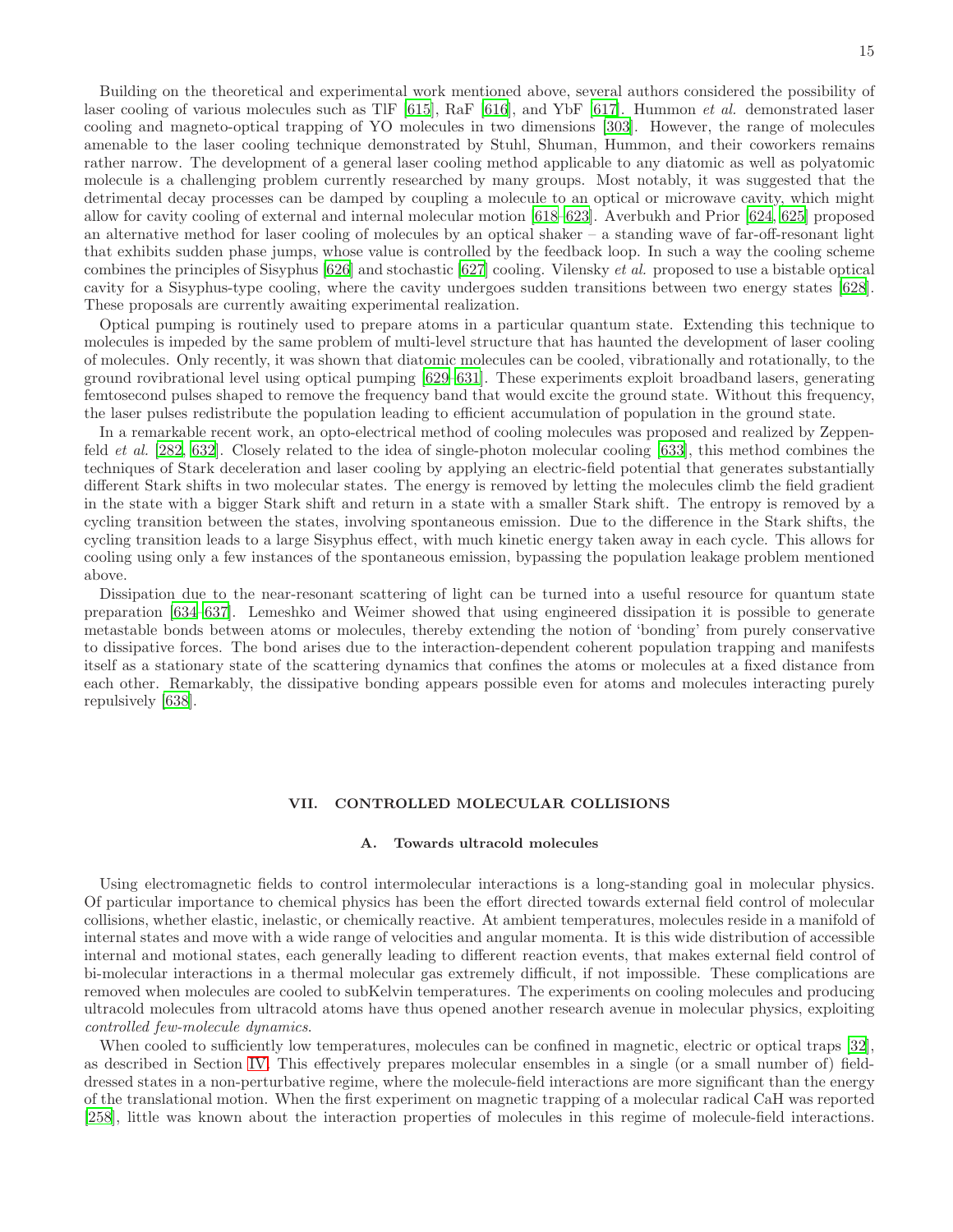Building on the theoretical and experimental work mentioned above, several authors considered the possibility of laser cooling of various molecules such as TlF [\[615\]](#page-33-23), RaF [\[616\]](#page-33-24), and YbF [\[617](#page-33-25)]. Hummon *et al.* demonstrated laser cooling and magneto-optical trapping of YO molecules in two dimensions [\[303\]](#page-27-29). However, the range of molecules amenable to the laser cooling technique demonstrated by Stuhl, Shuman, Hummon, and their coworkers remains rather narrow. The development of a general laser cooling method applicable to any diatomic as well as polyatomic molecule is a challenging problem currently researched by many groups. Most notably, it was suggested that the detrimental decay processes can be damped by coupling a molecule to an optical or microwave cavity, which might allow for cavity cooling of external and internal molecular motion [\[618](#page-33-26)[–623\]](#page-33-27). Averbukh and Prior [\[624,](#page-33-28) [625](#page-33-29)] proposed an alternative method for laser cooling of molecules by an optical shaker  $-$  a standing wave of far-off-resonant light that exhibits sudden phase jumps, whose value is controlled by the feedback loop. In such a way the cooling scheme combines the principles of Sisyphus [\[626\]](#page-33-30) and stochastic [\[627\]](#page-33-31) cooling. Vilensky et al. proposed to use a bistable optical cavity for a Sisyphus-type cooling, where the cavity undergoes sudden transitions between two energy states [\[628\]](#page-33-32). These proposals are currently awaiting experimental realization.

Optical pumping is routinely used to prepare atoms in a particular quantum state. Extending this technique to molecules is impeded by the same problem of multi-level structure that has haunted the development of laser cooling of molecules. Only recently, it was shown that diatomic molecules can be cooled, vibrationally and rotationally, to the ground rovibrational level using optical pumping [\[629–](#page-33-33)[631\]](#page-33-34). These experiments exploit broadband lasers, generating femtosecond pulses shaped to remove the frequency band that would excite the ground state. Without this frequency, the laser pulses redistribute the population leading to efficient accumulation of population in the ground state.

In a remarkable recent work, an opto-electrical method of cooling molecules was proposed and realized by Zeppenfeld et al. [\[282,](#page-27-3) [632](#page-33-35)]. Closely related to the idea of single-photon molecular cooling [\[633\]](#page-33-36), this method combines the techniques of Stark deceleration and laser cooling by applying an electric-field potential that generates substantially different Stark shifts in two molecular states. The energy is removed by letting the molecules climb the field gradient in the state with a bigger Stark shift and return in a state with a smaller Stark shift. The entropy is removed by a cycling transition between the states, involving spontaneous emission. Due to the difference in the Stark shifts, the cycling transition leads to a large Sisyphus effect, with much kinetic energy taken away in each cycle. This allows for cooling using only a few instances of the spontaneous emission, bypassing the population leakage problem mentioned above.

Dissipation due to the near-resonant scattering of light can be turned into a useful resource for quantum state preparation [\[634–](#page-33-37)[637\]](#page-33-38). Lemeshko and Weimer showed that using engineered dissipation it is possible to generate metastable bonds between atoms or molecules, thereby extending the notion of 'bonding' from purely conservative to dissipative forces. The bond arises due to the interaction-dependent coherent population trapping and manifests itself as a stationary state of the scattering dynamics that confines the atoms or molecules at a fixed distance from each other. Remarkably, the dissipative bonding appears possible even for atoms and molecules interacting purely repulsively [\[638](#page-33-39)].

# <span id="page-14-0"></span>VII. CONTROLLED MOLECULAR COLLISIONS

### A. Towards ultracold molecules

Using electromagnetic fields to control intermolecular interactions is a long-standing goal in molecular physics. Of particular importance to chemical physics has been the effort directed towards external field control of molecular collisions, whether elastic, inelastic, or chemically reactive. At ambient temperatures, molecules reside in a manifold of internal states and move with a wide range of velocities and angular momenta. It is this wide distribution of accessible internal and motional states, each generally leading to different reaction events, that makes external field control of bi-molecular interactions in a thermal molecular gas extremely difficult, if not impossible. These complications are removed when molecules are cooled to subKelvin temperatures. The experiments on cooling molecules and producing ultracold molecules from ultracold atoms have thus opened another research avenue in molecular physics, exploiting controlled few-molecule dynamics.

When cooled to sufficiently low temperatures, molecules can be confined in magnetic, electric or optical traps [\[32\]](#page-22-7), as described in Section [IV.](#page-6-0) This effectively prepares molecular ensembles in a single (or a small number of) fielddressed states in a non-perturbative regime, where the molecule-field interactions are more significant than the energy of the translational motion. When the first experiment on magnetic trapping of a molecular radical CaH was reported [\[258\]](#page-26-41), little was known about the interaction properties of molecules in this regime of molecule-field interactions.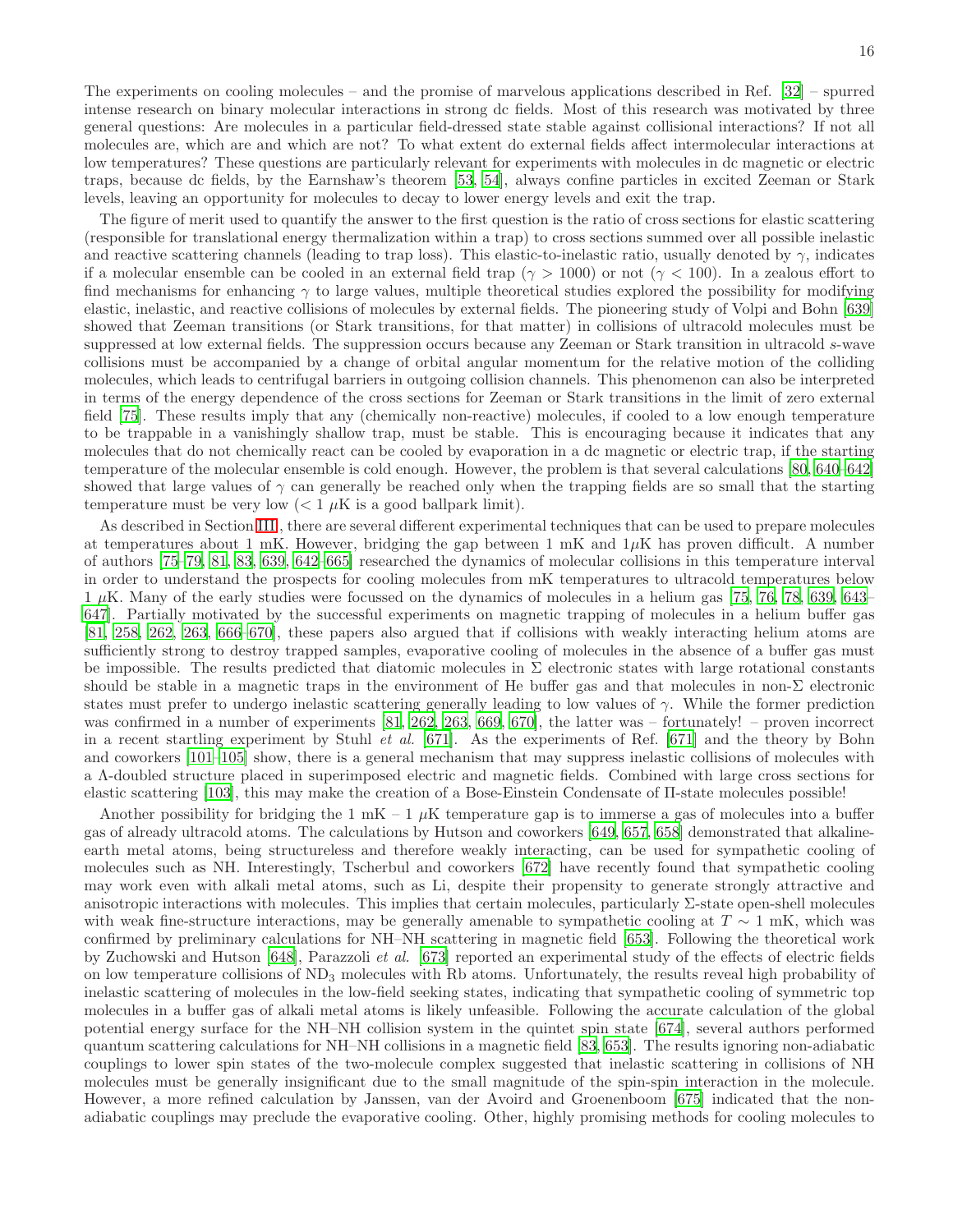The experiments on cooling molecules – and the promise of marvelous applications described in Ref. [\[32](#page-22-7)] – spurred intense research on binary molecular interactions in strong dc fields. Most of this research was motivated by three general questions: Are molecules in a particular field-dressed state stable against collisional interactions? If not all molecules are, which are and which are not? To what extent do external fields affect intermolecular interactions at low temperatures? These questions are particularly relevant for experiments with molecules in dc magnetic or electric traps, because dc fields, by the Earnshaw's theorem [\[53](#page-23-6), [54](#page-23-7)], always confine particles in excited Zeeman or Stark levels, leaving an opportunity for molecules to decay to lower energy levels and exit the trap.

The figure of merit used to quantify the answer to the first question is the ratio of cross sections for elastic scattering (responsible for translational energy thermalization within a trap) to cross sections summed over all possible inelastic and reactive scattering channels (leading to trap loss). This elastic-to-inelastic ratio, usually denoted by  $\gamma$ , indicates if a molecular ensemble can be cooled in an external field trap ( $\gamma > 1000$ ) or not ( $\gamma < 100$ ). In a zealous effort to find mechanisms for enhancing  $\gamma$  to large values, multiple theoretical studies explored the possibility for modifying elastic, inelastic, and reactive collisions of molecules by external fields. The pioneering study of Volpi and Bohn [\[639](#page-33-40)] showed that Zeeman transitions (or Stark transitions, for that matter) in collisions of ultracold molecules must be suppressed at low external fields. The suppression occurs because any Zeeman or Stark transition in ultracold s-wave collisions must be accompanied by a change of orbital angular momentum for the relative motion of the colliding molecules, which leads to centrifugal barriers in outgoing collision channels. This phenomenon can also be interpreted in terms of the energy dependence of the cross sections for Zeeman or Stark transitions in the limit of zero external field [\[75\]](#page-23-17). These results imply that any (chemically non-reactive) molecules, if cooled to a low enough temperature to be trappable in a vanishingly shallow trap, must be stable. This is encouraging because it indicates that any molecules that do not chemically react can be cooled by evaporation in a dc magnetic or electric trap, if the starting temperature of the molecular ensemble is cold enough. However, the problem is that several calculations [\[80,](#page-23-44) [640](#page-33-41)[–642\]](#page-33-42) showed that large values of  $\gamma$  can generally be reached only when the trapping fields are so small that the starting temperature must be very low  $\langle 1 \mu K \rangle$  is a good ballpark limit).

As described in Section [III](#page-4-0) , there are several different experimental techniques that can be used to prepare molecules at temperatures about 1 mK. However, bridging the gap between 1 mK and  $1\mu$ K has proven difficult. A number of authors [\[75](#page-23-17)[–79,](#page-23-45) [81,](#page-23-39) [83](#page-23-46), [639](#page-33-40), [642](#page-33-42)[–665\]](#page-34-0) researched the dynamics of molecular collisions in this temperature interval in order to understand the prospects for cooling molecules from mK temperatures to ultracold temperatures below  $1 \mu$ K. Many of the early studies were focussed on the dynamics of molecules in a helium gas [\[75](#page-23-17), [76,](#page-23-47) [78](#page-23-48), [639,](#page-33-40) [643](#page-33-43)– [647\]](#page-34-1). Partially motivated by the successful experiments on magnetic trapping of molecules in a helium buffer gas [\[81,](#page-23-39) [258,](#page-26-41) [262,](#page-27-8) [263](#page-27-17), [666](#page-34-2)[–670](#page-34-3)], these papers also argued that if collisions with weakly interacting helium atoms are sufficiently strong to destroy trapped samples, evaporative cooling of molecules in the absence of a buffer gas must be impossible. The results predicted that diatomic molecules in  $\Sigma$  electronic states with large rotational constants should be stable in a magnetic traps in the environment of He buffer gas and that molecules in non-Σ electronic states must prefer to undergo inelastic scattering generally leading to low values of  $\gamma$ . While the former prediction was confirmed in a number of experiments [\[81,](#page-23-39) [262](#page-27-8), [263,](#page-27-17) [669,](#page-34-4) [670\]](#page-34-3), the latter was – fortunately! – proven incorrect in a recent startling experiment by Stuhl et al. [\[671\]](#page-34-5). As the experiments of Ref. [\[671\]](#page-34-5) and the theory by Bohn and coworkers [\[101](#page-24-2)[–105\]](#page-24-3) show, there is a general mechanism that may suppress inelastic collisions of molecules with a Λ-doubled structure placed in superimposed electric and magnetic fields. Combined with large cross sections for elastic scattering [\[103](#page-24-44)], this may make the creation of a Bose-Einstein Condensate of Π-state molecules possible!

Another possibility for bridging the 1 mK – 1  $\mu$ K temperature gap is to immerse a gas of molecules into a buffer gas of already ultracold atoms. The calculations by Hutson and coworkers [\[649](#page-34-6), [657,](#page-34-7) [658\]](#page-34-8) demonstrated that alkalineearth metal atoms, being structureless and therefore weakly interacting, can be used for sympathetic cooling of molecules such as NH. Interestingly, Tscherbul and coworkers [\[672\]](#page-34-9) have recently found that sympathetic cooling may work even with alkali metal atoms, such as Li, despite their propensity to generate strongly attractive and anisotropic interactions with molecules. This implies that certain molecules, particularly  $\Sigma$ -state open-shell molecules with weak fine-structure interactions, may be generally amenable to sympathetic cooling at  $T \sim 1$  mK, which was confirmed by preliminary calculations for NH–NH scattering in magnetic field [\[653\]](#page-34-10). Following the theoretical work by Zuchowski and Hutson [\[648\]](#page-34-11), Parazzoli et al. [\[673\]](#page-34-12) reported an experimental study of the effects of electric fields on low temperature collisions of ND<sup>3</sup> molecules with Rb atoms. Unfortunately, the results reveal high probability of inelastic scattering of molecules in the low-field seeking states, indicating that sympathetic cooling of symmetric top molecules in a buffer gas of alkali metal atoms is likely unfeasible. Following the accurate calculation of the global potential energy surface for the NH–NH collision system in the quintet spin state [\[674](#page-34-13)], several authors performed quantum scattering calculations for NH–NH collisions in a magnetic field [\[83](#page-23-46), [653\]](#page-34-10). The results ignoring non-adiabatic couplings to lower spin states of the two-molecule complex suggested that inelastic scattering in collisions of NH molecules must be generally insignificant due to the small magnitude of the spin-spin interaction in the molecule. However, a more refined calculation by Janssen, van der Avoird and Groenenboom [\[675](#page-34-14)] indicated that the nonadiabatic couplings may preclude the evaporative cooling. Other, highly promising methods for cooling molecules to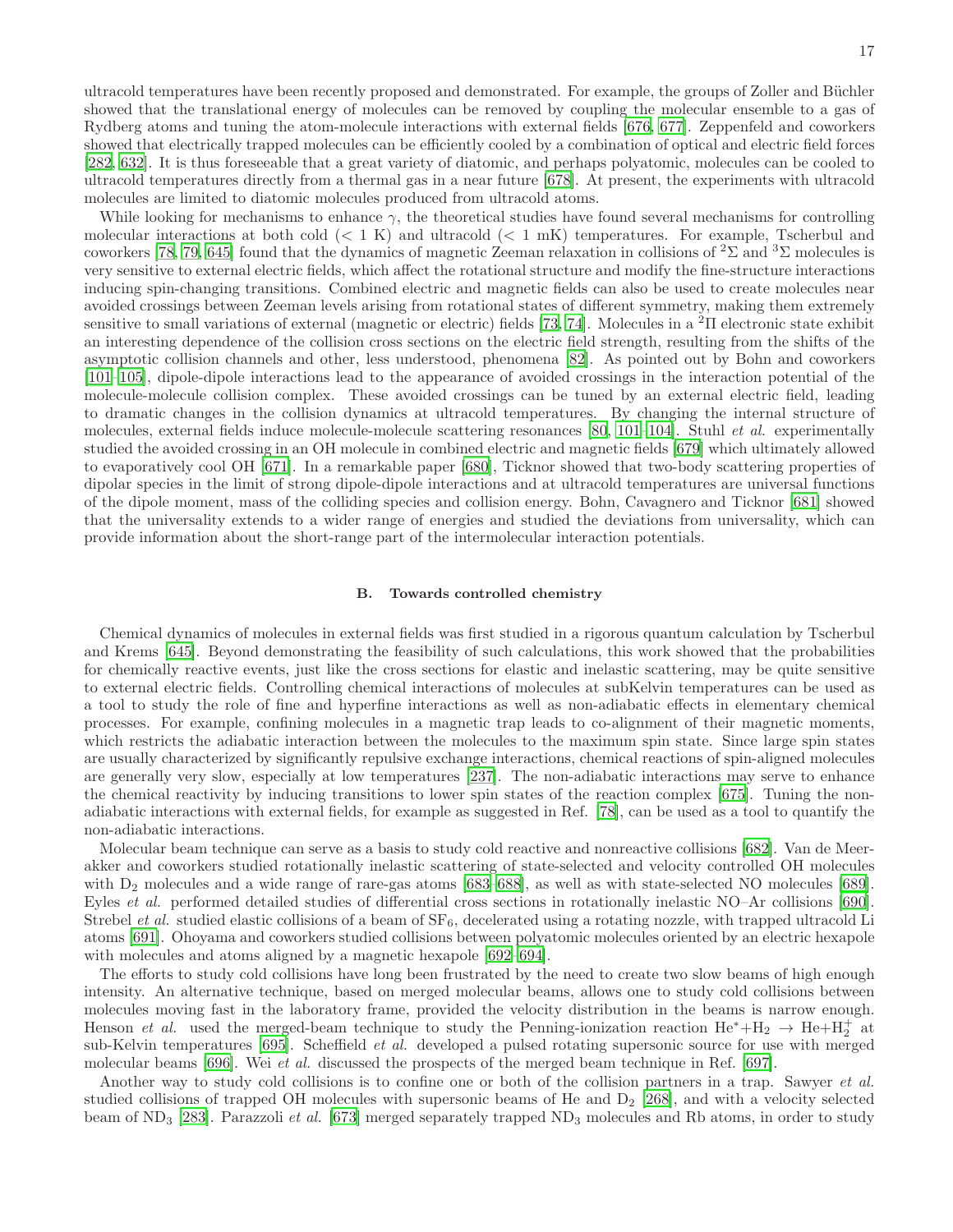ultracold temperatures have been recently proposed and demonstrated. For example, the groups of Zoller and Büchler showed that the translational energy of molecules can be removed by coupling the molecular ensemble to a gas of Rydberg atoms and tuning the atom-molecule interactions with external fields [\[676,](#page-34-15) [677](#page-34-16)]. Zeppenfeld and coworkers showed that electrically trapped molecules can be efficiently cooled by a combination of optical and electric field forces [\[282,](#page-27-3) [632\]](#page-33-35). It is thus foreseeable that a great variety of diatomic, and perhaps polyatomic, molecules can be cooled to ultracold temperatures directly from a thermal gas in a near future [\[678\]](#page-34-17). At present, the experiments with ultracold molecules are limited to diatomic molecules produced from ultracold atoms.

While looking for mechanisms to enhance  $\gamma$ , the theoretical studies have found several mechanisms for controlling molecular interactions at both cold (< 1 K) and ultracold (< 1 mK) temperatures. For example, Tscherbul and coworkers [\[78,](#page-23-48) [79,](#page-23-45) [645](#page-33-44)] found that the dynamics of magnetic Zeeman relaxation in collisions of <sup>2</sup>Σ and <sup>3</sup>Σ molecules is very sensitive to external electric fields, which affect the rotational structure and modify the fine-structure interactions inducing spin-changing transitions. Combined electric and magnetic fields can also be used to create molecules near avoided crossings between Zeeman levels arising from rotational states of different symmetry, making them extremely sensitive to small variations of external (magnetic or electric) fields [\[73,](#page-23-15) [74\]](#page-23-16). Molecules in a  ${}^{2}$ II electronic state exhibit an interesting dependence of the collision cross sections on the electric field strength, resulting from the shifts of the asymptotic collision channels and other, less understood, phenomena [\[82\]](#page-23-49). As pointed out by Bohn and coworkers [\[101](#page-24-2)[–105\]](#page-24-3), dipole-dipole interactions lead to the appearance of avoided crossings in the interaction potential of the molecule-molecule collision complex. These avoided crossings can be tuned by an external electric field, leading to dramatic changes in the collision dynamics at ultracold temperatures. By changing the internal structure of molecules, external fields induce molecule-molecule scattering resonances [\[80](#page-23-44), [101](#page-24-2)[–104\]](#page-24-45). Stuhl et al. experimentally studied the avoided crossing in an OH molecule in combined electric and magnetic fields [\[679\]](#page-34-18) which ultimately allowed to evaporatively cool OH [\[671](#page-34-5)]. In a remarkable paper [\[680\]](#page-34-19), Ticknor showed that two-body scattering properties of dipolar species in the limit of strong dipole-dipole interactions and at ultracold temperatures are universal functions of the dipole moment, mass of the colliding species and collision energy. Bohn, Cavagnero and Ticknor [\[681\]](#page-34-20) showed that the universality extends to a wider range of energies and studied the deviations from universality, which can provide information about the short-range part of the intermolecular interaction potentials.

### B. Towards controlled chemistry

Chemical dynamics of molecules in external fields was first studied in a rigorous quantum calculation by Tscherbul and Krems [\[645](#page-33-44)]. Beyond demonstrating the feasibility of such calculations, this work showed that the probabilities for chemically reactive events, just like the cross sections for elastic and inelastic scattering, may be quite sensitive to external electric fields. Controlling chemical interactions of molecules at subKelvin temperatures can be used as a tool to study the role of fine and hyperfine interactions as well as non-adiabatic effects in elementary chemical processes. For example, confining molecules in a magnetic trap leads to co-alignment of their magnetic moments, which restricts the adiabatic interaction between the molecules to the maximum spin state. Since large spin states are usually characterized by significantly repulsive exchange interactions, chemical reactions of spin-aligned molecules are generally very slow, especially at low temperatures [\[237](#page-26-27)]. The non-adiabatic interactions may serve to enhance the chemical reactivity by inducing transitions to lower spin states of the reaction complex [\[675\]](#page-34-14). Tuning the nonadiabatic interactions with external fields, for example as suggested in Ref. [\[78](#page-23-48)], can be used as a tool to quantify the non-adiabatic interactions.

Molecular beam technique can serve as a basis to study cold reactive and nonreactive collisions [\[682](#page-34-21)]. Van de Meerakker and coworkers studied rotationally inelastic scattering of state-selected and velocity controlled OH molecules with  $D_2$  molecules and a wide range of rare-gas atoms [\[683](#page-34-22)[–688\]](#page-34-23), as well as with state-selected NO molecules [\[689\]](#page-34-24). Eyles et al. performed detailed studies of differential cross sections in rotationally inelastic NO–Ar collisions [\[690\]](#page-34-25). Strebel *et al.* studied elastic collisions of a beam of  $SF_6$ , decelerated using a rotating nozzle, with trapped ultracold Li atoms [\[691\]](#page-34-26). Ohoyama and coworkers studied collisions between polyatomic molecules oriented by an electric hexapole with molecules and atoms aligned by a magnetic hexapole [\[692](#page-34-27)[–694\]](#page-34-28).

The efforts to study cold collisions have long been frustrated by the need to create two slow beams of high enough intensity. An alternative technique, based on merged molecular beams, allows one to study cold collisions between molecules moving fast in the laboratory frame, provided the velocity distribution in the beams is narrow enough. Henson *et al.* used the merged-beam technique to study the Penning-ionization reaction  $He^* + H_2 \rightarrow He + H_2^+$  at sub-Kelvin temperatures [\[695\]](#page-34-29). Scheffield *et al.* developed a pulsed rotating supersonic source for use with merged molecular beams [\[696\]](#page-34-30). Wei et al. discussed the prospects of the merged beam technique in Ref. [\[697\]](#page-35-0).

Another way to study cold collisions is to confine one or both of the collision partners in a trap. Sawyer *et al.* studied collisions of trapped OH molecules with supersonic beams of He and D<sup>2</sup> [\[268\]](#page-27-6), and with a velocity selected beam of  $ND_3$  [\[283](#page-27-7)]. Parazzoli *et al.* [\[673](#page-34-12)] merged separately trapped  $ND_3$  molecules and Rb atoms, in order to study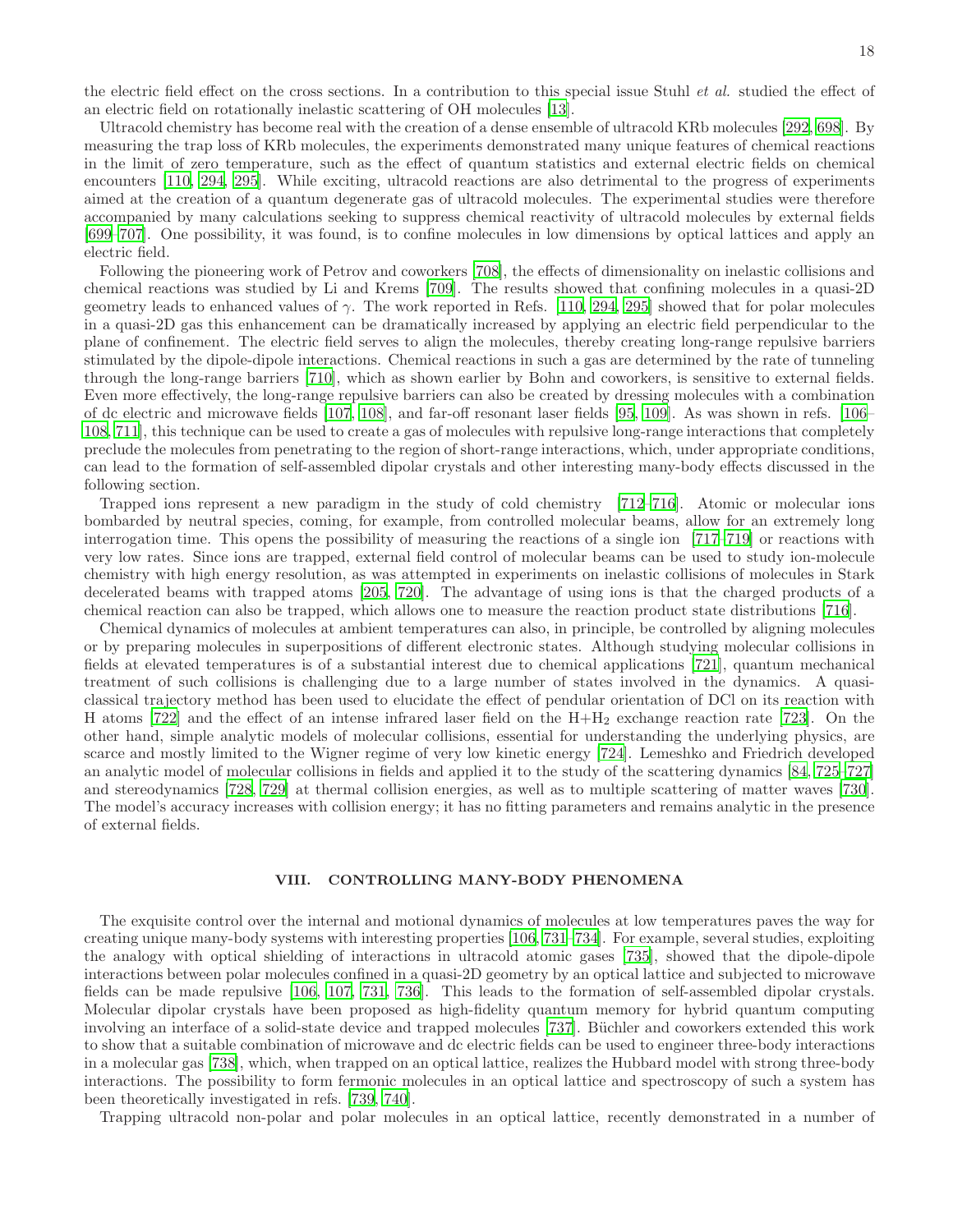the electric field effect on the cross sections. In a contribution to this special issue Stuhl *et al.* studied the effect of an electric field on rotationally inelastic scattering of OH molecules [\[13\]](#page-22-10).

Ultracold chemistry has become real with the creation of a dense ensemble of ultracold KRb molecules [\[292,](#page-27-35) [698](#page-35-1)]. By measuring the trap loss of KRb molecules, the experiments demonstrated many unique features of chemical reactions in the limit of zero temperature, such as the effect of quantum statistics and external electric fields on chemical encounters [\[110](#page-24-8), [294,](#page-27-36) [295\]](#page-27-37). While exciting, ultracold reactions are also detrimental to the progress of experiments aimed at the creation of a quantum degenerate gas of ultracold molecules. The experimental studies were therefore accompanied by many calculations seeking to suppress chemical reactivity of ultracold molecules by external fields [\[699](#page-35-2)[–707\]](#page-35-3). One possibility, it was found, is to confine molecules in low dimensions by optical lattices and apply an electric field.

Following the pioneering work of Petrov and coworkers [\[708\]](#page-35-4), the effects of dimensionality on inelastic collisions and chemical reactions was studied by Li and Krems [\[709\]](#page-35-5). The results showed that confining molecules in a quasi-2D geometry leads to enhanced values of  $\gamma$ . The work reported in Refs. [\[110,](#page-24-8) [294,](#page-27-36) [295\]](#page-27-37) showed that for polar molecules in a quasi-2D gas this enhancement can be dramatically increased by applying an electric field perpendicular to the plane of confinement. The electric field serves to align the molecules, thereby creating long-range repulsive barriers stimulated by the dipole-dipole interactions. Chemical reactions in such a gas are determined by the rate of tunneling through the long-range barriers [\[710\]](#page-35-6), which as shown earlier by Bohn and coworkers, is sensitive to external fields. Even more effectively, the long-range repulsive barriers can also be created by dressing molecules with a combination of dc electric and microwave fields [\[107,](#page-24-5) [108\]](#page-24-6), and far-off resonant laser fields [\[95,](#page-23-29) [109\]](#page-24-7). As was shown in refs. [\[106](#page-24-4)– [108](#page-24-6), [711](#page-35-7)], this technique can be used to create a gas of molecules with repulsive long-range interactions that completely preclude the molecules from penetrating to the region of short-range interactions, which, under appropriate conditions, can lead to the formation of self-assembled dipolar crystals and other interesting many-body effects discussed in the following section.

Trapped ions represent a new paradigm in the study of cold chemistry [\[712](#page-35-8)[–716\]](#page-35-9). Atomic or molecular ions bombarded by neutral species, coming, for example, from controlled molecular beams, allow for an extremely long interrogation time. This opens the possibility of measuring the reactions of a single ion [\[717](#page-35-10)[–719\]](#page-35-11) or reactions with very low rates. Since ions are trapped, external field control of molecular beams can be used to study ion-molecule chemistry with high energy resolution, as was attempted in experiments on inelastic collisions of molecules in Stark decelerated beams with trapped atoms [\[205,](#page-25-42) [720\]](#page-35-12). The advantage of using ions is that the charged products of a chemical reaction can also be trapped, which allows one to measure the reaction product state distributions [\[716\]](#page-35-9).

Chemical dynamics of molecules at ambient temperatures can also, in principle, be controlled by aligning molecules or by preparing molecules in superpositions of different electronic states. Although studying molecular collisions in fields at elevated temperatures is of a substantial interest due to chemical applications [\[721\]](#page-35-13), quantum mechanical treatment of such collisions is challenging due to a large number of states involved in the dynamics. A quasiclassical trajectory method has been used to elucidate the effect of pendular orientation of DCl on its reaction with H atoms [\[722\]](#page-35-14) and the effect of an intense infrared laser field on the  $H+H<sub>2</sub>$  exchange reaction rate [\[723](#page-35-15)]. On the other hand, simple analytic models of molecular collisions, essential for understanding the underlying physics, are scarce and mostly limited to the Wigner regime of very low kinetic energy [\[724\]](#page-35-16). Lemeshko and Friedrich developed an analytic model of molecular collisions in fields and applied it to the study of the scattering dynamics [\[84,](#page-23-18) [725](#page-35-17)[–727\]](#page-35-18) and stereodynamics [\[728,](#page-35-19) [729\]](#page-35-20) at thermal collision energies, as well as to multiple scattering of matter waves [\[730\]](#page-35-21). The model's accuracy increases with collision energy; it has no fitting parameters and remains analytic in the presence of external fields.

# <span id="page-17-0"></span>VIII. CONTROLLING MANY-BODY PHENOMENA

The exquisite control over the internal and motional dynamics of molecules at low temperatures paves the way for creating unique many-body systems with interesting properties [\[106](#page-24-4), [731](#page-35-22)[–734](#page-35-23)]. For example, several studies, exploiting the analogy with optical shielding of interactions in ultracold atomic gases [\[735\]](#page-35-24), showed that the dipole-dipole interactions between polar molecules confined in a quasi-2D geometry by an optical lattice and subjected to microwave fields can be made repulsive [\[106,](#page-24-4) [107,](#page-24-5) [731,](#page-35-22) [736](#page-35-25)]. This leads to the formation of self-assembled dipolar crystals. Molecular dipolar crystals have been proposed as high-fidelity quantum memory for hybrid quantum computing involving an interface of a solid-state device and trapped molecules [\[737\]](#page-35-26). Büchler and coworkers extended this work to show that a suitable combination of microwave and dc electric fields can be used to engineer three-body interactions in a molecular gas [\[738](#page-35-27)], which, when trapped on an optical lattice, realizes the Hubbard model with strong three-body interactions. The possibility to form fermonic molecules in an optical lattice and spectroscopy of such a system has been theoretically investigated in refs. [\[739,](#page-35-28) [740\]](#page-35-29).

Trapping ultracold non-polar and polar molecules in an optical lattice, recently demonstrated in a number of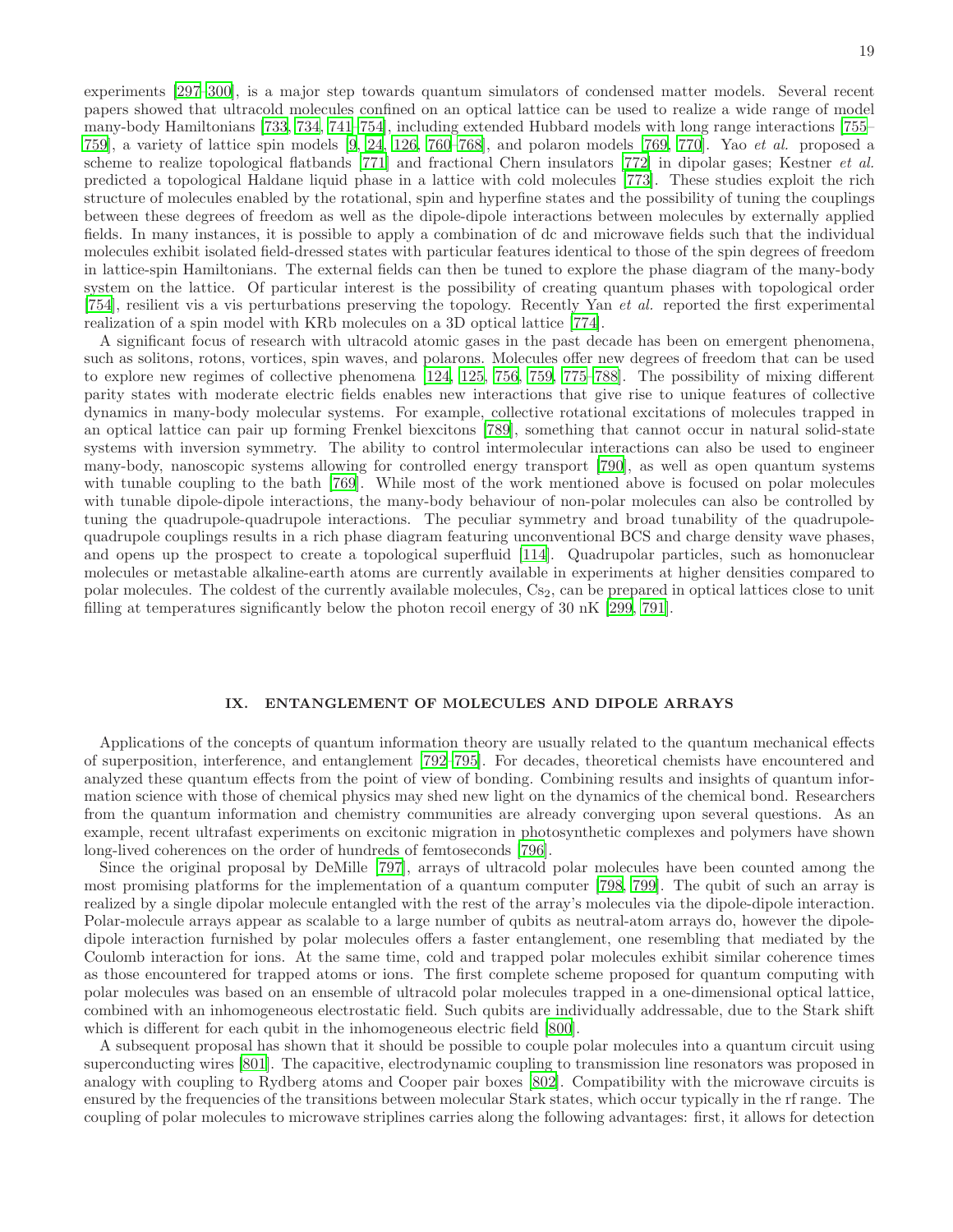experiments [\[297](#page-27-14)[–300\]](#page-27-16), is a major step towards quantum simulators of condensed matter models. Several recent papers showed that ultracold molecules confined on an optical lattice can be used to realize a wide range of model many-body Hamiltonians [\[733,](#page-35-30) [734,](#page-35-23) [741](#page-35-31)[–754](#page-35-32)], including extended Hubbard models with long range interactions [\[755](#page-35-33)– [759](#page-36-0)], a variety of lattice spin models [\[9](#page-22-11), [24](#page-22-12), [126,](#page-24-19) [760](#page-36-1)[–768\]](#page-36-2), and polaron models [\[769,](#page-36-3) [770\]](#page-36-4). Yao et al. proposed a scheme to realize topological flatbands [\[771\]](#page-36-5) and fractional Chern insulators [\[772](#page-36-6)] in dipolar gases; Kestner et al. predicted a topological Haldane liquid phase in a lattice with cold molecules [\[773\]](#page-36-7). These studies exploit the rich structure of molecules enabled by the rotational, spin and hyperfine states and the possibility of tuning the couplings between these degrees of freedom as well as the dipole-dipole interactions between molecules by externally applied fields. In many instances, it is possible to apply a combination of dc and microwave fields such that the individual molecules exhibit isolated field-dressed states with particular features identical to those of the spin degrees of freedom in lattice-spin Hamiltonians. The external fields can then be tuned to explore the phase diagram of the many-body system on the lattice. Of particular interest is the possibility of creating quantum phases with topological order [\[754\]](#page-35-32), resilient vis a vis perturbations preserving the topology. Recently Yan et al. reported the first experimental realization of a spin model with KRb molecules on a 3D optical lattice [\[774\]](#page-36-8).

A significant focus of research with ultracold atomic gases in the past decade has been on emergent phenomena, such as solitons, rotons, vortices, spin waves, and polarons. Molecules offer new degrees of freedom that can be used to explore new regimes of collective phenomena [\[124](#page-24-17), [125](#page-24-18), [756](#page-35-34), [759](#page-36-0), [775](#page-36-9)[–788](#page-36-10)]. The possibility of mixing different parity states with moderate electric fields enables new interactions that give rise to unique features of collective dynamics in many-body molecular systems. For example, collective rotational excitations of molecules trapped in an optical lattice can pair up forming Frenkel biexcitons [\[789\]](#page-36-11), something that cannot occur in natural solid-state systems with inversion symmetry. The ability to control intermolecular interactions can also be used to engineer many-body, nanoscopic systems allowing for controlled energy transport [\[790\]](#page-36-12), as well as open quantum systems with tunable coupling to the bath [\[769\]](#page-36-3). While most of the work mentioned above is focused on polar molecules with tunable dipole-dipole interactions, the many-body behaviour of non-polar molecules can also be controlled by tuning the quadrupole-quadrupole interactions. The peculiar symmetry and broad tunability of the quadrupolequadrupole couplings results in a rich phase diagram featuring unconventional BCS and charge density wave phases, and opens up the prospect to create a topological superfluid [\[114\]](#page-24-10). Quadrupolar particles, such as homonuclear molecules or metastable alkaline-earth atoms are currently available in experiments at higher densities compared to polar molecules. The coldest of the currently available molecules,  $Cs<sub>2</sub>$ , can be prepared in optical lattices close to unit filling at temperatures significantly below the photon recoil energy of 30 nK [\[299,](#page-27-38) [791\]](#page-36-13).

# IX. ENTANGLEMENT OF MOLECULES AND DIPOLE ARRAYS

Applications of the concepts of quantum information theory are usually related to the quantum mechanical effects of superposition, interference, and entanglement [\[792](#page-36-14)[–795\]](#page-36-15). For decades, theoretical chemists have encountered and analyzed these quantum effects from the point of view of bonding. Combining results and insights of quantum information science with those of chemical physics may shed new light on the dynamics of the chemical bond. Researchers from the quantum information and chemistry communities are already converging upon several questions. As an example, recent ultrafast experiments on excitonic migration in photosynthetic complexes and polymers have shown long-lived coherences on the order of hundreds of femtoseconds [\[796\]](#page-36-16).

Since the original proposal by DeMille [\[797\]](#page-36-17), arrays of ultracold polar molecules have been counted among the most promising platforms for the implementation of a quantum computer [\[798](#page-36-18), [799\]](#page-36-19). The qubit of such an array is realized by a single dipolar molecule entangled with the rest of the array's molecules via the dipole-dipole interaction. Polar-molecule arrays appear as scalable to a large number of qubits as neutral-atom arrays do, however the dipoledipole interaction furnished by polar molecules offers a faster entanglement, one resembling that mediated by the Coulomb interaction for ions. At the same time, cold and trapped polar molecules exhibit similar coherence times as those encountered for trapped atoms or ions. The first complete scheme proposed for quantum computing with polar molecules was based on an ensemble of ultracold polar molecules trapped in a one-dimensional optical lattice, combined with an inhomogeneous electrostatic field. Such qubits are individually addressable, due to the Stark shift which is different for each qubit in the inhomogeneous electric field  $[800]$ .

A subsequent proposal has shown that it should be possible to couple polar molecules into a quantum circuit using superconducting wires [\[801\]](#page-36-21). The capacitive, electrodynamic coupling to transmission line resonators was proposed in analogy with coupling to Rydberg atoms and Cooper pair boxes [\[802](#page-36-22)]. Compatibility with the microwave circuits is ensured by the frequencies of the transitions between molecular Stark states, which occur typically in the rf range. The coupling of polar molecules to microwave striplines carries along the following advantages: first, it allows for detection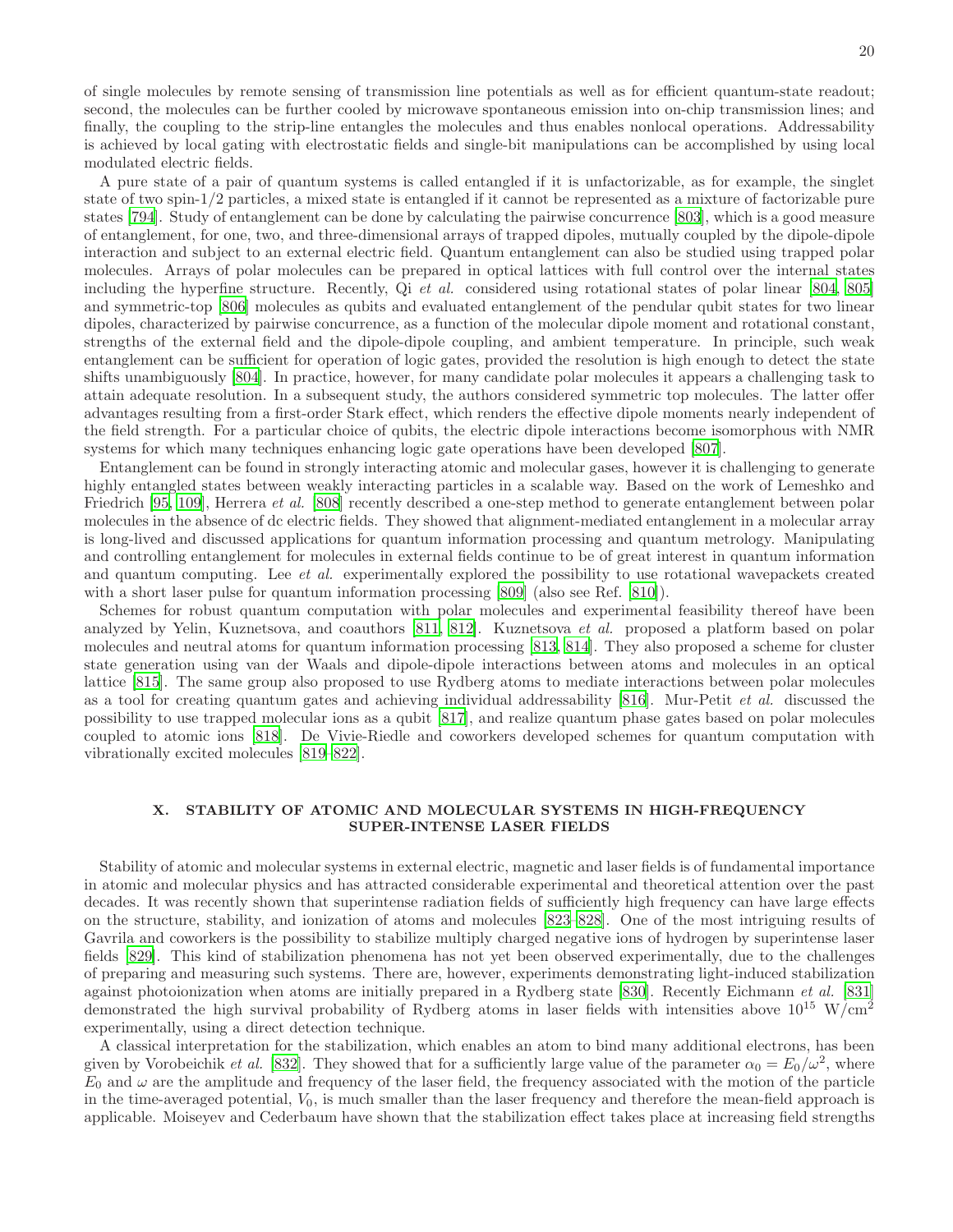of single molecules by remote sensing of transmission line potentials as well as for efficient quantum-state readout; second, the molecules can be further cooled by microwave spontaneous emission into on-chip transmission lines; and finally, the coupling to the strip-line entangles the molecules and thus enables nonlocal operations. Addressability is achieved by local gating with electrostatic fields and single-bit manipulations can be accomplished by using local modulated electric fields.

A pure state of a pair of quantum systems is called entangled if it is unfactorizable, as for example, the singlet state of two spin-1/2 particles, a mixed state is entangled if it cannot be represented as a mixture of factorizable pure states [\[794](#page-36-23)]. Study of entanglement can be done by calculating the pairwise concurrence [\[803\]](#page-36-24), which is a good measure of entanglement, for one, two, and three-dimensional arrays of trapped dipoles, mutually coupled by the dipole-dipole interaction and subject to an external electric field. Quantum entanglement can also be studied using trapped polar molecules. Arrays of polar molecules can be prepared in optical lattices with full control over the internal states including the hyperfine structure. Recently, Qi et al. considered using rotational states of polar linear [\[804](#page-36-25), [805\]](#page-36-26) and symmetric-top [\[806\]](#page-36-27) molecules as qubits and evaluated entanglement of the pendular qubit states for two linear dipoles, characterized by pairwise concurrence, as a function of the molecular dipole moment and rotational constant, strengths of the external field and the dipole-dipole coupling, and ambient temperature. In principle, such weak entanglement can be sufficient for operation of logic gates, provided the resolution is high enough to detect the state shifts unambiguously [\[804](#page-36-25)]. In practice, however, for many candidate polar molecules it appears a challenging task to attain adequate resolution. In a subsequent study, the authors considered symmetric top molecules. The latter offer advantages resulting from a first-order Stark effect, which renders the effective dipole moments nearly independent of the field strength. For a particular choice of qubits, the electric dipole interactions become isomorphous with NMR systems for which many techniques enhancing logic gate operations have been developed [\[807\]](#page-36-28).

Entanglement can be found in strongly interacting atomic and molecular gases, however it is challenging to generate highly entangled states between weakly interacting particles in a scalable way. Based on the work of Lemeshko and Friedrich [\[95,](#page-23-29) [109](#page-24-7)], Herrera *et al.* [\[808](#page-36-29)] recently described a one-step method to generate entanglement between polar molecules in the absence of dc electric fields. They showed that alignment-mediated entanglement in a molecular array is long-lived and discussed applications for quantum information processing and quantum metrology. Manipulating and controlling entanglement for molecules in external fields continue to be of great interest in quantum information and quantum computing. Lee *et al.* experimentally explored the possibility to use rotational wavepackets created with a short laser pulse for quantum information processing [\[809\]](#page-36-30) (also see Ref. [\[810](#page-36-31)]).

Schemes for robust quantum computation with polar molecules and experimental feasibility thereof have been analyzed by Yelin, Kuznetsova, and coauthors [\[811](#page-36-32), [812](#page-36-33)]. Kuznetsova et al. proposed a platform based on polar molecules and neutral atoms for quantum information processing [\[813,](#page-36-34) [814\]](#page-36-35). They also proposed a scheme for cluster state generation using van der Waals and dipole-dipole interactions between atoms and molecules in an optical lattice [\[815\]](#page-37-0). The same group also proposed to use Rydberg atoms to mediate interactions between polar molecules as a tool for creating quantum gates and achieving individual addressability [\[816\]](#page-37-1). Mur-Petit et al. discussed the possibility to use trapped molecular ions as a qubit [\[817\]](#page-37-2), and realize quantum phase gates based on polar molecules coupled to atomic ions [\[818](#page-37-3)]. De Vivie-Riedle and coworkers developed schemes for quantum computation with vibrationally excited molecules [\[819](#page-37-4)[–822](#page-37-5)].

# X. STABILITY OF ATOMIC AND MOLECULAR SYSTEMS IN HIGH-FREQUENCY SUPER-INTENSE LASER FIELDS

Stability of atomic and molecular systems in external electric, magnetic and laser fields is of fundamental importance in atomic and molecular physics and has attracted considerable experimental and theoretical attention over the past decades. It was recently shown that superintense radiation fields of sufficiently high frequency can have large effects on the structure, stability, and ionization of atoms and molecules [\[823](#page-37-6)[–828\]](#page-37-7). One of the most intriguing results of Gavrila and coworkers is the possibility to stabilize multiply charged negative ions of hydrogen by superintense laser fields [\[829\]](#page-37-8). This kind of stabilization phenomena has not yet been observed experimentally, due to the challenges of preparing and measuring such systems. There are, however, experiments demonstrating light-induced stabilization against photoionization when atoms are initially prepared in a Rydberg state [\[830\]](#page-37-9). Recently Eichmann et al. [\[831](#page-37-10)] demonstrated the high survival probability of Rydberg atoms in laser fields with intensities above  $10^{15}$  W/cm<sup>2</sup> experimentally, using a direct detection technique.

A classical interpretation for the stabilization, which enables an atom to bind many additional electrons, has been given by Vorobeichik *et al.* [\[832](#page-37-11)]. They showed that for a sufficiently large value of the parameter  $\alpha_0 = E_0/\omega^2$ , where  $E_0$  and  $\omega$  are the amplitude and frequency of the laser field, the frequency associated with the motion of the particle in the time-averaged potential,  $V_0$ , is much smaller than the laser frequency and therefore the mean-field approach is applicable. Moiseyev and Cederbaum have shown that the stabilization effect takes place at increasing field strengths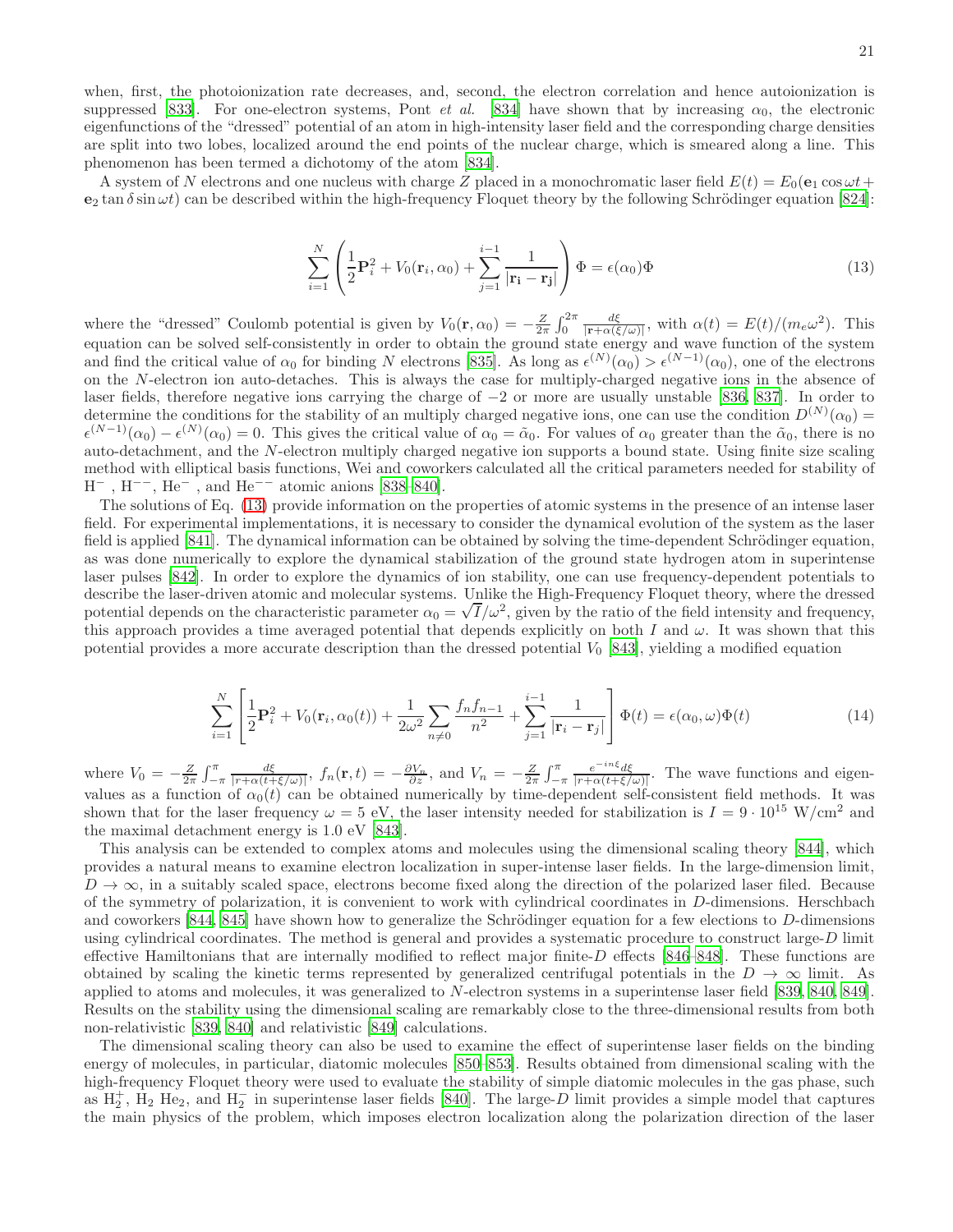21

when, first, the photoionization rate decreases, and, second, the electron correlation and hence autoionization is suppressed [\[833](#page-37-12)]. For one-electron systems, Pont *et al.* [\[834\]](#page-37-13) have shown that by increasing  $\alpha_0$ , the electronic eigenfunctions of the "dressed" potential of an atom in high-intensity laser field and the corresponding charge densities are split into two lobes, localized around the end points of the nuclear charge, which is smeared along a line. This phenomenon has been termed a dichotomy of the atom [\[834\]](#page-37-13).

A system of N electrons and one nucleus with charge Z placed in a monochromatic laser field  $E(t) = E_0(e_1 \cos \omega t +$  $e_2 \tan \delta \sin \omega t$  can be described within the high-frequency Floquet theory by the following Schrödinger equation [\[824\]](#page-37-14):

<span id="page-20-0"></span>
$$
\sum_{i=1}^{N} \left( \frac{1}{2} \mathbf{P}_i^2 + V_0(\mathbf{r}_i, \alpha_0) + \sum_{j=1}^{i-1} \frac{1}{|\mathbf{r}_i - \mathbf{r}_j|} \right) \Phi = \epsilon(\alpha_0) \Phi
$$
\n(13)

where the "dressed" Coulomb potential is given by  $V_0(\mathbf{r}, \alpha_0) = -\frac{Z}{2\pi} \int_0^{2\pi} \frac{d\xi}{|\mathbf{r} + \alpha(\xi/\omega)|}$ , with  $\alpha(t) = E(t)/(m_e \omega^2)$ . This equation can be solved self-consistently in order to obtain the ground state energy and wave function of the system and find the critical value of  $\alpha_0$  for binding N electrons [\[835\]](#page-37-15). As long as  $\epsilon^{(N)}(\alpha_0) > \epsilon^{(N-1)}(\alpha_0)$ , one of the electrons on the N-electron ion auto-detaches. This is always the case for multiply-charged negative ions in the absence of laser fields, therefore negative ions carrying the charge of −2 or more are usually unstable [\[836](#page-37-16), [837\]](#page-37-17). In order to determine the conditions for the stability of an multiply charged negative ions, one can use the condition  $D^{(N)}(\alpha_0)$  $\epsilon^{(N-1)}(\alpha_0) - \epsilon^{(N)}(\alpha_0) = 0$ . This gives the critical value of  $\alpha_0 = \tilde{\alpha}_0$ . For values of  $\alpha_0$  greater than the  $\tilde{\alpha}_0$ , there is no auto-detachment, and the N-electron multiply charged negative ion supports a bound state. Using finite size scaling method with elliptical basis functions, Wei and coworkers calculated all the critical parameters needed for stability of  $H^-$ ,  $H^{--}$ ,  $He^-$ , and  $He^{--}$  atomic anions [\[838](#page-37-18)[–840](#page-37-19)].

The solutions of Eq. [\(13\)](#page-20-0) provide information on the properties of atomic systems in the presence of an intense laser field. For experimental implementations, it is necessary to consider the dynamical evolution of the system as the laser field is applied  $[841]$ . The dynamical information can be obtained by solving the time-dependent Schrödinger equation, as was done numerically to explore the dynamical stabilization of the ground state hydrogen atom in superintense laser pulses [\[842\]](#page-37-21). In order to explore the dynamics of ion stability, one can use frequency-dependent potentials to describe the laser-driven atomic and molecular systems. Unlike the High-Frequency Floquet theory, where the dressed potential depends on the characteristic parameter  $\alpha_0 = \sqrt{I}/\omega^2$ , given by the ratio of the field intensity and frequency, this approach provides a time averaged potential that depends explicitly on both I and  $\omega$ . It was shown that this potential provides a more accurate description than the dressed potential  $V_0$  [\[843](#page-37-22)], yielding a modified equation

$$
\sum_{i=1}^{N} \left[ \frac{1}{2} \mathbf{P}_i^2 + V_0(\mathbf{r}_i, \alpha_0(t)) + \frac{1}{2\omega^2} \sum_{n \neq 0} \frac{f_n f_{n-1}}{n^2} + \sum_{j=1}^{i-1} \frac{1}{|\mathbf{r}_i - \mathbf{r}_j|} \right] \Phi(t) = \epsilon(\alpha_0, \omega) \Phi(t)
$$
(14)

where  $V_0 = -\frac{Z}{2\pi} \int_{-\pi}^{\pi} \frac{d\xi}{|r+\alpha(t+\xi/\omega)|}$ ,  $f_n(\mathbf{r},t) = -\frac{\partial V_n}{\partial z}$ , and  $V_n = -\frac{Z}{2\pi} \int_{-\pi}^{\pi} \frac{e^{-in\xi}d\xi}{|r+\alpha(t+\xi/\omega)|}$ . The wave functions and eigenvalues as a function of  $\alpha_0(t)$  can be obtained numerically by time-dependent self-consistent field methods. It was shown that for the laser frequency  $\omega = 5$  eV, the laser intensity needed for stabilization is  $I = 9 \cdot 10^{15}$  W/cm<sup>2</sup> and the maximal detachment energy is 1.0 eV [\[843\]](#page-37-22).

This analysis can be extended to complex atoms and molecules using the dimensional scaling theory [\[844\]](#page-37-23), which provides a natural means to examine electron localization in super-intense laser fields. In the large-dimension limit,  $D \to \infty$ , in a suitably scaled space, electrons become fixed along the direction of the polarized laser filed. Because of the symmetry of polarization, it is convenient to work with cylindrical coordinates in D-dimensions. Herschbach and coworkers [\[844,](#page-37-23) [845\]](#page-37-24) have shown how to generalize the Schrödinger equation for a few elections to  $D$ -dimensions using cylindrical coordinates. The method is general and provides a systematic procedure to construct large-D limit effective Hamiltonians that are internally modified to reflect major finite-D effects [\[846](#page-37-25)[–848\]](#page-37-26). These functions are obtained by scaling the kinetic terms represented by generalized centrifugal potentials in the  $D \to \infty$  limit. As applied to atoms and molecules, it was generalized to N-electron systems in a superintense laser field [\[839,](#page-37-27) [840,](#page-37-19) [849\]](#page-37-28). Results on the stability using the dimensional scaling are remarkably close to the three-dimensional results from both non-relativistic [\[839](#page-37-27), [840](#page-37-19)] and relativistic [\[849\]](#page-37-28) calculations.

The dimensional scaling theory can also be used to examine the effect of superintense laser fields on the binding energy of molecules, in particular, diatomic molecules [\[850](#page-37-29)[–853\]](#page-37-30). Results obtained from dimensional scaling with the high-frequency Floquet theory were used to evaluate the stability of simple diatomic molecules in the gas phase, such as  $H_2^+$ ,  $H_2$  He<sub>2</sub>, and  $H_2^-$  in superintense laser fields [\[840\]](#page-37-19). The large-D limit provides a simple model that captures the main physics of the problem, which imposes electron localization along the polarization direction of the laser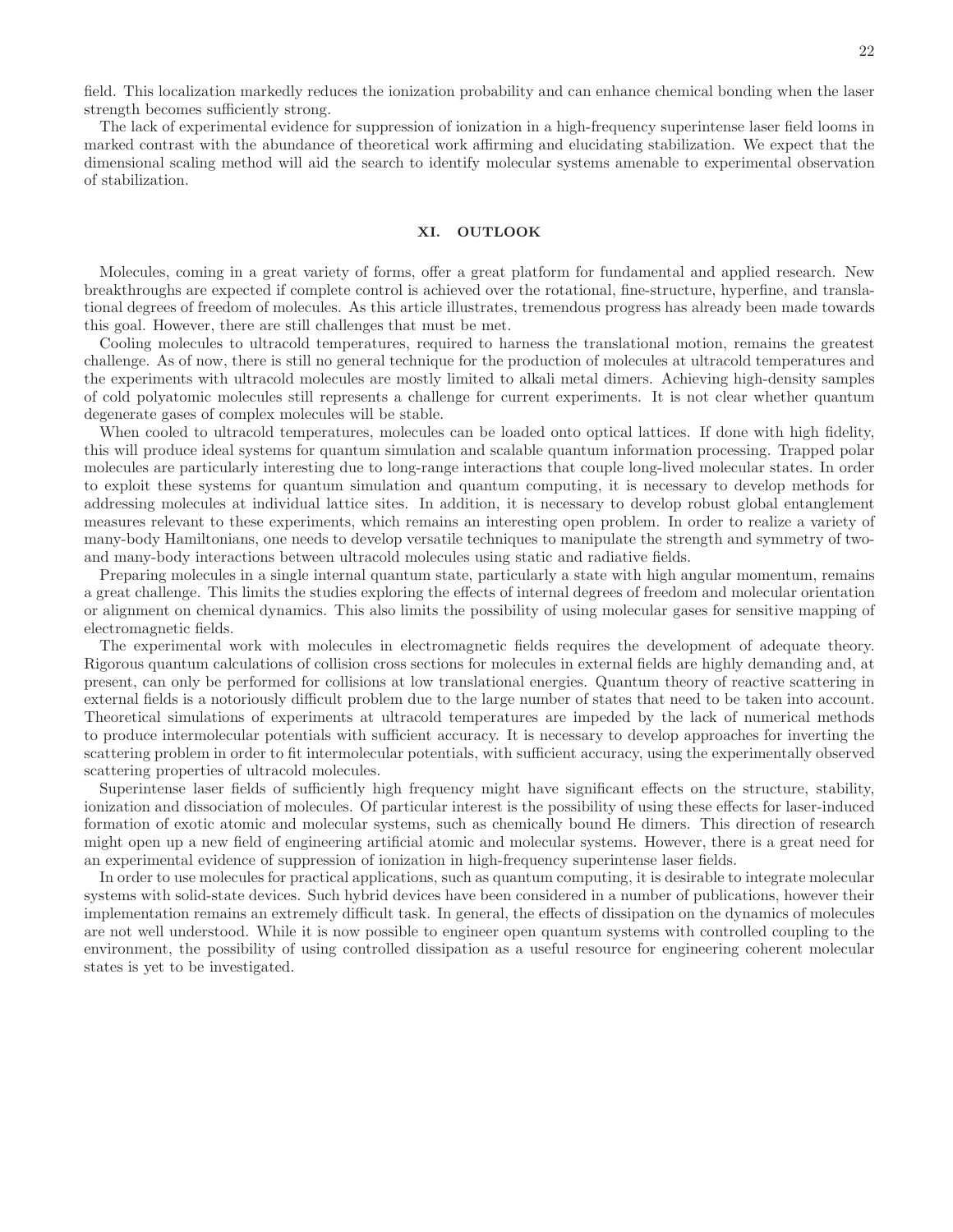field. This localization markedly reduces the ionization probability and can enhance chemical bonding when the laser strength becomes sufficiently strong.

The lack of experimental evidence for suppression of ionization in a high-frequency superintense laser field looms in marked contrast with the abundance of theoretical work affirming and elucidating stabilization. We expect that the dimensional scaling method will aid the search to identify molecular systems amenable to experimental observation of stabilization.

# XI. OUTLOOK

Molecules, coming in a great variety of forms, offer a great platform for fundamental and applied research. New breakthroughs are expected if complete control is achieved over the rotational, fine-structure, hyperfine, and translational degrees of freedom of molecules. As this article illustrates, tremendous progress has already been made towards this goal. However, there are still challenges that must be met.

Cooling molecules to ultracold temperatures, required to harness the translational motion, remains the greatest challenge. As of now, there is still no general technique for the production of molecules at ultracold temperatures and the experiments with ultracold molecules are mostly limited to alkali metal dimers. Achieving high-density samples of cold polyatomic molecules still represents a challenge for current experiments. It is not clear whether quantum degenerate gases of complex molecules will be stable.

When cooled to ultracold temperatures, molecules can be loaded onto optical lattices. If done with high fidelity, this will produce ideal systems for quantum simulation and scalable quantum information processing. Trapped polar molecules are particularly interesting due to long-range interactions that couple long-lived molecular states. In order to exploit these systems for quantum simulation and quantum computing, it is necessary to develop methods for addressing molecules at individual lattice sites. In addition, it is necessary to develop robust global entanglement measures relevant to these experiments, which remains an interesting open problem. In order to realize a variety of many-body Hamiltonians, one needs to develop versatile techniques to manipulate the strength and symmetry of twoand many-body interactions between ultracold molecules using static and radiative fields.

Preparing molecules in a single internal quantum state, particularly a state with high angular momentum, remains a great challenge. This limits the studies exploring the effects of internal degrees of freedom and molecular orientation or alignment on chemical dynamics. This also limits the possibility of using molecular gases for sensitive mapping of electromagnetic fields.

The experimental work with molecules in electromagnetic fields requires the development of adequate theory. Rigorous quantum calculations of collision cross sections for molecules in external fields are highly demanding and, at present, can only be performed for collisions at low translational energies. Quantum theory of reactive scattering in external fields is a notoriously difficult problem due to the large number of states that need to be taken into account. Theoretical simulations of experiments at ultracold temperatures are impeded by the lack of numerical methods to produce intermolecular potentials with sufficient accuracy. It is necessary to develop approaches for inverting the scattering problem in order to fit intermolecular potentials, with sufficient accuracy, using the experimentally observed scattering properties of ultracold molecules.

Superintense laser fields of sufficiently high frequency might have significant effects on the structure, stability, ionization and dissociation of molecules. Of particular interest is the possibility of using these effects for laser-induced formation of exotic atomic and molecular systems, such as chemically bound He dimers. This direction of research might open up a new field of engineering artificial atomic and molecular systems. However, there is a great need for an experimental evidence of suppression of ionization in high-frequency superintense laser fields.

In order to use molecules for practical applications, such as quantum computing, it is desirable to integrate molecular systems with solid-state devices. Such hybrid devices have been considered in a number of publications, however their implementation remains an extremely difficult task. In general, the effects of dissipation on the dynamics of molecules are not well understood. While it is now possible to engineer open quantum systems with controlled coupling to the environment, the possibility of using controlled dissipation as a useful resource for engineering coherent molecular states is yet to be investigated.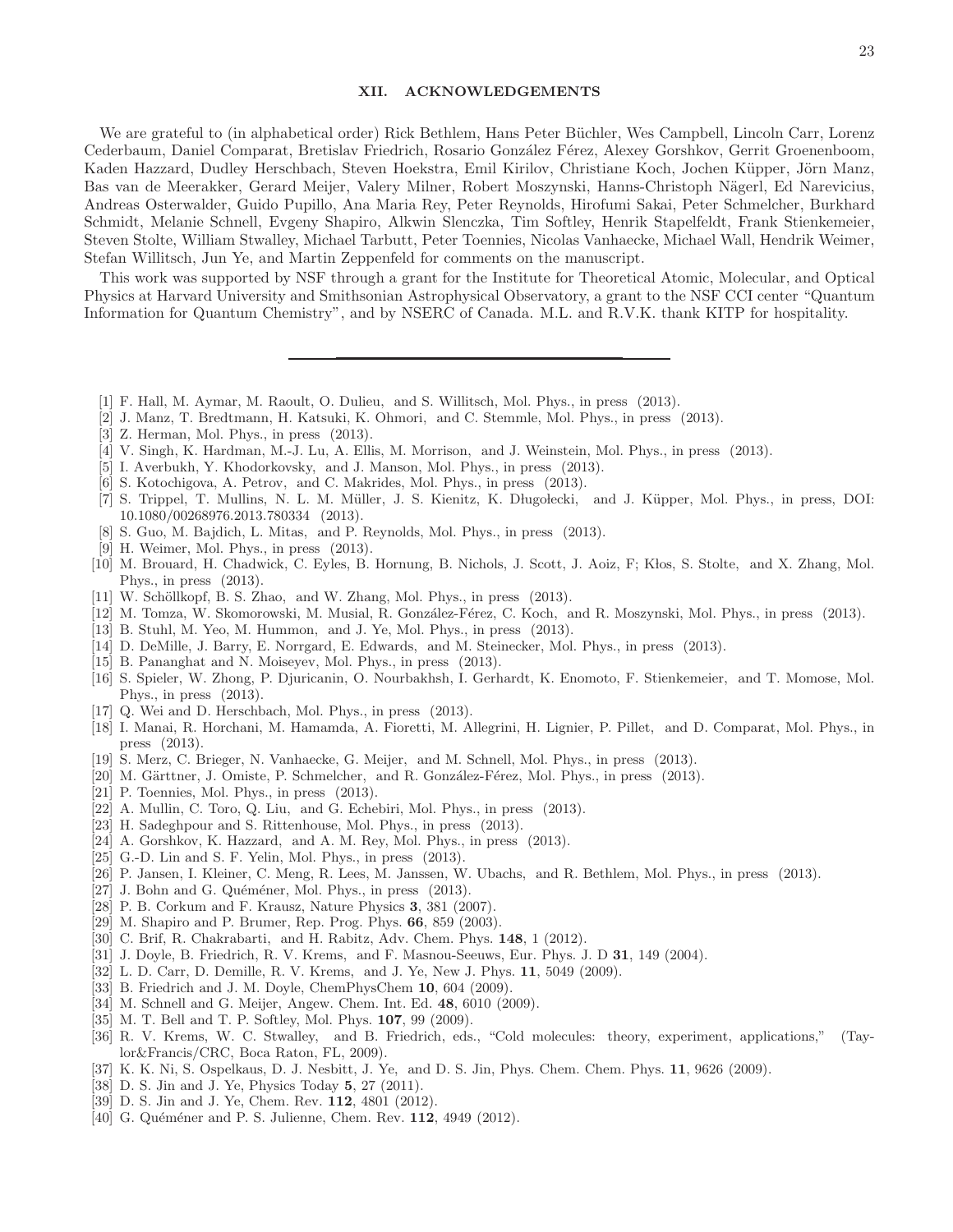### XII. ACKNOWLEDGEMENTS

We are grateful to (in alphabetical order) Rick Bethlem, Hans Peter Büchler, Wes Campbell, Lincoln Carr, Lorenz Cederbaum, Daniel Comparat, Bretislav Friedrich, Rosario González Férez, Alexey Gorshkov, Gerrit Groenenboom, Kaden Hazzard, Dudley Herschbach, Steven Hoekstra, Emil Kirilov, Christiane Koch, Jochen Küpper, Jörn Manz, Bas van de Meerakker, Gerard Meijer, Valery Milner, Robert Moszynski, Hanns-Christoph Nägerl, Ed Narevicius, Andreas Osterwalder, Guido Pupillo, Ana Maria Rey, Peter Reynolds, Hirofumi Sakai, Peter Schmelcher, Burkhard Schmidt, Melanie Schnell, Evgeny Shapiro, Alkwin Slenczka, Tim Softley, Henrik Stapelfeldt, Frank Stienkemeier, Steven Stolte, William Stwalley, Michael Tarbutt, Peter Toennies, Nicolas Vanhaecke, Michael Wall, Hendrik Weimer, Stefan Willitsch, Jun Ye, and Martin Zeppenfeld for comments on the manuscript.

This work was supported by NSF through a grant for the Institute for Theoretical Atomic, Molecular, and Optical Physics at Harvard University and Smithsonian Astrophysical Observatory, a grant to the NSF CCI center "Quantum Information for Quantum Chemistry", and by NSERC of Canada. M.L. and R.V.K. thank KITP for hospitality.

- <span id="page-22-0"></span>[1] F. Hall, M. Aymar, M. Raoult, O. Dulieu, and S. Willitsch, Mol. Phys., in press (2013).
- [2] J. Manz, T. Bredtmann, H. Katsuki, K. Ohmori, and C. Stemmle, Mol. Phys., in press (2013).
- [3] Z. Herman, Mol. Phys., in press (2013).
- [4] V. Singh, K. Hardman, M.-J. Lu, A. Ellis, M. Morrison, and J. Weinstein, Mol. Phys., in press (2013).
- [5] I. Averbukh, Y. Khodorkovsky, and J. Manson, Mol. Phys., in press (2013).
- [6] S. Kotochigova, A. Petrov, and C. Makrides, Mol. Phys., in press (2013).
- <span id="page-22-9"></span>[7] S. Trippel, T. Mullins, N. L. M. Müller, J. S. Kienitz, K. Długołecki, and J. Küpper, Mol. Phys., in press, DOI: 10.1080/00268976.2013.780334 (2013).
- [8] S. Guo, M. Bajdich, L. Mitas, and P. Reynolds, Mol. Phys., in press (2013).
- <span id="page-22-11"></span>[9] H. Weimer, Mol. Phys., in press (2013).
- [10] M. Brouard, H. Chadwick, C. Eyles, B. Hornung, B. Nichols, J. Scott, J. Aoiz, F; Klos, S. Stolte, and X. Zhang, Mol. Phys., in press (2013).
- [11] W. Schöllkopf, B. S. Zhao, and W. Zhang, Mol. Phys., in press (2013).
- [12] M. Tomza, W. Skomorowski, M. Musial, R. González-Férez, C. Koch, and R. Moszynski, Mol. Phys., in press (2013).
- <span id="page-22-10"></span>[13] B. Stuhl, M. Yeo, M. Hummon, and J. Ye, Mol. Phys., in press (2013).
- [14] D. DeMille, J. Barry, E. Norrgard, E. Edwards, and M. Steinecker, Mol. Phys., in press (2013).
- [15] B. Pananghat and N. Moiseyev, Mol. Phys., in press (2013).
- [16] S. Spieler, W. Zhong, P. Djuricanin, O. Nourbakhsh, I. Gerhardt, K. Enomoto, F. Stienkemeier, and T. Momose, Mol. Phys., in press (2013).
- [17] Q. Wei and D. Herschbach, Mol. Phys., in press (2013).
- [18] I. Manai, R. Horchani, M. Hamamda, A. Fioretti, M. Allegrini, H. Lignier, P. Pillet, and D. Comparat, Mol. Phys., in press (2013).
- [19] S. Merz, C. Brieger, N. Vanhaecke, G. Meijer, and M. Schnell, Mol. Phys., in press (2013).
- [20] M. Gärttner, J. Omiste, P. Schmelcher, and R. González-Férez, Mol. Phys., in press (2013).
- [21] P. Toennies, Mol. Phys., in press (2013).
- [22] A. Mullin, C. Toro, Q. Liu, and G. Echebiri, Mol. Phys., in press (2013).
- [23] H. Sadeghpour and S. Rittenhouse, Mol. Phys., in press (2013).
- <span id="page-22-12"></span>[24] A. Gorshkov, K. Hazzard, and A. M. Rey, Mol. Phys., in press (2013).
- [25] G.-D. Lin and S. F. Yelin, Mol. Phys., in press (2013).
- [26] P. Jansen, I. Kleiner, C. Meng, R. Lees, M. Janssen, W. Ubachs, and R. Bethlem, Mol. Phys., in press (2013).
- <span id="page-22-1"></span>[27] J. Bohn and G. Quéméner, Mol. Phys., in press (2013).
- <span id="page-22-2"></span>[28] P. B. Corkum and F. Krausz, Nature Physics 3, 381 (2007).
- <span id="page-22-3"></span>[29] M. Shapiro and P. Brumer, Rep. Prog. Phys. 66, 859 (2003).
- <span id="page-22-4"></span>[30] C. Brif, R. Chakrabarti, and H. Rabitz, Adv. Chem. Phys. 148, 1 (2012).
- <span id="page-22-5"></span>[31] J. Doyle, B. Friedrich, R. V. Krems, and F. Masnou-Seeuws, Eur. Phys. J. D 31, 149 (2004).
- <span id="page-22-7"></span>[32] L. D. Carr, D. Demille, R. V. Krems, and J. Ye, New J. Phys. 11, 5049 (2009).
- <span id="page-22-6"></span>[33] B. Friedrich and J. M. Doyle, ChemPhysChem **10**, 604 (2009).
- [34] M. Schnell and G. Meijer, Angew. Chem. Int. Ed. 48, 6010 (2009).
- [35] M. T. Bell and T. P. Softley, Mol. Phys. **107**, 99 (2009).
- <span id="page-22-8"></span>[36] R. V. Krems, W. C. Stwalley, and B. Friedrich, eds., "Cold molecules: theory, experiment, applications," (Taylor&Francis/CRC, Boca Raton, FL, 2009).
- [37] K. K. Ni, S. Ospelkaus, D. J. Nesbitt, J. Ye, and D. S. Jin, Phys. Chem. Chem. Phys. 11, 9626 (2009).
- [38] D. S. Jin and J. Ye, Physics Today 5, 27 (2011).
- [39] D. S. Jin and J. Ye, Chem. Rev. 112, 4801 (2012).
- [40] G. Quéméner and P. S. Julienne, Chem. Rev. 112, 4949 (2012).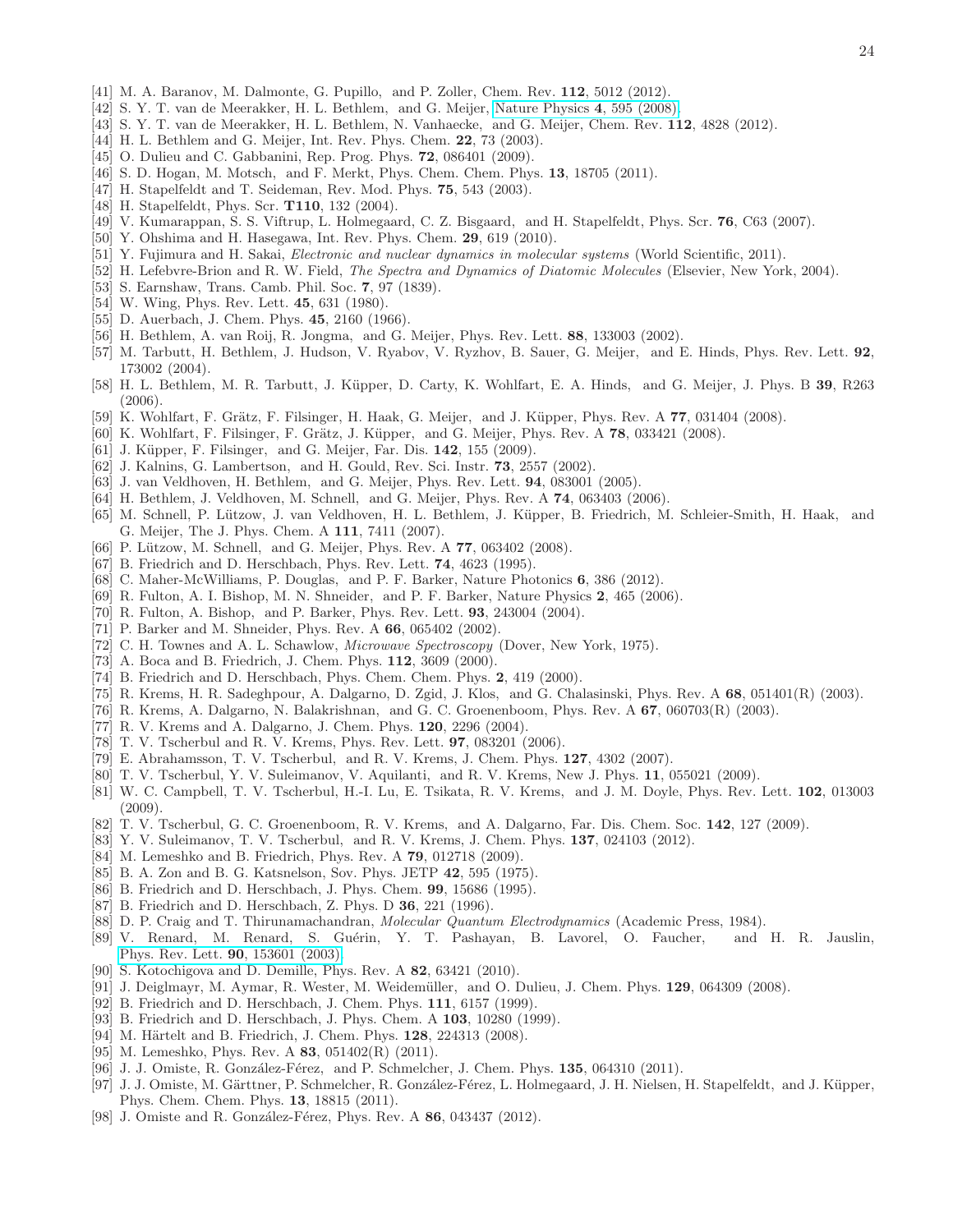- <span id="page-23-0"></span>[41] M. A. Baranov, M. Dalmonte, G. Pupillo, and P. Zoller, Chem. Rev. 112, 5012 (2012).
- <span id="page-23-1"></span>[42] S. Y. T. van de Meerakker, H. L. Bethlem, and G. Meijer, [Nature Physics](http://dx.doi.org/10.1038/nphys1031) 4, 595 (2008).
- [43] S. Y. T. van de Meerakker, H. L. Bethlem, N. Vanhaecke, and G. Meijer, Chem. Rev. 112, 4828 (2012).
- [44] H. L. Bethlem and G. Meijer, Int. Rev. Phys. Chem. **22**, 73 (2003).
- [45] O. Dulieu and C. Gabbanini, Rep. Prog. Phys. **72**, 086401 (2009).
- <span id="page-23-2"></span>[46] S. D. Hogan, M. Motsch, and F. Merkt, Phys. Chem. Chem. Phys. 13, 18705 (2011).
- <span id="page-23-3"></span>[47] H. Stapelfeldt and T. Seideman, Rev. Mod. Phys. 75, 543 (2003).
- [48] H. Stapelfeldt, Phys. Scr. **T110**, 132 (2004).
- [49] V. Kumarappan, S. S. Viftrup, L. Holmegaard, C. Z. Bisgaard, and H. Stapelfeldt, Phys. Scr. 76, C63 (2007).
- [50] Y. Ohshima and H. Hasegawa, Int. Rev. Phys. Chem. 29, 619 (2010).
- <span id="page-23-4"></span>[51] Y. Fujimura and H. Sakai, *Electronic and nuclear dynamics in molecular systems* (World Scientific, 2011).
- <span id="page-23-5"></span>[52] H. Lefebvre-Brion and R. W. Field, *The Spectra and Dynamics of Diatomic Molecules* (Elsevier, New York, 2004).
- <span id="page-23-6"></span>[53] S. Earnshaw, Trans. Camb. Phil. Soc. 7, 97 (1839).
- <span id="page-23-7"></span>[54] W. Wing, Phys. Rev. Lett. **45**, 631 (1980).
- <span id="page-23-8"></span>[55] D. Auerbach, J. Chem. Phys. **45**, 2160 (1966).
- <span id="page-23-34"></span>[56] H. Bethlem, A. van Roij, R. Jongma, and G. Meijer, Phys. Rev. Lett. 88, 133003 (2002).
- <span id="page-23-35"></span>[57] M. Tarbutt, H. Bethlem, J. Hudson, V. Ryabov, V. Ryzhov, B. Sauer, G. Meijer, and E. Hinds, Phys. Rev. Lett. 92, 173002 (2004).
- <span id="page-23-31"></span>[58] H. L. Bethlem, M. R. Tarbutt, J. Küpper, D. Carty, K. Wohlfart, E. A. Hinds, and G. Meijer, J. Phys. B 39, R263 (2006).
- <span id="page-23-33"></span>[59] K. Wohlfart, F. Grätz, F. Filsinger, H. Haak, G. Meijer, and J. Küpper, Phys. Rev. A 77, 031404 (2008).
- <span id="page-23-32"></span>[60] K. Wohlfart, F. Filsinger, F. Grätz, J. Küpper, and G. Meijer, Phys. Rev. A  $78$ , 033421 (2008).
- [61] J. Küpper, F. Filsinger, and G. Meijer, Far. Dis. 142, 155 (2009).
- <span id="page-23-9"></span>[62] J. Kalnins, G. Lambertson, and H. Gould, Rev. Sci. Instr. 73, 2557 (2002).
- <span id="page-23-10"></span>[63] J. van Veldhoven, H. Bethlem, and G. Meijer, Phys. Rev. Lett. 94, 083001 (2005).
- <span id="page-23-40"></span>[64] H. Bethlem, J. Veldhoven, M. Schnell, and G. Meijer, Phys. Rev. A 74, 063403 (2006).
- <span id="page-23-41"></span>[65] M. Schnell, P. L¨utzow, J. van Veldhoven, H. L. Bethlem, J. K¨upper, B. Friedrich, M. Schleier-Smith, H. Haak, and G. Meijer, The J. Phys. Chem. A 111, 7411 (2007).
- <span id="page-23-11"></span>[66] P. Lützow, M. Schnell, and G. Meijer, Phys. Rev. A 77, 063402 (2008).
- <span id="page-23-12"></span>[67] B. Friedrich and D. Herschbach, Phys. Rev. Lett. **74**, 4623 (1995).
- <span id="page-23-36"></span>[68] C. Maher-McWilliams, P. Douglas, and P. F. Barker, Nature Photonics 6, 386 (2012).
- <span id="page-23-37"></span>[69] R. Fulton, A. I. Bishop, M. N. Shneider, and P. F. Barker, Nature Physics 2, 465 (2006).
- <span id="page-23-38"></span>[70] R. Fulton, A. Bishop, and P. Barker, Phys. Rev. Lett. 93, 243004 (2004).
- <span id="page-23-13"></span>[71] P. Barker and M. Shneider, Phys. Rev. A 66, 065402 (2002).
- <span id="page-23-14"></span>[72] C. H. Townes and A. L. Schawlow, *Microwave Spectroscopy* (Dover, New York, 1975).
- <span id="page-23-15"></span>[73] A. Boca and B. Friedrich, J. Chem. Phys. **112**, 3609 (2000).
- <span id="page-23-16"></span>[74] B. Friedrich and D. Herschbach, Phys. Chem. Chem. Phys. 2, 419 (2000).
- <span id="page-23-17"></span>[75] R. Krems, H. R. Sadeghpour, A. Dalgarno, D. Zgid, J. Klos, and G. Chalasinski, Phys. Rev. A 68, 051401(R) (2003).
- <span id="page-23-47"></span>[76] R. Krems, A. Dalgarno, N. Balakrishnan, and G. C. Groenenboom, Phys. Rev. A 67, 060703(R) (2003).
- [77] R. V. Krems and A. Dalgarno, J. Chem. Phys. **120**, 2296 (2004).
- <span id="page-23-48"></span>[78] T. V. Tscherbul and R. V. Krems, Phys. Rev. Lett. 97, 083201 (2006).
- <span id="page-23-45"></span>[79] E. Abrahamsson, T. V. Tscherbul, and R. V. Krems, J. Chem. Phys. 127, 4302 (2007).
- <span id="page-23-44"></span>[80] T. V. Tscherbul, Y. V. Suleimanov, V. Aquilanti, and R. V. Krems, New J. Phys. 11, 055021 (2009).
- <span id="page-23-39"></span>[81] W. C. Campbell, T. V. Tscherbul, H.-I. Lu, E. Tsikata, R. V. Krems, and J. M. Doyle, Phys. Rev. Lett. 102, 013003  $(2009).$
- <span id="page-23-49"></span>[82] T. V. Tscherbul, G. C. Groenenboom, R. V. Krems, and A. Dalgarno, Far. Dis. Chem. Soc. 142, 127 (2009).
- <span id="page-23-46"></span>[83] Y. V. Suleimanov, T. V. Tscherbul, and R. V. Krems, J. Chem. Phys. **137**, 024103 (2012).
- <span id="page-23-18"></span>[84] M. Lemeshko and B. Friedrich, Phys. Rev. A **79**, 012718 (2009).
- <span id="page-23-19"></span>[85] B. A. Zon and B. G. Katsnelson, Sov. Phys. JETP 42, 595 (1975).
- <span id="page-23-20"></span>[86] B. Friedrich and D. Herschbach, J. Phys. Chem. **99**, 15686 (1995).
- <span id="page-23-21"></span>[87] B. Friedrich and D. Herschbach, Z. Phys. D 36, 221 (1996).
- <span id="page-23-22"></span>[88] D. P. Craig and T. Thirunamachandran, *Molecular Quantum Electrodynamics* (Academic Press, 1984).
- <span id="page-23-23"></span>[89] V. Renard, M. Renard, S. Guérin, Y. T. Pashayan, B. Lavorel, O. Faucher, and H. R. Jauslin, [Phys. Rev. Lett.](http://dx.doi.org/ 10.1103/PhysRevLett.90.153601) 90, 153601 (2003).
- <span id="page-23-24"></span>[90] S. Kotochigova and D. Demille, Phys. Rev. A 82, 63421 (2010).
- <span id="page-23-25"></span>[91] J. Deiglmayr, M. Aymar, R. Wester, M. Weidem¨uller, and O. Dulieu, J. Chem. Phys. 129, 064309 (2008).
- <span id="page-23-26"></span>[92] B. Friedrich and D. Herschbach, J. Chem. Phys. 111, 6157 (1999).
- <span id="page-23-27"></span>[93] B. Friedrich and D. Herschbach, J. Phys. Chem. A **103**, 10280 (1999).
- <span id="page-23-28"></span>[94] M. Härtelt and B. Friedrich, J. Chem. Phys. 128, 224313 (2008).
- <span id="page-23-29"></span>[95] M. Lemeshko, Phys. Rev. A 83, 051402(R) (2011).
- <span id="page-23-30"></span>[96] J. J. Omiste, R. González-Férez, and P. Schmelcher, J. Chem. Phys. 135, 064310 (2011).
- <span id="page-23-42"></span>[97] J. J. Omiste, M. Gärttner, P. Schmelcher, R. González-Férez, L. Holmegaard, J. H. Nielsen, H. Stapelfeldt, and J. Küpper, Phys. Chem. Chem. Phys. 13, 18815 (2011).
- <span id="page-23-43"></span>[98] J. Omiste and R. González-Férez, Phys. Rev. A 86, 043437 (2012).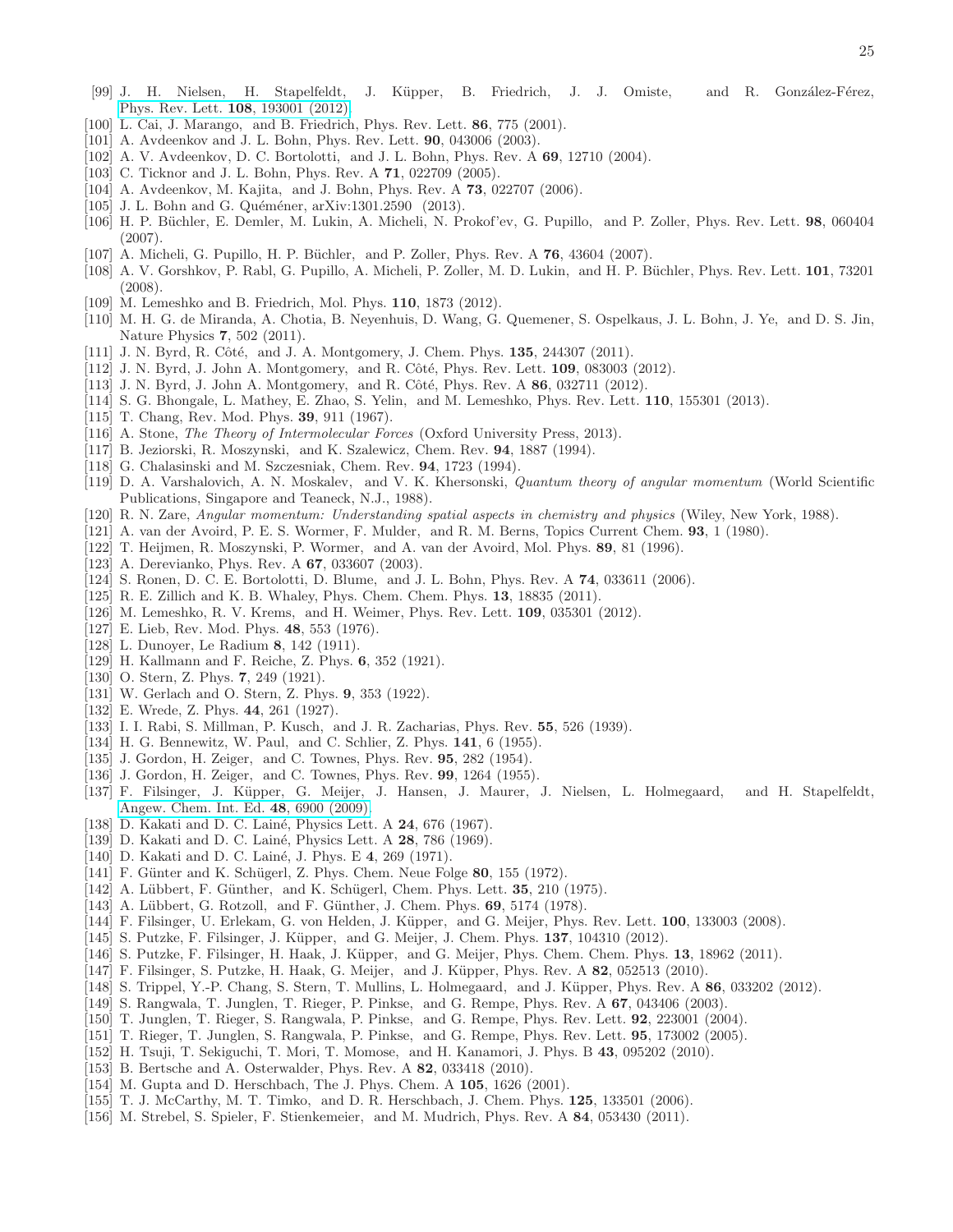- <span id="page-24-0"></span>[99] J. H. Nielsen, H. Stapelfeldt, J. Küpper, B. Friedrich, J. J. Omiste, and R. González-Férez, [Phys. Rev. Lett.](http://dx.doi.org/10.1103/PhysRevLett.108.193001) 108, 193001 (2012).
- <span id="page-24-1"></span>[100] L. Cai, J. Marango, and B. Friedrich, Phys. Rev. Lett. 86, 775 (2001).
- <span id="page-24-2"></span>[101] A. Avdeenkov and J. L. Bohn, Phys. Rev. Lett. **90**, 043006 (2003).
- [102] A. V. Avdeenkov, D. C. Bortolotti, and J. L. Bohn, Phys. Rev. A 69, 12710 (2004).
- <span id="page-24-44"></span>[103] C. Ticknor and J. L. Bohn, Phys. Rev. A 71, 022709 (2005).
- <span id="page-24-45"></span>[104] A. Avdeenkov, M. Kajita, and J. Bohn, Phys. Rev. A **73**, 022707 (2006).
- <span id="page-24-3"></span>[105] J. L. Bohn and G. Quéméner, arXiv:1301.2590 (2013).
- <span id="page-24-4"></span>[106] H. P. Büchler, E. Demler, M. Lukin, A. Micheli, N. Prokof'ev, G. Pupillo, and P. Zoller, Phys. Rev. Lett. 98, 060404 (2007).
- <span id="page-24-5"></span>[107] A. Micheli, G. Pupillo, H. P. Büchler, and P. Zoller, Phys. Rev. A  $76$ , 43604 (2007).
- <span id="page-24-6"></span>[108] A. V. Gorshkov, P. Rabl, G. Pupillo, A. Micheli, P. Zoller, M. D. Lukin, and H. P. Büchler, Phys. Rev. Lett. 101, 73201 (2008).
- <span id="page-24-7"></span>[109] M. Lemeshko and B. Friedrich, Mol. Phys. **110**, 1873 (2012).
- <span id="page-24-8"></span>[110] M. H. G. de Miranda, A. Chotia, B. Neyenhuis, D. Wang, G. Quemener, S. Ospelkaus, J. L. Bohn, J. Ye, and D. S. Jin, Nature Physics 7, 502 (2011).
- <span id="page-24-9"></span>[111] J. N. Byrd, R. Côté, and J. A. Montgomery, J. Chem. Phys. **135**, 244307 (2011).
- [112] J. N. Byrd, J. John A. Montgomery, and R. Côté, Phys. Rev. Lett. 109, 083003 (2012).
- [113] J. N. Byrd, J. John A. Montgomery, and R. Côté, Phys. Rev. A 86, 032711 (2012).
- <span id="page-24-10"></span>[114] S. G. Bhongale, L. Mathey, E. Zhao, S. Yelin, and M. Lemeshko, Phys. Rev. Lett. 110, 155301 (2013).
- <span id="page-24-11"></span>[115] T. Chang, Rev. Mod. Phys. 39, 911 (1967).
- [116] A. Stone, *The Theory of Intermolecular Forces* (Oxford University Press, 2013).
- [117] B. Jeziorski, R. Moszynski, and K. Szalewicz, Chem. Rev. 94, 1887 (1994).
- <span id="page-24-12"></span>[118] G. Chalasinski and M. Szczesniak, Chem. Rev. 94, 1723 (1994).
- <span id="page-24-13"></span>[119] D. A. Varshalovich, A. N. Moskalev, and V. K. Khersonski, *Quantum theory of angular momentum* (World Scientific Publications, Singapore and Teaneck, N.J., 1988).
- <span id="page-24-14"></span>[120] R. N. Zare, *Angular momentum: Understanding spatial aspects in chemistry and physics* (Wiley, New York, 1988).
- [121] A. van der Avoird, P. E. S. Wormer, F. Mulder, and R. M. Berns, Topics Current Chem. 93, 1 (1980).
- <span id="page-24-15"></span>[122] T. Heijmen, R. Moszynski, P. Wormer, and A. van der Avoird, Mol. Phys. 89, 81 (1996).
- <span id="page-24-16"></span>[123] A. Derevianko, Phys. Rev. A 67, 033607 (2003).
- <span id="page-24-17"></span>[124] S. Ronen, D. C. E. Bortolotti, D. Blume, and J. L. Bohn, Phys. Rev. A 74, 033611 (2006).
- <span id="page-24-18"></span>[125] R. E. Zillich and K. B. Whaley, Phys. Chem. Chem. Phys. 13, 18835 (2011).
- <span id="page-24-19"></span>[126] M. Lemeshko, R. V. Krems, and H. Weimer, Phys. Rev. Lett. 109, 035301 (2012).
- <span id="page-24-20"></span>[127] E. Lieb, Rev. Mod. Phys. 48, 553 (1976).
- <span id="page-24-21"></span>[128] L. Dunover, Le Radium 8, 142 (1911).
- <span id="page-24-22"></span>[129] H. Kallmann and F. Reiche, Z. Phys. 6, 352 (1921).
- <span id="page-24-23"></span>[130] O. Stern, Z. Phys. **7**, 249 (1921).
- <span id="page-24-24"></span>[131] W. Gerlach and O. Stern, Z. Phys. 9, 353 (1922).
- <span id="page-24-25"></span>[132] E. Wrede, Z. Phys. 44, 261 (1927).
- <span id="page-24-26"></span>[133] I. I. Rabi, S. Millman, P. Kusch, and J. R. Zacharias, Phys. Rev. 55, 526 (1939).
- <span id="page-24-27"></span>[134] H. G. Bennewitz, W. Paul, and C. Schlier, Z. Phys. **141**, 6 (1955).
- <span id="page-24-28"></span>[135] J. Gordon, H. Zeiger, and C. Townes, Phys. Rev. **95**, 282 (1954).
- <span id="page-24-29"></span>[136] J. Gordon, H. Zeiger, and C. Townes, Phys. Rev. 99, 1264 (1955).
- <span id="page-24-30"></span>[137] F. Filsinger, J. Küpper, G. Meijer, J. Hansen, J. Maurer, J. Nielsen, L. Holmegaard, and H. Stapelfeldt, [Angew. Chem. Int. Ed.](http://dx.doi.org/10.1002/anie.200902650) 48, 6900 (2009).
- <span id="page-24-31"></span>[138] D. Kakati and D. C. Lainé, Physics Lett. A 24, 676 (1967).
- [139] D. Kakati and D. C. Lainé, Physics Lett. A 28, 786 (1969).
- [140] D. Kakati and D. C. Lainé, J. Phys. E 4, 269 (1971).
- [141] F. Günter and K. Schügerl, Z. Phys. Chem. Neue Folge 80, 155 (1972).
- [142] A. Lübbert, F. Günther, and K. Schügerl, Chem. Phys. Lett. **35**, 210 (1975).
- [143] A. Lübbert, G. Rotzoll, and F. Günther, J. Chem. Phys. 69, 5174 (1978).
- <span id="page-24-32"></span>[144] F. Filsinger, U. Erlekam, G. von Helden, J. Küpper, and G. Meijer, Phys. Rev. Lett. 100, 133003 (2008).
- <span id="page-24-33"></span>[145] S. Putzke, F. Filsinger, J. Küpper, and G. Meijer, J. Chem. Phys. 137, 104310 (2012).
- <span id="page-24-34"></span>[146] S. Putzke, F. Filsinger, H. Haak, J. K¨upper, and G. Meijer, Phys. Chem. Chem. Phys. 13, 18962 (2011).
- <span id="page-24-35"></span>[147] F. Filsinger, S. Putzke, H. Haak, G. Meijer, and J. Küpper, Phys. Rev. A 82, 052513 (2010).
- <span id="page-24-36"></span>[148] S. Trippel, Y.-P. Chang, S. Stern, T. Mullins, L. Holmegaard, and J. Küpper, Phys. Rev. A 86, 033202 (2012).
- <span id="page-24-37"></span>[149] S. Rangwala, T. Junglen, T. Rieger, P. Pinkse, and G. Rempe, Phys. Rev. A 67, 043406 (2003).
- <span id="page-24-42"></span>[150] T. Junglen, T. Rieger, S. Rangwala, P. Pinkse, and G. Rempe, Phys. Rev. Lett. 92, 223001 (2004).
- <span id="page-24-43"></span>[151] T. Rieger, T. Junglen, S. Rangwala, P. Pinkse, and G. Rempe, Phys. Rev. Lett. 95, 173002 (2005).
- [152] H. Tsuji, T. Sekiguchi, T. Mori, T. Momose, and H. Kanamori, J. Phys. B 43, 095202 (2010).
- <span id="page-24-38"></span>[153] B. Bertsche and A. Osterwalder, Phys. Rev. A 82, 033418 (2010).
- <span id="page-24-39"></span>[154] M. Gupta and D. Herschbach, The J. Phys. Chem. A **105**, 1626 (2001).
- <span id="page-24-40"></span>[155] T. J. McCarthy, M. T. Timko, and D. R. Herschbach, J. Chem. Phys. 125, 133501 (2006).
- <span id="page-24-41"></span>[156] M. Strebel, S. Spieler, F. Stienkemeier, and M. Mudrich, Phys. Rev. A 84, 053430 (2011).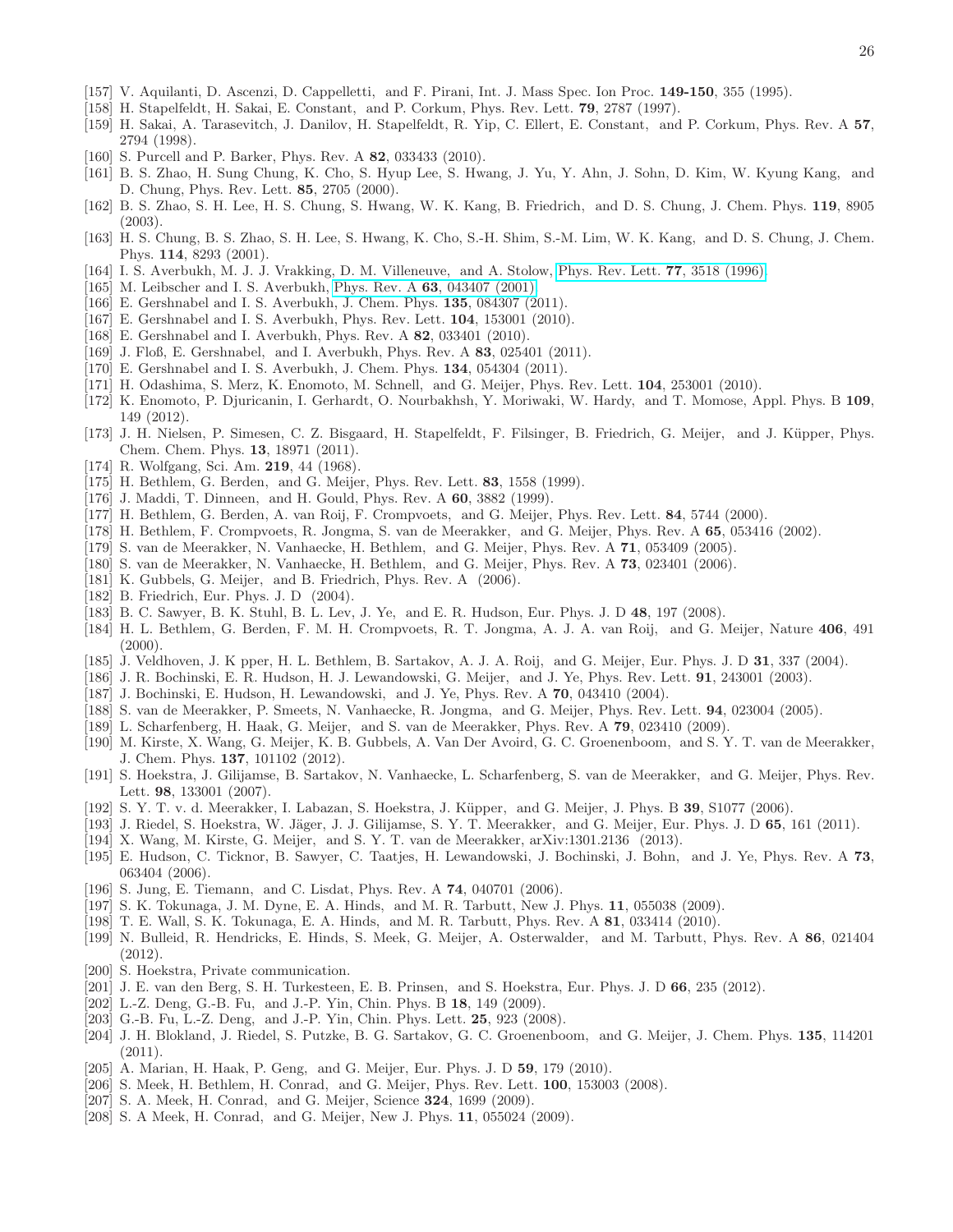- <span id="page-25-0"></span>[157] V. Aquilanti, D. Ascenzi, D. Cappelletti, and F. Pirani, Int. J. Mass Spec. Ion Proc. 149-150, 355 (1995).
- <span id="page-25-1"></span>[158] H. Stapelfeldt, H. Sakai, E. Constant, and P. Corkum, Phys. Rev. Lett. 79, 2787 (1997).
- <span id="page-25-2"></span>[159] H. Sakai, A. Tarasevitch, J. Danilov, H. Stapelfeldt, R. Yip, C. Ellert, E. Constant, and P. Corkum, Phys. Rev. A 57, 2794 (1998).
- <span id="page-25-3"></span>[160] S. Purcell and P. Barker, Phys. Rev. A 82, 033433 (2010).
- <span id="page-25-4"></span>[161] B. S. Zhao, H. Sung Chung, K. Cho, S. Hyup Lee, S. Hwang, J. Yu, Y. Ahn, J. Sohn, D. Kim, W. Kyung Kang, and D. Chung, Phys. Rev. Lett. 85, 2705 (2000).
- <span id="page-25-5"></span>[162] B. S. Zhao, S. H. Lee, H. S. Chung, S. Hwang, W. K. Kang, B. Friedrich, and D. S. Chung, J. Chem. Phys. 119, 8905 (2003).
- <span id="page-25-6"></span>[163] H. S. Chung, B. S. Zhao, S. H. Lee, S. Hwang, K. Cho, S.-H. Shim, S.-M. Lim, W. K. Kang, and D. S. Chung, J. Chem. Phys. 114, 8293 (2001).
- <span id="page-25-7"></span>[164] I. S. Averbukh, M. J. J. Vrakking, D. M. Villeneuve, and A. Stolow, [Phys. Rev. Lett.](http://dx.doi.org/10.1103/PhysRevLett.77.3518) 77, 3518 (1996).
- <span id="page-25-8"></span>[165] M. Leibscher and I. S. Averbukh, Phys. Rev. A 63[, 043407 \(2001\).](http://dx.doi.org/10.1103/PhysRevA.63.043407)
- <span id="page-25-9"></span>[166] E. Gershnabel and I. S. Averbukh, J. Chem. Phys. 135, 084307 (2011).
- <span id="page-25-10"></span>[167] E. Gershnabel and I. S. Averbukh, Phys. Rev. Lett. 104, 153001 (2010).
- <span id="page-25-11"></span>[168] E. Gershnabel and I. Averbukh, Phys. Rev. A 82, 033401 (2010).
- [169] J. Floß, E. Gershnabel, and I. Averbukh, Phys. Rev. A 83, 025401 (2011).
- <span id="page-25-12"></span>[170] E. Gershnabel and I. S. Averbukh, J. Chem. Phys. 134, 054304 (2011).
- <span id="page-25-13"></span>[171] H. Odashima, S. Merz, K. Enomoto, M. Schnell, and G. Meijer, Phys. Rev. Lett. 104, 253001 (2010).
- <span id="page-25-14"></span>[172] K. Enomoto, P. Djuricanin, I. Gerhardt, O. Nourbakhsh, Y. Moriwaki, W. Hardy, and T. Momose, Appl. Phys. B 109, 149 (2012).
- <span id="page-25-15"></span>[173] J. H. Nielsen, P. Simesen, C. Z. Bisgaard, H. Stapelfeldt, F. Filsinger, B. Friedrich, G. Meijer, and J. Küpper, Phys. Chem. Chem. Phys. 13, 18971 (2011).
- <span id="page-25-16"></span>[174] R. Wolfgang, Sci. Am. 219, 44 (1968).
- <span id="page-25-17"></span>[175] H. Bethlem, G. Berden, and G. Meijer, Phys. Rev. Lett. 83, 1558 (1999).
- <span id="page-25-18"></span>[176] J. Maddi, T. Dinneen, and H. Gould, Phys. Rev. A 60, 3882 (1999).
- <span id="page-25-19"></span>[177] H. Bethlem, G. Berden, A. van Roij, F. Crompvoets, and G. Meijer, Phys. Rev. Lett. 84, 5744 (2000).
- <span id="page-25-25"></span>[178] H. Bethlem, F. Crompvoets, R. Jongma, S. van de Meerakker, and G. Meijer, Phys. Rev. A 65, 053416 (2002).
- [179] S. van de Meerakker, N. Vanhaecke, H. Bethlem, and G. Meijer, Phys. Rev. A 71, 053409 (2005).
- [180] S. van de Meerakker, N. Vanhaecke, H. Bethlem, and G. Meijer, Phys. Rev. A 73, 023401 (2006).
- <span id="page-25-20"></span>[181] K. Gubbels, G. Meijer, and B. Friedrich, Phys. Rev. A (2006).
- <span id="page-25-21"></span>[182] B. Friedrich, Eur. Phys. J. D (2004).
- <span id="page-25-22"></span>[183] B. C. Sawyer, B. K. Stuhl, B. L. Lev, J. Ye, and E. R. Hudson, Eur. Phys. J. D 48, 197 (2008).
- <span id="page-25-23"></span>[184] H. L. Bethlem, G. Berden, F. M. H. Crompvoets, R. T. Jongma, A. J. A. van Roij, and G. Meijer, Nature 406, 491  $(2000).$
- <span id="page-25-24"></span>[185] J. Veldhoven, J. K pper, H. L. Bethlem, B. Sartakov, A. J. A. Roij, and G. Meijer, Eur. Phys. J. D 31, 337 (2004).
- <span id="page-25-26"></span>[186] J. R. Bochinski, E. R. Hudson, H. J. Lewandowski, G. Meijer, and J. Ye, Phys. Rev. Lett. 91, 243001 (2003).
- [187] J. Bochinski, E. Hudson, H. Lewandowski, and J. Ye, Phys. Rev. A 70, 043410 (2004).
- <span id="page-25-44"></span>[188] S. van de Meerakker, P. Smeets, N. Vanhaecke, R. Jongma, and G. Meijer, Phys. Rev. Lett. 94, 023004 (2005).
- [189] L. Scharfenberg, H. Haak, G. Meijer, and S. van de Meerakker, Phys. Rev. A 79, 023410 (2009).
- <span id="page-25-27"></span>[190] M. Kirste, X. Wang, G. Meijer, K. B. Gubbels, A. Van Der Avoird, G. C. Groenenboom, and S. Y. T. van de Meerakker, J. Chem. Phys. 137, 101102 (2012).
- <span id="page-25-28"></span>[191] S. Hoekstra, J. Gilijamse, B. Sartakov, N. Vanhaecke, L. Scharfenberg, S. van de Meerakker, and G. Meijer, Phys. Rev. Lett. 98, 133001 (2007).
- <span id="page-25-29"></span>[192] S. Y. T. v. d. Meerakker, I. Labazan, S. Hoekstra, J. Küpper, and G. Meijer, J. Phys. B 39, S1077 (2006).
- <span id="page-25-30"></span>[193] J. Riedel, S. Hoekstra, W. Jäger, J. J. Gilijamse, S. Y. T. Meerakker, and G. Meijer, Eur. Phys. J. D 65, 161 (2011).
- <span id="page-25-31"></span>[194] X. Wang, M. Kirste, G. Meijer, and S. Y. T. van de Meerakker, arXiv:1301.2136 (2013).
- <span id="page-25-32"></span>[195] E. Hudson, C. Ticknor, B. Sawyer, C. Taatjes, H. Lewandowski, J. Bochinski, J. Bohn, and J. Ye, Phys. Rev. A 73, 063404 (2006).
- <span id="page-25-33"></span>[196] S. Jung, E. Tiemann, and C. Lisdat, Phys. Rev. A 74, 040701 (2006).
- <span id="page-25-34"></span>[197] S. K. Tokunaga, J. M. Dyne, E. A. Hinds, and M. R. Tarbutt, New J. Phys. 11, 055038 (2009).
- <span id="page-25-35"></span>[198] T. E. Wall, S. K. Tokunaga, E. A. Hinds, and M. R. Tarbutt, Phys. Rev. A 81, 033414 (2010).
- <span id="page-25-36"></span>[199] N. Bulleid, R. Hendricks, E. Hinds, S. Meek, G. Meijer, A. Osterwalder, and M. Tarbutt, Phys. Rev. A 86, 021404 (2012).
- <span id="page-25-37"></span>[200] S. Hoekstra, Private communication.
- <span id="page-25-38"></span>[201] J. E. van den Berg, S. H. Turkesteen, E. B. Prinsen, and S. Hoekstra, Eur. Phys. J. D 66, 235 (2012).
- <span id="page-25-39"></span>[202] L.-Z. Deng, G.-B. Fu, and J.-P. Yin, Chin. Phys. B 18, 149 (2009).
- <span id="page-25-40"></span>[203] G.-B. Fu, L.-Z. Deng, and J.-P. Yin, Chin. Phys. Lett. **25**, 923 (2008).
- <span id="page-25-41"></span>[204] J. H. Blokland, J. Riedel, S. Putzke, B. G. Sartakov, G. C. Groenenboom, and G. Meijer, J. Chem. Phys. 135, 114201 (2011).
- <span id="page-25-42"></span>[205] A. Marian, H. Haak, P. Geng, and G. Meijer, Eur. Phys. J. D 59, 179 (2010).
- <span id="page-25-43"></span>[206] S. Meek, H. Bethlem, H. Conrad, and G. Meijer, Phys. Rev. Lett. 100, 153003 (2008).
- <span id="page-25-45"></span>[207] S. A. Meek, H. Conrad, and G. Meijer, Science 324, 1699 (2009).
- [208] S. A Meek, H. Conrad, and G. Meijer, New J. Phys. 11, 055024 (2009).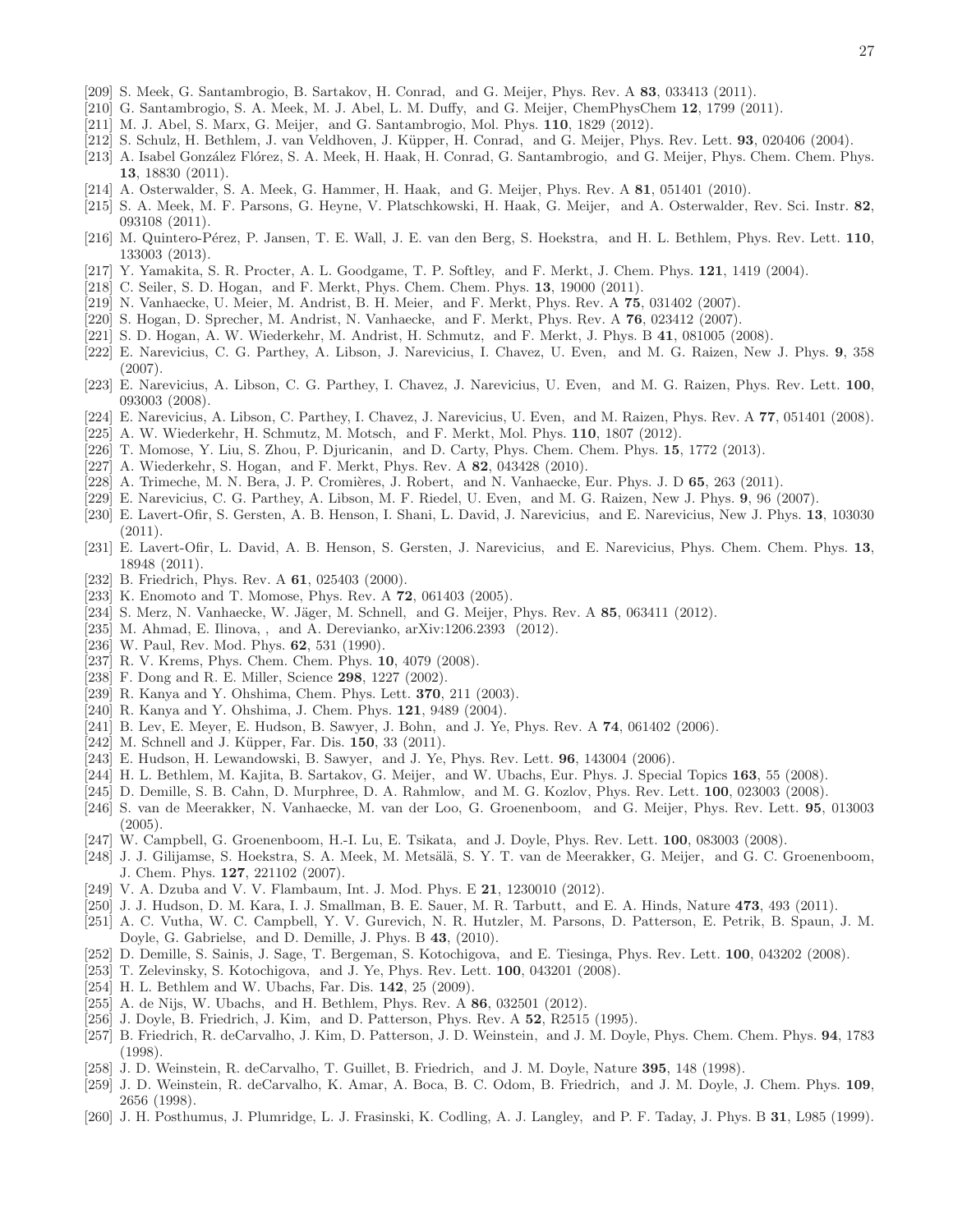- <span id="page-26-0"></span>[209] S. Meek, G. Santambrogio, B. Sartakov, H. Conrad, and G. Meijer, Phys. Rev. A 83, 033413 (2011).
- <span id="page-26-1"></span>[210] G. Santambrogio, S. A. Meek, M. J. Abel, L. M. Duffy, and G. Meijer, ChemPhysChem 12, 1799 (2011).
- <span id="page-26-2"></span>[211] M. J. Abel, S. Marx, G. Meijer, and G. Santambrogio, Mol. Phys. 110, 1829 (2012).
- <span id="page-26-3"></span>[212] S. Schulz, H. Bethlem, J. van Veldhoven, J. Küpper, H. Conrad, and G. Meijer, Phys. Rev. Lett. 93, 020406 (2004).
- <span id="page-26-4"></span>[213] A. Isabel González Flórez, S. A. Meek, H. Haak, H. Conrad, G. Santambrogio, and G. Meijer, Phys. Chem. Chem. Phys. 13, 18830 (2011).
- <span id="page-26-5"></span>[214] A. Osterwalder, S. A. Meek, G. Hammer, H. Haak, and G. Meijer, Phys. Rev. A 81, 051401 (2010).
- <span id="page-26-6"></span>[215] S. A. Meek, M. F. Parsons, G. Heyne, V. Platschkowski, H. Haak, G. Meijer, and A. Osterwalder, Rev. Sci. Instr. 82, 093108 (2011).
- <span id="page-26-7"></span>[216] M. Quintero-Pérez, P. Jansen, T. E. Wall, J. E. van den Berg, S. Hoekstra, and H. L. Bethlem, Phys. Rev. Lett. 110, 133003 (2013).
- <span id="page-26-8"></span>[217] Y. Yamakita, S. R. Procter, A. L. Goodgame, T. P. Softley, and F. Merkt, J. Chem. Phys. 121, 1419 (2004).
- <span id="page-26-9"></span>[218] C. Seiler, S. D. Hogan, and F. Merkt, Phys. Chem. Chem. Phys. 13, 19000 (2011).
- <span id="page-26-10"></span>[219] N. Vanhaecke, U. Meier, M. Andrist, B. H. Meier, and F. Merkt, Phys. Rev. A 75, 031402 (2007).
- [220] S. Hogan, D. Sprecher, M. Andrist, N. Vanhaecke, and F. Merkt, Phys. Rev. A 76, 023412 (2007).
- <span id="page-26-11"></span>[221] S. D. Hogan, A. W. Wiederkehr, M. Andrist, H. Schmutz, and F. Merkt, J. Phys. B 41, 081005 (2008).
- <span id="page-26-12"></span>[222] E. Narevicius, C. G. Parthey, A. Libson, J. Narevicius, I. Chavez, U. Even, and M. G. Raizen, New J. Phys. 9, 358 (2007).
- <span id="page-26-13"></span>[223] E. Narevicius, A. Libson, C. G. Parthey, I. Chavez, J. Narevicius, U. Even, and M. G. Raizen, Phys. Rev. Lett. 100, 093003 (2008).
- <span id="page-26-14"></span>[224] E. Narevicius, A. Libson, C. Parthey, I. Chavez, J. Narevicius, U. Even, and M. Raizen, Phys. Rev. A 77, 051401 (2008).
- <span id="page-26-15"></span>[225] A. W. Wiederkehr, H. Schmutz, M. Motsch, and F. Merkt, Mol. Phys. 110, 1807 (2012).
- <span id="page-26-16"></span>[226] T. Momose, Y. Liu, S. Zhou, P. Djuricanin, and D. Carty, Phys. Chem. Chem. Phys. 15, 1772 (2013).
- <span id="page-26-17"></span>[227] A. Wiederkehr, S. Hogan, and F. Merkt, Phys. Rev. A 82, 043428 (2010).
- <span id="page-26-18"></span> $[228]$  A. Trimeche, M. N. Bera, J. P. Cromières, J. Robert, and N. Vanhaecke, Eur. Phys. J. D 65, 263 (2011).
- <span id="page-26-19"></span>[229] E. Narevicius, C. G. Parthey, A. Libson, M. F. Riedel, U. Even, and M. G. Raizen, New J. Phys. 9, 96 (2007).
- <span id="page-26-20"></span>[230] E. Lavert-Ofir, S. Gersten, A. B. Henson, I. Shani, L. David, J. Narevicius, and E. Narevicius, New J. Phys. 13, 103030  $(2011).$
- <span id="page-26-21"></span>[231] E. Lavert-Ofir, L. David, A. B. Henson, S. Gersten, J. Narevicius, and E. Narevicius, Phys. Chem. Chem. Phys. 13, 18948 (2011).
- <span id="page-26-22"></span>[232] B. Friedrich, Phys. Rev. A 61, 025403 (2000).
- <span id="page-26-23"></span>[233] K. Enomoto and T. Momose, Phys. Rev. A **72**, 061403 (2005).
- <span id="page-26-24"></span>[234] S. Merz, N. Vanhaecke, W. Jäger, M. Schnell, and G. Meijer, Phys. Rev. A 85, 063411 (2012).
- <span id="page-26-25"></span>[235] M. Ahmad, E. Ilinova, , and A. Derevianko, arXiv:1206.2393 (2012).
- <span id="page-26-26"></span>[236] W. Paul, Rev. Mod. Phys. **62**, 531 (1990).
- <span id="page-26-27"></span>[237] R. V. Krems, Phys. Chem. Chem. Phys. 10, 4079 (2008).
- <span id="page-26-28"></span>[238] F. Dong and R. E. Miller, Science 298, 1227 (2002).
- [239] R. Kanya and Y. Ohshima, Chem. Phys. Lett. **370**, 211 (2003).
- <span id="page-26-29"></span>[240] R. Kanya and Y. Ohshima, J. Chem. Phys. **121**, 9489 (2004).
- <span id="page-26-30"></span>[241] B. Lev, E. Meyer, E. Hudson, B. Sawyer, J. Bohn, and J. Ye, Phys. Rev. A **74**, 061402 (2006).
- [242] M. Schnell and J. Küpper, Far. Dis. 150, 33 (2011).
- <span id="page-26-36"></span>[243] E. Hudson, H. Lewandowski, B. Sawyer, and J. Ye, Phys. Rev. Lett. 96, 143004 (2006).
- [244] H. L. Bethlem, M. Kajita, B. Sartakov, G. Meijer, and W. Ubachs, Eur. Phys. J. Special Topics 163, 55 (2008).
- <span id="page-26-31"></span>[245] D. Demille, S. B. Cahn, D. Murphree, D. A. Rahmlow, and M. G. Kozlov, Phys. Rev. Lett. 100, 023003 (2008).
- <span id="page-26-32"></span>[246] S. van de Meerakker, N. Vanhaecke, M. van der Loo, G. Groenenboom, and G. Meijer, Phys. Rev. Lett. 95, 013003  $(2005).$
- [247] W. Campbell, G. Groenenboom, H.-I. Lu, E. Tsikata, and J. Doyle, Phys. Rev. Lett. 100, 083003 (2008).
- <span id="page-26-33"></span>[248] J. J. Gilijamse, S. Hoekstra, S. A. Meek, M. Metsälä, S. Y. T. van de Meerakker, G. Meijer, and G. C. Groenenboom, J. Chem. Phys. 127, 221102 (2007).
- <span id="page-26-34"></span>[249] V. A. Dzuba and V. V. Flambaum, Int. J. Mod. Phys. E 21, 1230010 (2012).
- [250] J. J. Hudson, D. M. Kara, I. J. Smallman, B. E. Sauer, M. R. Tarbutt, and E. A. Hinds, Nature 473, 493 (2011).
- <span id="page-26-35"></span>[251] A. C. Vutha, W. C. Campbell, Y. V. Gurevich, N. R. Hutzler, M. Parsons, D. Patterson, E. Petrik, B. Spaun, J. M. Doyle, G. Gabrielse, and D. Demille, J. Phys. B 43, (2010).
- <span id="page-26-37"></span>[252] D. Demille, S. Sainis, J. Sage, T. Bergeman, S. Kotochigova, and E. Tiesinga, Phys. Rev. Lett. 100, 043202 (2008).
- [253] T. Zelevinsky, S. Kotochigova, and J. Ye, Phys. Rev. Lett. **100**, 043201 (2008).
- [254] H. L. Bethlem and W. Ubachs, Far. Dis. 142, 25 (2009).
- <span id="page-26-38"></span>[255] A. de Nijs, W. Ubachs, and H. Bethlem, Phys. Rev. A **86**, 032501 (2012).
- <span id="page-26-39"></span>[256] J. Doyle, B. Friedrich, J. Kim, and D. Patterson, Phys. Rev. A 52, R2515 (1995).
- <span id="page-26-40"></span>[257] B. Friedrich, R. deCarvalho, J. Kim, D. Patterson, J. D. Weinstein, and J. M. Doyle, Phys. Chem. Chem. Phys. 94, 1783 (1998).
- <span id="page-26-41"></span>[258] J. D. Weinstein, R. deCarvalho, T. Guillet, B. Friedrich, and J. M. Doyle, Nature 395, 148 (1998).
- <span id="page-26-42"></span>[259] J. D. Weinstein, R. deCarvalho, K. Amar, A. Boca, B. C. Odom, B. Friedrich, and J. M. Doyle, J. Chem. Phys. 109, 2656 (1998).
- <span id="page-26-43"></span>[260] J. H. Posthumus, J. Plumridge, L. J. Frasinski, K. Codling, A. J. Langley, and P. F. Taday, J. Phys. B 31, L985 (1999).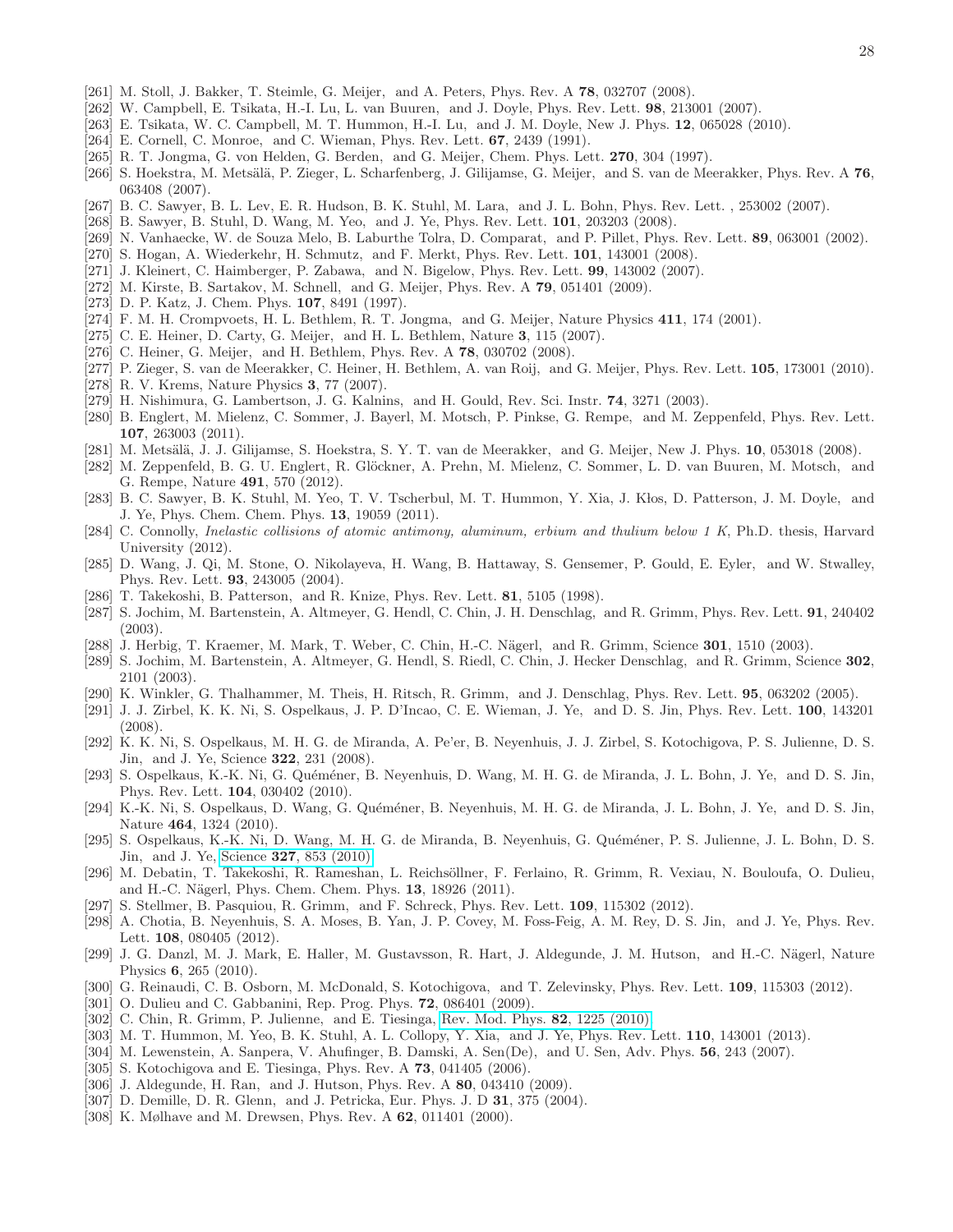- <span id="page-27-10"></span>[261] M. Stoll, J. Bakker, T. Steimle, G. Meijer, and A. Peters, Phys. Rev. A 78, 032707 (2008).
- <span id="page-27-8"></span>[262] W. Campbell, E. Tsikata, H.-I. Lu, L. van Buuren, and J. Doyle, Phys. Rev. Lett. 98, 213001 (2007).
- <span id="page-27-17"></span>[263] E. Tsikata, W. C. Campbell, M. T. Hummon, H.-I. Lu, and J. M. Doyle, New J. Phys. 12, 065028 (2010).
- <span id="page-27-18"></span>[264] E. Cornell, C. Monroe, and C. Wieman, Phys. Rev. Lett. 67, 2439 (1991).
- <span id="page-27-19"></span>[265] R. T. Jongma, G. von Helden, G. Berden, and G. Meijer, Chem. Phys. Lett. 270, 304 (1997).
- <span id="page-27-1"></span>[266] S. Hoekstra, M. Metsälä, P. Zieger, L. Scharfenberg, J. Gilijamse, G. Meijer, and S. van de Meerakker, Phys. Rev. A 76, 063408 (2007).
- <span id="page-27-5"></span>[267] B. C. Sawyer, B. L. Lev, E. R. Hudson, B. K. Stuhl, M. Lara, and J. L. Bohn, Phys. Rev. Lett. , 253002 (2007).
- <span id="page-27-6"></span>[268] B. Sawyer, B. Stuhl, D. Wang, M. Yeo, and J. Ye, Phys. Rev. Lett. 101, 203203 (2008).
- <span id="page-27-11"></span>[269] N. Vanhaecke, W. de Souza Melo, B. Laburthe Tolra, D. Comparat, and P. Pillet, Phys. Rev. Lett. 89, 063001 (2002).
- <span id="page-27-20"></span>[270] S. Hogan, A. Wiederkehr, H. Schmutz, and F. Merkt, Phys. Rev. Lett. 101, 143001 (2008).
- <span id="page-27-4"></span>[271] J. Kleinert, C. Haimberger, P. Zabawa, and N. Bigelow, Phys. Rev. Lett. 99, 143002 (2007).
- <span id="page-27-0"></span>[272] M. Kirste, B. Sartakov, M. Schnell, and G. Meijer, Phys. Rev. A 79, 051401 (2009).
- <span id="page-27-21"></span>[273] D. P. Katz, J. Chem. Phys. **107**, 8491 (1997).
- <span id="page-27-22"></span>[274] F. M. H. Crompvoets, H. L. Bethlem, R. T. Jongma, and G. Meijer, Nature Physics 411, 174 (2001).
- <span id="page-27-23"></span>[275] C. E. Heiner, D. Carty, G. Meijer, and H. L. Bethlem, Nature 3, 115 (2007).
- [276] C. Heiner, G. Meijer, and H. Bethlem, Phys. Rev. A 78, 030702 (2008).
- <span id="page-27-24"></span>[277] P. Zieger, S. van de Meerakker, C. Heiner, H. Bethlem, A. van Roij, and G. Meijer, Phys. Rev. Lett. 105, 173001 (2010).
- <span id="page-27-25"></span>[278] R. V. Krems, Nature Physics 3, 77 (2007).
- <span id="page-27-26"></span>[279] H. Nishimura, G. Lambertson, J. G. Kalnins, and H. Gould, Rev. Sci. Instr. 74, 3271 (2003).
- <span id="page-27-2"></span>[280] B. Englert, M. Mielenz, C. Sommer, J. Bayerl, M. Motsch, P. Pinkse, G. Rempe, and M. Zeppenfeld, Phys. Rev. Lett. 107, 263003 (2011).
- <span id="page-27-27"></span>[281] M. Metsälä, J. J. Gilijamse, S. Hoekstra, S. Y. T. van de Meerakker, and G. Meijer, New J. Phys. 10, 053018 (2008).
- <span id="page-27-3"></span>[282] M. Zeppenfeld, B. G. U. Englert, R. Glöckner, A. Prehn, M. Mielenz, C. Sommer, L. D. van Buuren, M. Motsch, and G. Rempe, Nature 491, 570 (2012).
- <span id="page-27-7"></span>[283] B. C. Sawyer, B. K. Stuhl, M. Yeo, T. V. Tscherbul, M. T. Hummon, Y. Xia, J. Klos, D. Patterson, J. M. Doyle, and J. Ye, Phys. Chem. Chem. Phys. 13, 19059 (2011).
- <span id="page-27-9"></span>[284] C. Connolly, *Inelastic collisions of atomic antimony, aluminum, erbium and thulium below 1 K*, Ph.D. thesis, Harvard University (2012).
- <span id="page-27-12"></span>[285] D. Wang, J. Qi, M. Stone, O. Nikolayeva, H. Wang, B. Hattaway, S. Gensemer, P. Gould, E. Eyler, and W. Stwalley, Phys. Rev. Lett. 93, 243005 (2004).
- <span id="page-27-13"></span>[286] T. Takekoshi, B. Patterson, and R. Knize, Phys. Rev. Lett. 81, 5105 (1998).
- [287] S. Jochim, M. Bartenstein, A. Altmeyer, G. Hendl, C. Chin, J. H. Denschlag, and R. Grimm, Phys. Rev. Lett. 91, 240402 (2003).
- [288] J. Herbig, T. Kraemer, M. Mark, T. Weber, C. Chin, H.-C. Nägerl, and R. Grimm, Science 301, 1510 (2003).
- [289] S. Jochim, M. Bartenstein, A. Altmeyer, G. Hendl, S. Riedl, C. Chin, J. Hecker Denschlag, and R. Grimm, Science 302, 2101 (2003).
- [290] K. Winkler, G. Thalhammer, M. Theis, H. Ritsch, R. Grimm, and J. Denschlag, Phys. Rev. Lett. 95, 063202 (2005).
- [291] J. J. Zirbel, K. K. Ni, S. Ospelkaus, J. P. D'Incao, C. E. Wieman, J. Ye, and D. S. Jin, Phys. Rev. Lett. 100, 143201 (2008).
- <span id="page-27-35"></span>[292] K. K. Ni, S. Ospelkaus, M. H. G. de Miranda, A. Pe'er, B. Neyenhuis, J. J. Zirbel, S. Kotochigova, P. S. Julienne, D. S. Jin, and J. Ye, Science 322, 231 (2008).
- [293] S. Ospelkaus, K.-K. Ni, G. Quéméner, B. Neyenhuis, D. Wang, M. H. G. de Miranda, J. L. Bohn, J. Ye, and D. S. Jin, Phys. Rev. Lett. 104, 030402 (2010).
- <span id="page-27-36"></span>[294] K.-K. Ni, S. Ospelkaus, D. Wang, G. Quéméner, B. Neyenhuis, M. H. G. de Miranda, J. L. Bohn, J. Ye, and D. S. Jin, Nature 464, 1324 (2010).
- <span id="page-27-37"></span>[295] S. Ospelkaus, K.-K. Ni, D. Wang, M. H. G. de Miranda, B. Neyenhuis, G. Quéméner, P. S. Julienne, J. L. Bohn, D. S. Jin, and J. Ye, Science 327[, 853 \(2010\).](http://dx.doi.org/ 10.1126/science.1184121)
- <span id="page-27-15"></span>[296] M. Debatin, T. Takekoshi, R. Rameshan, L. Reichs¨ollner, F. Ferlaino, R. Grimm, R. Vexiau, N. Bouloufa, O. Dulieu, and H.-C. Nägerl, Phys. Chem. Chem. Phys. 13, 18926 (2011).
- <span id="page-27-14"></span>[297] S. Stellmer, B. Pasquiou, R. Grimm, and F. Schreck, Phys. Rev. Lett. 109, 115302 (2012).
- [298] A. Chotia, B. Neyenhuis, S. A. Moses, B. Yan, J. P. Covey, M. Foss-Feig, A. M. Rey, D. S. Jin, and J. Ye, Phys. Rev. Lett. 108, 080405 (2012).
- <span id="page-27-38"></span>[299] J. G. Danzl, M. J. Mark, E. Haller, M. Gustavsson, R. Hart, J. Aldegunde, J. M. Hutson, and H.-C. Nägerl, Nature Physics 6, 265 (2010).
- <span id="page-27-16"></span>[300] G. Reinaudi, C. B. Osborn, M. McDonald, S. Kotochigova, and T. Zelevinsky, Phys. Rev. Lett. 109, 115303 (2012).
- [301] O. Dulieu and C. Gabbanini, Rep. Prog. Phys. **72**, 086401 (2009).
- <span id="page-27-28"></span>[302] C. Chin, R. Grimm, P. Julienne, and E. Tiesinga, [Rev. Mod. Phys.](http://dx.doi.org/10.1103/RevModPhys.82.1225) 82, 1225 (2010).
- <span id="page-27-29"></span>[303] M. T. Hummon, M. Yeo, B. K. Stuhl, A. L. Collopy, Y. Xia, and J. Ye, Phys. Rev. Lett. 110, 143001 (2013).
- <span id="page-27-30"></span>[304] M. Lewenstein, A. Sanpera, V. Ahufinger, B. Damski, A. Sen(De), and U. Sen, Adv. Phys. 56, 243 (2007).
- <span id="page-27-31"></span>[305] S. Kotochigova and E. Tiesinga, Phys. Rev. A 73, 041405 (2006).
- <span id="page-27-32"></span>[306] J. Aldegunde, H. Ran, and J. Hutson, Phys. Rev. A 80, 043410 (2009).
- <span id="page-27-33"></span>[307] D. Demille, D. R. Glenn, and J. Petricka, Eur. Phys. J. D 31, 375 (2004).
- <span id="page-27-34"></span>[308] K. Mølhave and M. Drewsen, Phys. Rev. A 62, 011401 (2000).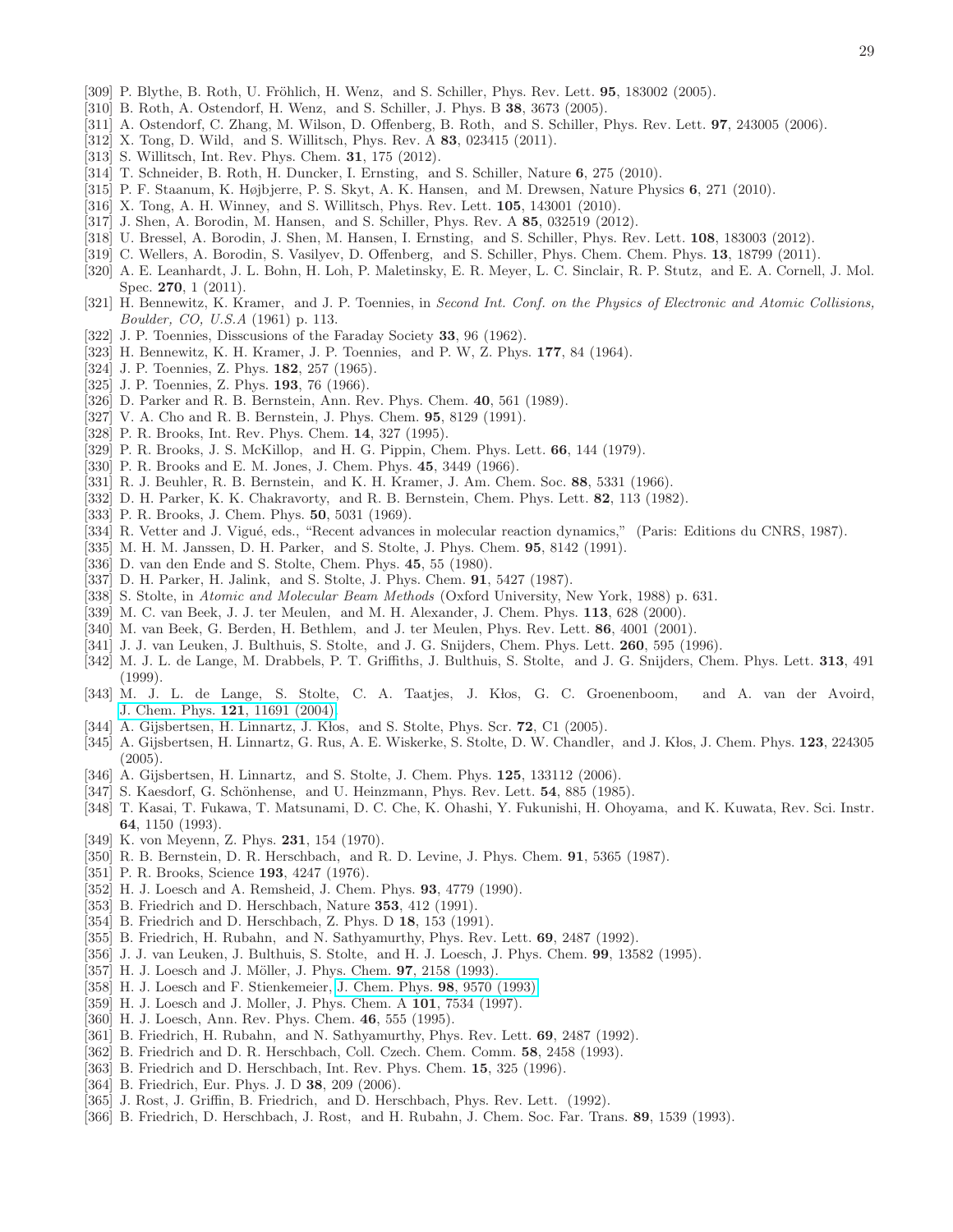- [309] P. Blythe, B. Roth, U. Fröhlich, H. Wenz, and S. Schiller, Phys. Rev. Lett. 95, 183002 (2005).
- [310] B. Roth, A. Ostendorf, H. Wenz, and S. Schiller, J. Phys. B 38, 3673 (2005).
- [311] A. Ostendorf, C. Zhang, M. Wilson, D. Offenberg, B. Roth, and S. Schiller, Phys. Rev. Lett. 97, 243005 (2006).
- [312] X. Tong, D. Wild, and S. Willitsch, Phys. Rev. A **83**, 023415 (2011).
- <span id="page-28-0"></span>[313] S. Willitsch, Int. Rev. Phys. Chem. **31**, 175 (2012).
- <span id="page-28-1"></span>[314] T. Schneider, B. Roth, H. Duncker, I. Ernsting, and S. Schiller, Nature 6, 275 (2010).
- <span id="page-28-2"></span>[315] P. F. Staanum, K. Højbjerre, P. S. Skyt, A. K. Hansen, and M. Drewsen, Nature Physics 6, 271 (2010).
- <span id="page-28-3"></span>[316] X. Tong, A. H. Winney, and S. Willitsch, Phys. Rev. Lett. 105, 143001 (2010).
- <span id="page-28-4"></span>[317] J. Shen, A. Borodin, M. Hansen, and S. Schiller, Phys. Rev. A 85, 032519 (2012).
- <span id="page-28-5"></span>[318] U. Bressel, A. Borodin, J. Shen, M. Hansen, I. Ernsting, and S. Schiller, Phys. Rev. Lett. 108, 183003 (2012).
- <span id="page-28-6"></span>[319] C. Wellers, A. Borodin, S. Vasilyev, D. Offenberg, and S. Schiller, Phys. Chem. Chem. Phys. 13, 18799 (2011).
- <span id="page-28-7"></span>[320] A. E. Leanhardt, J. L. Bohn, H. Loh, P. Maletinsky, E. R. Meyer, L. C. Sinclair, R. P. Stutz, and E. A. Cornell, J. Mol. Spec. 270, 1 (2011).
- <span id="page-28-8"></span>[321] H. Bennewitz, K. Kramer, and J. P. Toennies, in *Second Int. Conf. on the Physics of Electronic and Atomic Collisions, Boulder, CO, U.S.A* (1961) p. 113.
- [322] J. P. Toennies, Disscusions of the Faraday Society 33, 96 (1962).
- [323] H. Bennewitz, K. H. Kramer, J. P. Toennies, and P. W, Z. Phys. 177, 84 (1964).
- [324] J. P. Toennies, Z. Phys. **182**, 257 (1965).
- <span id="page-28-9"></span>[325] J. P. Toennies, Z. Phys. **193**, 76 (1966).
- <span id="page-28-10"></span>[326] D. Parker and R. B. Bernstein, Ann. Rev. Phys. Chem. 40, 561 (1989).
- [327] V. A. Cho and R. B. Bernstein, J. Phys. Chem. 95, 8129 (1991).
- [328] P. R. Brooks, Int. Rev. Phys. Chem. 14, 327 (1995).
- <span id="page-28-11"></span>[329] P. R. Brooks, J. S. McKillop, and H. G. Pippin, Chem. Phys. Lett. 66, 144 (1979).
- <span id="page-28-12"></span>[330] P. R. Brooks and E. M. Jones, J. Chem. Phys. 45, 3449 (1966).
- <span id="page-28-13"></span>[331] R. J. Beuhler, R. B. Bernstein, and K. H. Kramer, J. Am. Chem. Soc. 88, 5331 (1966).
- <span id="page-28-14"></span>[332] D. H. Parker, K. K. Chakravorty, and R. B. Bernstein, Chem. Phys. Lett. **82**, 113 (1982).
- <span id="page-28-15"></span>[333] P. R. Brooks, J. Chem. Phys. **50**, 5031 (1969).
- <span id="page-28-16"></span>[334] R. Vetter and J. Vigué, eds., "Recent advances in molecular reaction dynamics," (Paris: Editions du CNRS, 1987).
- <span id="page-28-17"></span>[335] M. H. M. Janssen, D. H. Parker, and S. Stolte, J. Phys. Chem. 95, 8142 (1991).
- <span id="page-28-18"></span>[336] D. van den Ende and S. Stolte, Chem. Phys. 45, 55 (1980).
- <span id="page-28-19"></span>[337] D. H. Parker, H. Jalink, and S. Stolte, J. Phys. Chem. **91**, 5427 (1987).
- <span id="page-28-20"></span>[338] S. Stolte, in *Atomic and Molecular Beam Methods* (Oxford University, New York, 1988) p. 631.
- <span id="page-28-21"></span>[339] M. C. van Beek, J. J. ter Meulen, and M. H. Alexander, J. Chem. Phys. 113, 628 (2000).
- <span id="page-28-22"></span>[340] M. van Beek, G. Berden, H. Bethlem, and J. ter Meulen, Phys. Rev. Lett. 86, 4001 (2001).
- <span id="page-28-23"></span>[341] J. J. van Leuken, J. Bulthuis, S. Stolte, and J. G. Snijders, Chem. Phys. Lett. **260**, 595 (1996).
- [342] M. J. L. de Lange, M. Drabbels, P. T. Griffiths, J. Bulthuis, S. Stolte, and J. G. Snijders, Chem. Phys. Lett. 313, 491 (1999).
- [343] M. J. L. de Lange, S. Stolte, C. A. Taatjes, J. Klos, G. C. Groenenboom, and A. van der Avoird, [J. Chem. Phys.](http://dx.doi.org/10.1063/1.1818123) 121, 11691 (2004).
- <span id="page-28-24"></span>[344] A. Gijsbertsen, H. Linnartz, J. Kłos, and S. Stolte, Phys. Scr. 72, C1 (2005).
- <span id="page-28-25"></span>[345] A. Gijsbertsen, H. Linnartz, G. Rus, A. E. Wiskerke, S. Stolte, D. W. Chandler, and J. Klos, J. Chem. Phys. 123, 224305 (2005).
- <span id="page-28-26"></span>[346] A. Gijsbertsen, H. Linnartz, and S. Stolte, J. Chem. Phys. **125**, 133112 (2006).
- <span id="page-28-27"></span>[347] S. Kaesdorf, G. Schönhense, and U. Heinzmann, Phys. Rev. Lett. 54, 885 (1985).
- <span id="page-28-28"></span>[348] T. Kasai, T. Fukawa, T. Matsunami, D. C. Che, K. Ohashi, Y. Fukunishi, H. Ohoyama, and K. Kuwata, Rev. Sci. Instr. 64, 1150 (1993).
- <span id="page-28-29"></span>[349] K. von Meyenn, Z. Phys. **231**, 154 (1970).
- <span id="page-28-30"></span>[350] R. B. Bernstein, D. R. Herschbach, and R. D. Levine, J. Phys. Chem. 91, 5365 (1987).
- <span id="page-28-31"></span>[351] P. R. Brooks, Science **193**, 4247 (1976).
- <span id="page-28-32"></span>[352] H. J. Loesch and A. Remsheid, J. Chem. Phys. **93**, 4779 (1990).
- <span id="page-28-33"></span>[353] B. Friedrich and D. Herschbach, Nature **353**, 412 (1991).
- <span id="page-28-34"></span>[354] B. Friedrich and D. Herschbach, Z. Phys. D 18, 153 (1991).
- <span id="page-28-35"></span>[355] B. Friedrich, H. Rubahn, and N. Sathyamurthy, Phys. Rev. Lett. 69, 2487 (1992).
- <span id="page-28-36"></span>[356] J. J. van Leuken, J. Bulthuis, S. Stolte, and H. J. Loesch, J. Phys. Chem. 99, 13582 (1995).
- <span id="page-28-37"></span>[357] H. J. Loesch and J. Möller, J. Phys. Chem. 97, 2158 (1993).
- <span id="page-28-38"></span>[358] H. J. Loesch and F. Stienkemeier, [J. Chem. Phys.](http://dx.doi.org/10.1063/1.464388) **98**, 9570 (1993).
- <span id="page-28-39"></span>[359] H. J. Loesch and J. Moller, J. Phys. Chem. A **101**, 7534 (1997).
- <span id="page-28-40"></span>[360] H. J. Loesch, Ann. Rev. Phys. Chem. 46, 555 (1995).
- <span id="page-28-41"></span>[361] B. Friedrich, H. Rubahn, and N. Sathyamurthy, Phys. Rev. Lett. **69**, 2487 (1992).
- <span id="page-28-42"></span>[362] B. Friedrich and D. R. Herschbach, Coll. Czech. Chem. Comm. 58, 2458 (1993).
- [363] B. Friedrich and D. Herschbach, Int. Rev. Phys. Chem. 15, 325 (1996).
- <span id="page-28-43"></span>[364] B. Friedrich, Eur. Phys. J. D 38, 209 (2006).
- <span id="page-28-44"></span>[365] J. Rost, J. Griffin, B. Friedrich, and D. Herschbach, Phys. Rev. Lett. (1992).
- <span id="page-28-45"></span>[366] B. Friedrich, D. Herschbach, J. Rost, and H. Rubahn, J. Chem. Soc. Far. Trans. 89, 1539 (1993).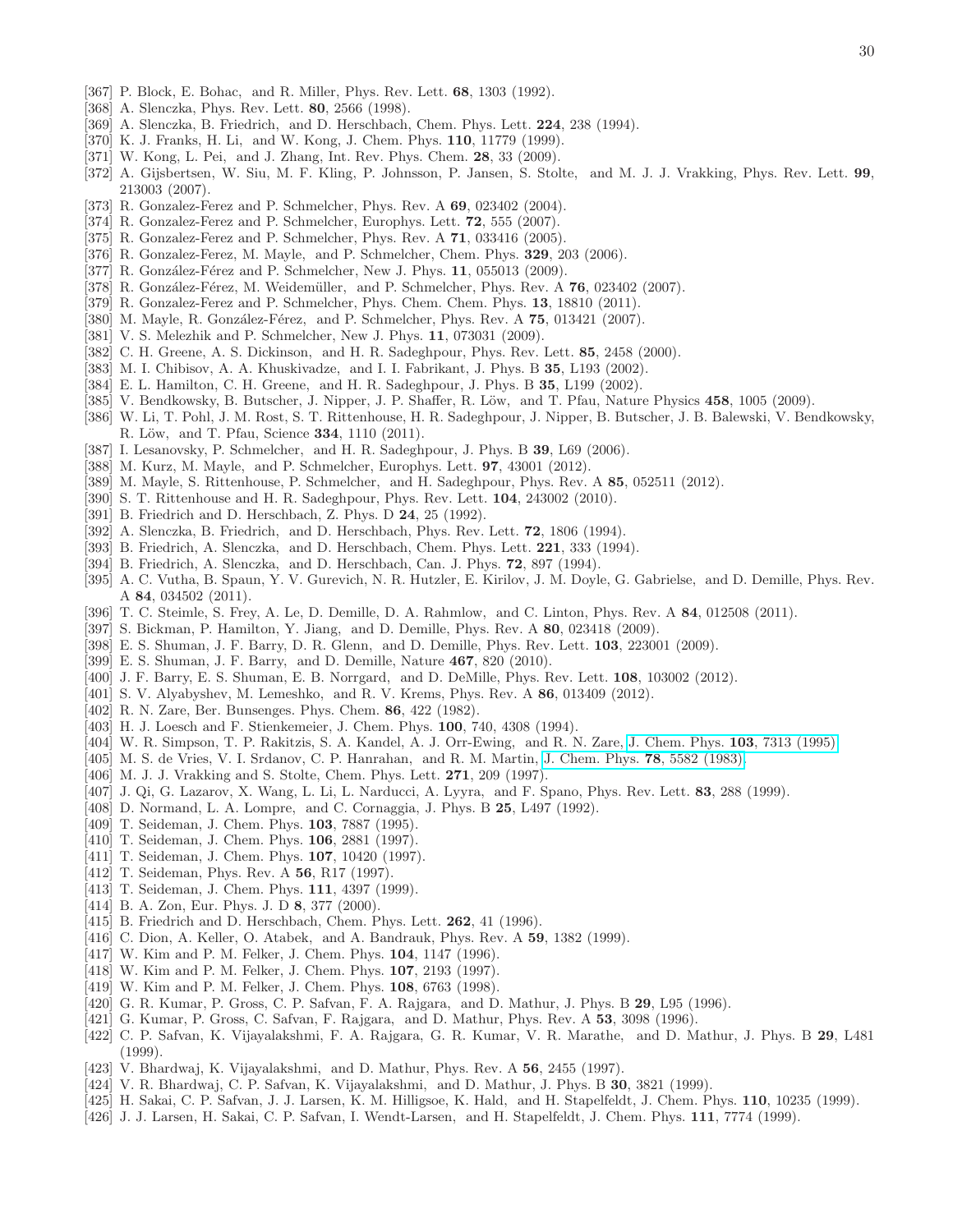- <span id="page-29-0"></span>[367] P. Block, E. Bohac, and R. Miller, Phys. Rev. Lett. 68, 1303 (1992).
- <span id="page-29-1"></span>[368] A. Slenczka, Phys. Rev. Lett. 80, 2566 (1998).
- <span id="page-29-2"></span>[369] A. Slenczka, B. Friedrich, and D. Herschbach, Chem. Phys. Lett. 224, 238 (1994).
- <span id="page-29-3"></span>[370] K. J. Franks, H. Li, and W. Kong, J. Chem. Phys. **110**, 11779 (1999).
- <span id="page-29-4"></span>[371] W. Kong, L. Pei, and J. Zhang, Int. Rev. Phys. Chem. 28, 33 (2009).
- <span id="page-29-5"></span>[372] A. Gijsbertsen, W. Siu, M. F. Kling, P. Johnsson, P. Jansen, S. Stolte, and M. J. J. Vrakking, Phys. Rev. Lett. 99, 213003 (2007).
- <span id="page-29-6"></span>[373] R. Gonzalez-Ferez and P. Schmelcher, Phys. Rev. A 69, 023402 (2004).
- [374] R. Gonzalez-Ferez and P. Schmelcher, Europhys. Lett. 72, 555 (2007).
- [375] R. Gonzalez-Ferez and P. Schmelcher, Phys. Rev. A **71**, 033416 (2005).
- [376] R. Gonzalez-Ferez, M. Mayle, and P. Schmelcher, Chem. Phys. 329, 203 (2006).
- <span id="page-29-7"></span>[377] R. González-Férez and P. Schmelcher, New J. Phys.  $11$ , 055013 (2009).
- <span id="page-29-8"></span>[378] R. González-Férez, M. Weidemüller, and P. Schmelcher, Phys. Rev. A  $76$ , 023402 (2007).
- <span id="page-29-9"></span>[379] R. Gonzalez-Ferez and P. Schmelcher, Phys. Chem. Chem. Phys. 13, 18810 (2011).
- <span id="page-29-10"></span>[380] M. Mayle, R. González-Férez, and P. Schmelcher, Phys. Rev.  $\mathbf{A}$  **75**, 013421 (2007).
- <span id="page-29-11"></span>[381] V. S. Melezhik and P. Schmelcher, New J. Phys. 11, 073031 (2009).
- <span id="page-29-12"></span>[382] C. H. Greene, A. S. Dickinson, and H. R. Sadeghpour, Phys. Rev. Lett. 85, 2458 (2000).
- [383] M. I. Chibisov, A. A. Khuskivadze, and I. I. Fabrikant, J. Phys. B 35, L193 (2002).
- <span id="page-29-13"></span>[384] E. L. Hamilton, C. H. Greene, and H. R. Sadeghpour, J. Phys. B 35, L199 (2002).
- <span id="page-29-14"></span>[385] V. Bendkowsky, B. Butscher, J. Nipper, J. P. Shaffer, R. Löw, and T. Pfau, Nature Physics 458, 1005 (2009).
- <span id="page-29-15"></span>[386] W. Li, T. Pohl, J. M. Rost, S. T. Rittenhouse, H. R. Sadeghpour, J. Nipper, B. Butscher, J. B. Balewski, V. Bendkowsky, R. Löw, and T. Pfau, Science 334, 1110 (2011).
- <span id="page-29-16"></span>[387] I. Lesanovsky, P. Schmelcher, and H. R. Sadeghpour, J. Phys. B **39**, L69 (2006).
- <span id="page-29-17"></span>[388] M. Kurz, M. Mayle, and P. Schmelcher, Europhys. Lett. 97, 43001 (2012).
- <span id="page-29-18"></span>[389] M. Mayle, S. Rittenhouse, P. Schmelcher, and H. Sadeghpour, Phys. Rev. A 85, 052511 (2012).
- <span id="page-29-19"></span>[390] S. T. Rittenhouse and H. R. Sadeghpour, Phys. Rev. Lett. 104, 243002 (2010).
- <span id="page-29-20"></span>[391] B. Friedrich and D. Herschbach, Z. Phys. D 24, 25 (1992).
- <span id="page-29-21"></span>[392] A. Slenczka, B. Friedrich, and D. Herschbach, Phys. Rev. Lett. 72, 1806 (1994).
- <span id="page-29-22"></span>[393] B. Friedrich, A. Slenczka, and D. Herschbach, Chem. Phys. Lett. 221, 333 (1994).
- <span id="page-29-23"></span>[394] B. Friedrich, A. Slenczka, and D. Herschbach, Can. J. Phys. **72**, 897 (1994).
- <span id="page-29-24"></span>[395] A. C. Vutha, B. Spaun, Y. V. Gurevich, N. R. Hutzler, E. Kirilov, J. M. Doyle, G. Gabrielse, and D. Demille, Phys. Rev. A 84, 034502 (2011).
- [396] T. C. Steimle, S. Frey, A. Le, D. Demille, D. A. Rahmlow, and C. Linton, Phys. Rev. A 84, 012508 (2011).
- [397] S. Bickman, P. Hamilton, Y. Jiang, and D. Demille, Phys. Rev. A 80, 023418 (2009).
- <span id="page-29-45"></span>[398] E. S. Shuman, J. F. Barry, D. R. Glenn, and D. Demille, Phys. Rev. Lett. 103, 223001 (2009).
- <span id="page-29-44"></span>[399] E. S. Shuman, J. F. Barry, and D. Demille, Nature 467, 820 (2010).
- <span id="page-29-25"></span>[400] J. F. Barry, E. S. Shuman, E. B. Norrgard, and D. DeMille, Phys. Rev. Lett. 108, 103002 (2012).
- <span id="page-29-26"></span>[401] S. V. Alyabyshev, M. Lemeshko, and R. V. Krems, Phys. Rev. A 86, 013409 (2012).
- <span id="page-29-27"></span>[402] R. N. Zare, Ber. Bunsenges. Phys. Chem. 86, 422 (1982).
- <span id="page-29-28"></span>[403] H. J. Loesch and F. Stienkemeier, J. Chem. Phys. **100**, 740, 4308 (1994).
- <span id="page-29-29"></span>[404] W. R. Simpson, T. P. Rakitzis, S. A. Kandel, A. J. Orr-Ewing, and R. N. Zare, [J. Chem. Phys.](http://dx.doi.org/10.1063/1.470305) 103, 7313 (1995).
- <span id="page-29-30"></span>[405] M. S. de Vries, V. I. Srdanov, C. P. Hanrahan, and R. M. Martin, [J. Chem. Phys.](http://dx.doi.org/10.1063/1.445438) 78, 5582 (1983).
- <span id="page-29-31"></span>[406] M. J. J. Vrakking and S. Stolte, Chem. Phys. Lett. 271, 209 (1997).
- <span id="page-29-32"></span>[407] J. Qi, G. Lazarov, X. Wang, L. Li, L. Narducci, A. Lyyra, and F. Spano, Phys. Rev. Lett. 83, 288 (1999).
- <span id="page-29-33"></span>[408] D. Normand, L. A. Lompre, and C. Cornaggia, J. Phys. B 25, L497 (1992).
- <span id="page-29-34"></span>[409] T. Seideman, J. Chem. Phys. **103**, 7887 (1995).
- [410] T. Seideman, J. Chem. Phys. **106**, 2881 (1997).
- [411] T. Seideman, J. Chem. Phys. **107**, 10420 (1997).
- [412] T. Seideman, Phys. Rev. A **56**, R17 (1997).
- [413] T. Seideman, J. Chem. Phys. 111, 4397 (1999).
- <span id="page-29-35"></span>[414] B. A. Zon, Eur. Phys. J. D 8, 377 (2000).
- <span id="page-29-36"></span>[415] B. Friedrich and D. Herschbach, Chem. Phys. Lett. **262**, 41 (1996).
- <span id="page-29-37"></span>[416] C. Dion, A. Keller, O. Atabek, and A. Bandrauk, Phys. Rev. A 59, 1382 (1999).
- <span id="page-29-38"></span>[417] W. Kim and P. M. Felker, J. Chem. Phys. 104, 1147 (1996).
- [418] W. Kim and P. M. Felker, J. Chem. Phys. **107**, 2193 (1997).
- <span id="page-29-39"></span>[419] W. Kim and P. M. Felker, J. Chem. Phys. 108, 6763 (1998).
- <span id="page-29-40"></span>[420] G. R. Kumar, P. Gross, C. P. Safvan, F. A. Rajgara, and D. Mathur, J. Phys. B 29, L95 (1996).
- [421] G. Kumar, P. Gross, C. Safvan, F. Rajgara, and D. Mathur, Phys. Rev. A 53, 3098 (1996).
- [422] C. P. Safvan, K. Vijayalakshmi, F. A. Rajgara, G. R. Kumar, V. R. Marathe, and D. Mathur, J. Phys. B 29, L481 (1999).
- [423] V. Bhardwaj, K. Vijayalakshmi, and D. Mathur, Phys. Rev. A 56, 2455 (1997).
- <span id="page-29-41"></span>[424] V. R. Bhardwaj, C. P. Safvan, K. Vijayalakshmi, and D. Mathur, J. Phys. B 30, 3821 (1999).
- <span id="page-29-42"></span>[425] H. Sakai, C. P. Safvan, J. J. Larsen, K. M. Hilligsoe, K. Hald, and H. Stapelfeldt, J. Chem. Phys. 110, 10235 (1999).
- <span id="page-29-43"></span>[426] J. J. Larsen, H. Sakai, C. P. Safvan, I. Wendt-Larsen, and H. Stapelfeldt, J. Chem. Phys. 111, 7774 (1999).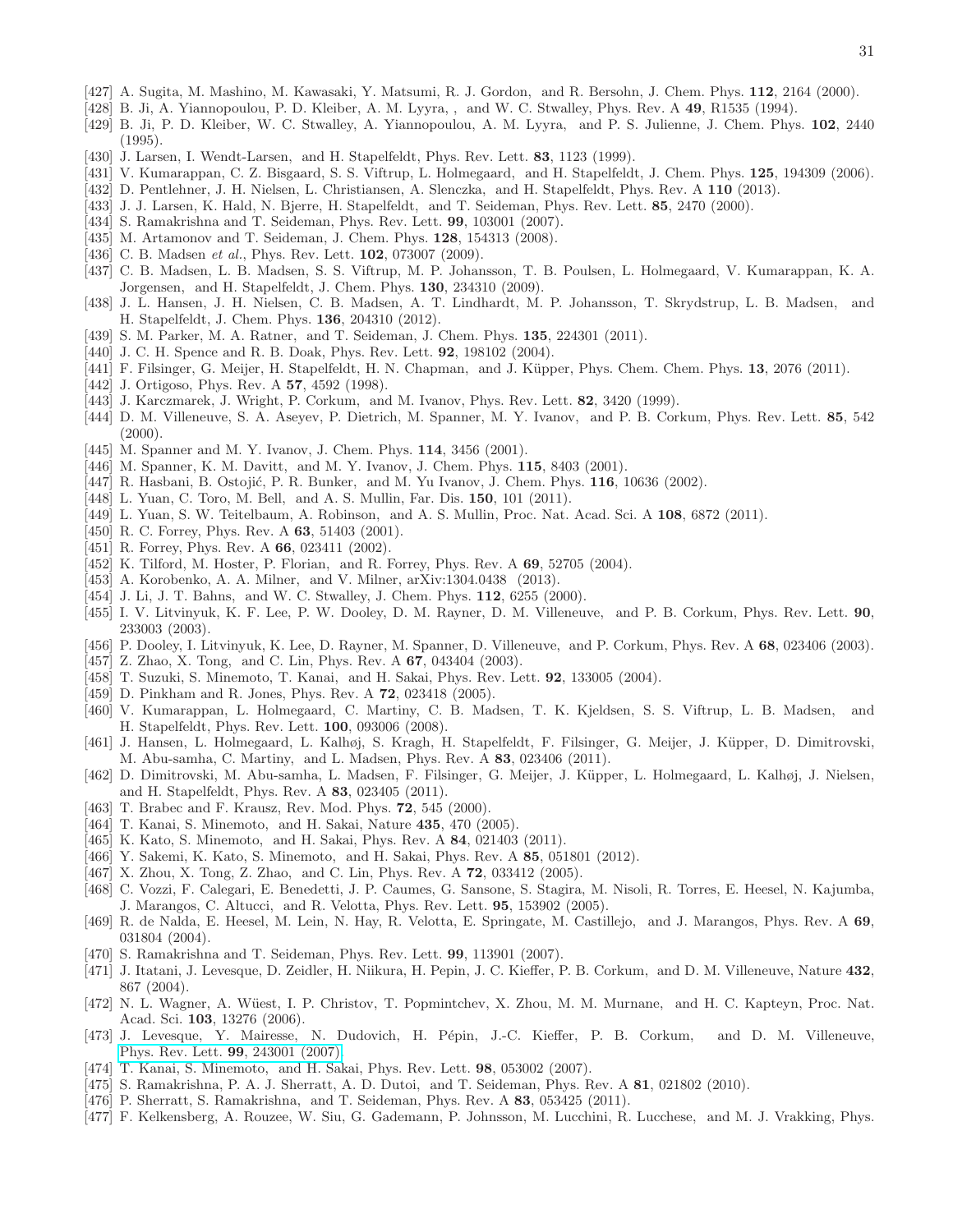- <span id="page-30-0"></span>[427] A. Sugita, M. Mashino, M. Kawasaki, Y. Matsumi, R. J. Gordon, and R. Bersohn, J. Chem. Phys. 112, 2164 (2000).
- <span id="page-30-1"></span>[428] B. Ji, A. Yiannopoulou, P. D. Kleiber, A. M. Lyyra, , and W. C. Stwalley, Phys. Rev. A 49, R1535 (1994).
- <span id="page-30-2"></span>[429] B. Ji, P. D. Kleiber, W. C. Stwalley, A. Yiannopoulou, A. M. Lyyra, and P. S. Julienne, J. Chem. Phys. 102, 2440 (1995).
- <span id="page-30-3"></span>[430] J. Larsen, I. Wendt-Larsen, and H. Stapelfeldt, Phys. Rev. Lett. 83, 1123 (1999).
- <span id="page-30-4"></span>[431] V. Kumarappan, C. Z. Bisgaard, S. S. Viftrup, L. Holmegaard, and H. Stapelfeldt, J. Chem. Phys. 125, 194309 (2006).
- <span id="page-30-5"></span>[432] D. Pentlehner, J. H. Nielsen, L. Christiansen, A. Slenczka, and H. Stapelfeldt, Phys. Rev. A 110 (2013).
- <span id="page-30-6"></span>[433] J. J. Larsen, K. Hald, N. Bjerre, H. Stapelfeldt, and T. Seideman, Phys. Rev. Lett. 85, 2470 (2000).
- <span id="page-30-7"></span>[434] S. Ramakrishna and T. Seideman, Phys. Rev. Lett. **99**, 103001 (2007).
- <span id="page-30-8"></span>[435] M. Artamonov and T. Seideman, J. Chem. Phys. **128**, 154313 (2008).
- <span id="page-30-9"></span>[436] C. B. Madsen *et al.*, Phys. Rev. Lett. **102**, 073007 (2009).
- [437] C. B. Madsen, L. B. Madsen, S. S. Viftrup, M. P. Johansson, T. B. Poulsen, L. Holmegaard, V. Kumarappan, K. A. Jorgensen, and H. Stapelfeldt, J. Chem. Phys. 130, 234310 (2009).
- <span id="page-30-10"></span>[438] J. L. Hansen, J. H. Nielsen, C. B. Madsen, A. T. Lindhardt, M. P. Johansson, T. Skrydstrup, L. B. Madsen, and H. Stapelfeldt, J. Chem. Phys. 136, 204310 (2012).
- <span id="page-30-11"></span>[439] S. M. Parker, M. A. Ratner, and T. Seideman, J. Chem. Phys. 135, 224301 (2011).
- <span id="page-30-12"></span>[440] J. C. H. Spence and R. B. Doak, Phys. Rev. Lett. **92**, 198102 (2004).
- <span id="page-30-13"></span>[441] F. Filsinger, G. Meijer, H. Stapelfeldt, H. N. Chapman, and J. K¨upper, Phys. Chem. Chem. Phys. 13, 2076 (2011).
- <span id="page-30-14"></span>[442] J. Ortigoso, Phys. Rev. A **57**, 4592 (1998).
- <span id="page-30-15"></span>[443] J. Karczmarek, J. Wright, P. Corkum, and M. Ivanov, Phys. Rev. Lett. 82, 3420 (1999).
- <span id="page-30-16"></span>[444] D. M. Villeneuve, S. A. Aseyev, P. Dietrich, M. Spanner, M. Y. Ivanov, and P. B. Corkum, Phys. Rev. Lett. 85, 542  $(2000).$
- <span id="page-30-17"></span>[445] M. Spanner and M. Y. Ivanov, J. Chem. Phys. **114**, 3456 (2001).
- [446] M. Spanner, K. M. Davitt, and M. Y. Ivanov, J. Chem. Phys. 115, 8403 (2001).
- <span id="page-30-18"></span>[447] R. Hasbani, B. Ostojić, P. R. Bunker, and M. Yu Ivanov, J. Chem. Phys. 116, 10636 (2002).
- <span id="page-30-19"></span>[448] L. Yuan, C. Toro, M. Bell, and A. S. Mullin, Far. Dis. **150**, 101 (2011).
- <span id="page-30-20"></span>[449] L. Yuan, S. W. Teitelbaum, A. Robinson, and A. S. Mullin, Proc. Nat. Acad. Sci. A 108, 6872 (2011).
- <span id="page-30-21"></span>[450] R. C. Forrey, Phys. Rev. A 63, 51403 (2001).
- [451] R. Forrey, Phys. Rev. A 66, 023411 (2002).
- <span id="page-30-22"></span>[452] K. Tilford, M. Hoster, P. Florian, and R. Forrey, Phys. Rev. A 69, 52705 (2004).
- <span id="page-30-23"></span>[453] A. Korobenko, A. A. Milner, and V. Milner, arXiv:1304.0438 (2013).
- <span id="page-30-24"></span>[454] J. Li, J. T. Bahns, and W. C. Stwalley, J. Chem. Phys. 112, 6255 (2000).
- <span id="page-30-25"></span>[455] I. V. Litvinyuk, K. F. Lee, P. W. Dooley, D. M. Rayner, D. M. Villeneuve, and P. B. Corkum, Phys. Rev. Lett. 90, 233003 (2003).
- <span id="page-30-26"></span>[456] P. Dooley, I. Litvinyuk, K. Lee, D. Rayner, M. Spanner, D. Villeneuve, and P. Corkum, Phys. Rev. A 68, 023406 (2003).
- <span id="page-30-27"></span>[457] Z. Zhao, X. Tong, and C. Lin, Phys. Rev. A 67, 043404 (2003).
- <span id="page-30-28"></span>[458] T. Suzuki, S. Minemoto, T. Kanai, and H. Sakai, Phys. Rev. Lett. 92, 133005 (2004).
- <span id="page-30-29"></span>[459] D. Pinkham and R. Jones, Phys. Rev. A **72**, 023418 (2005).
- <span id="page-30-30"></span>[460] V. Kumarappan, L. Holmegaard, C. Martiny, C. B. Madsen, T. K. Kjeldsen, S. S. Viftrup, L. B. Madsen, and H. Stapelfeldt, Phys. Rev. Lett. 100, 093006 (2008).
- <span id="page-30-31"></span>[461] J. Hansen, L. Holmegaard, L. Kalhøj, S. Kragh, H. Stapelfeldt, F. Filsinger, G. Meijer, J. Küpper, D. Dimitrovski, M. Abu-samha, C. Martiny, and L. Madsen, Phys. Rev. A 83, 023406 (2011).
- <span id="page-30-32"></span>[462] D. Dimitrovski, M. Abu-samha, L. Madsen, F. Filsinger, G. Meijer, J. Küpper, L. Holmegaard, L. Kalhøj, J. Nielsen, and H. Stapelfeldt, Phys. Rev. A 83, 023405 (2011).
- <span id="page-30-33"></span>[463] T. Brabec and F. Krausz, Rev. Mod. Phys. **72**, 545 (2000).
- <span id="page-30-34"></span>[464] T. Kanai, S. Minemoto, and H. Sakai, Nature 435, 470 (2005).
- [465] K. Kato, S. Minemoto, and H. Sakai, Phys. Rev. A 84, 021403 (2011).
- [466] Y. Sakemi, K. Kato, S. Minemoto, and H. Sakai, Phys. Rev. A 85, 051801 (2012).
- [467] X. Zhou, X. Tong, Z. Zhao, and C. Lin, Phys. Rev. A **72**, 033412 (2005).
- <span id="page-30-35"></span>[468] C. Vozzi, F. Calegari, E. Benedetti, J. P. Caumes, G. Sansone, S. Stagira, M. Nisoli, R. Torres, E. Heesel, N. Kajumba, J. Marangos, C. Altucci, and R. Velotta, Phys. Rev. Lett. 95, 153902 (2005).
- <span id="page-30-36"></span>[469] R. de Nalda, E. Heesel, M. Lein, N. Hay, R. Velotta, E. Springate, M. Castillejo, and J. Marangos, Phys. Rev. A 69, 031804 (2004).
- <span id="page-30-37"></span>[470] S. Ramakrishna and T. Seideman, Phys. Rev. Lett. **99**, 113901 (2007).
- <span id="page-30-38"></span>[471] J. Itatani, J. Levesque, D. Zeidler, H. Niikura, H. Pepin, J. C. Kieffer, P. B. Corkum, and D. M. Villeneuve, Nature 432, 867 (2004).
- <span id="page-30-39"></span>[472] N. L. Wagner, A. Wüest, I. P. Christov, T. Popmintchev, X. Zhou, M. M. Murnane, and H. C. Kapteyn, Proc. Nat. Acad. Sci. 103, 13276 (2006).
- <span id="page-30-40"></span>[473] J. Levesque, Y. Mairesse, N. Dudovich, H. Pépin, J.-C. Kieffer, P. B. Corkum, and D. M. Villeneuve, [Phys. Rev. Lett.](http://dx.doi.org/ 10.1103/PhysRevLett.99.243001) 99, 243001 (2007).
- <span id="page-30-41"></span>[474] T. Kanai, S. Minemoto, and H. Sakai, Phys. Rev. Lett. 98, 053002 (2007).
- <span id="page-30-42"></span>[475] S. Ramakrishna, P. A. J. Sherratt, A. D. Dutoi, and T. Seideman, Phys. Rev. A 81, 021802 (2010).
- <span id="page-30-43"></span>[476] P. Sherratt, S. Ramakrishna, and T. Seideman, Phys. Rev. A 83, 053425 (2011).
- <span id="page-30-44"></span>[477] F. Kelkensberg, A. Rouzee, W. Siu, G. Gademann, P. Johnsson, M. Lucchini, R. Lucchese, and M. J. Vrakking, Phys.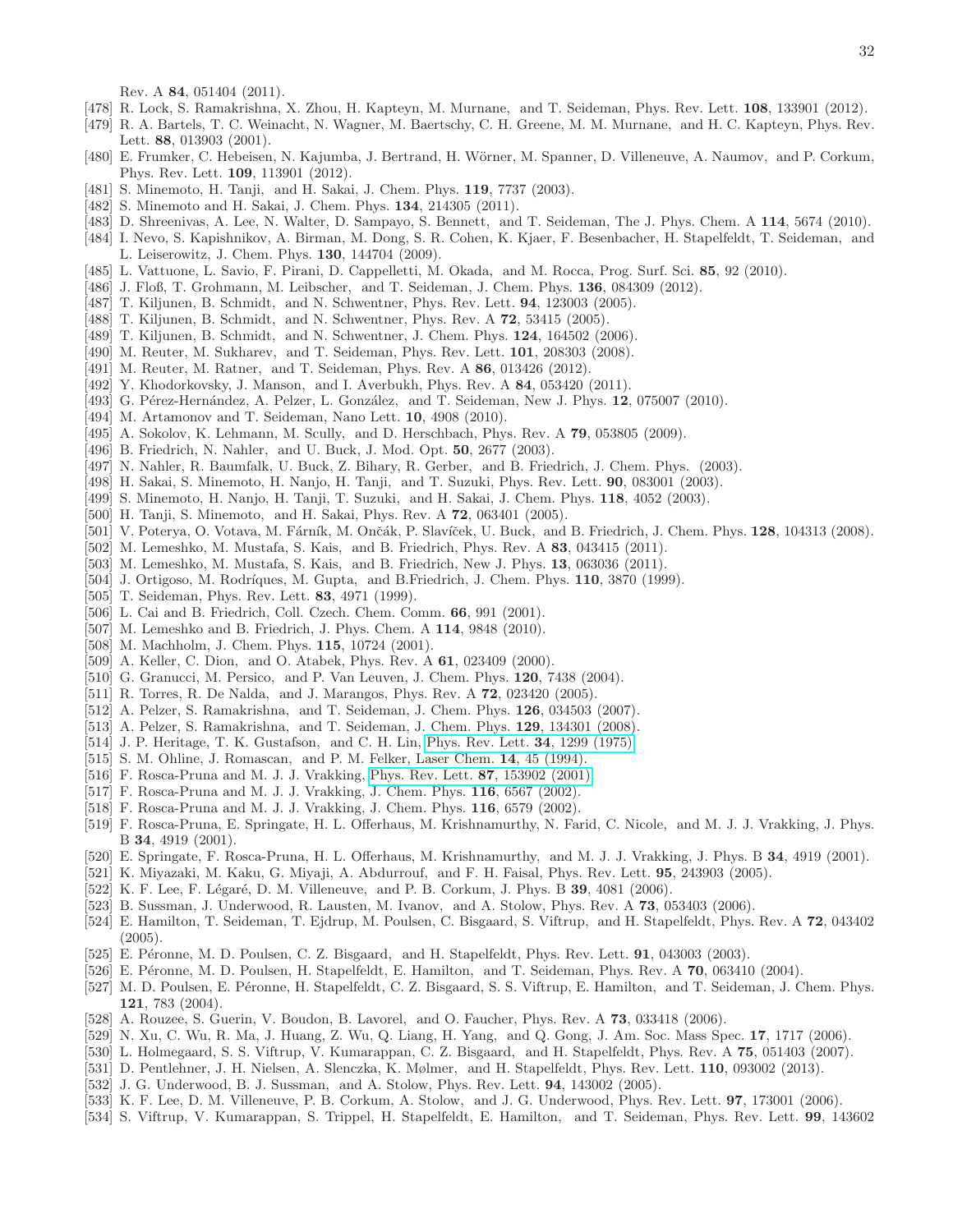Rev. A 84, 051404 (2011).

- <span id="page-31-0"></span>[478] R. Lock, S. Ramakrishna, X. Zhou, H. Kapteyn, M. Murnane, and T. Seideman, Phys. Rev. Lett. 108, 133901 (2012).
- <span id="page-31-1"></span>[479] R. A. Bartels, T. C. Weinacht, N. Wagner, M. Baertschy, C. H. Greene, M. M. Murnane, and H. C. Kapteyn, Phys. Rev. Lett. 88, 013903 (2001).
- <span id="page-31-2"></span>[480] E. Frumker, C. Hebeisen, N. Kajumba, J. Bertrand, H. Wörner, M. Spanner, D. Villeneuve, A. Naumov, and P. Corkum, Phys. Rev. Lett. 109, 113901 (2012).
- <span id="page-31-3"></span>[481] S. Minemoto, H. Tanji, and H. Sakai, J. Chem. Phys. 119, 7737 (2003).
- <span id="page-31-4"></span>[482] S. Minemoto and H. Sakai, J. Chem. Phys. **134**, 214305 (2011).
- <span id="page-31-5"></span>[483] D. Shreenivas, A. Lee, N. Walter, D. Sampayo, S. Bennett, and T. Seideman, The J. Phys. Chem. A 114, 5674 (2010).
- <span id="page-31-6"></span>[484] I. Nevo, S. Kapishnikov, A. Birman, M. Dong, S. R. Cohen, K. Kjaer, F. Besenbacher, H. Stapelfeldt, T. Seideman, and L. Leiserowitz, J. Chem. Phys. 130, 144704 (2009).
- <span id="page-31-7"></span>[485] L. Vattuone, L. Savio, F. Pirani, D. Cappelletti, M. Okada, and M. Rocca, Prog. Surf. Sci. 85, 92 (2010).
- <span id="page-31-8"></span>[486] J. Floß, T. Grohmann, M. Leibscher, and T. Seideman, J. Chem. Phys. 136, 084309 (2012).
- <span id="page-31-9"></span>[487] T. Kiljunen, B. Schmidt, and N. Schwentner, Phys. Rev. Lett. 94, 123003 (2005).
- [488] T. Kiljunen, B. Schmidt, and N. Schwentner, Phys. Rev. A **72**, 53415 (2005).
- <span id="page-31-10"></span>[489] T. Kiljunen, B. Schmidt, and N. Schwentner, J. Chem. Phys. 124, 164502 (2006).
- <span id="page-31-11"></span>[490] M. Reuter, M. Sukharev, and T. Seideman, Phys. Rev. Lett. 101, 208303 (2008).
- <span id="page-31-12"></span>[491] M. Reuter, M. Ratner, and T. Seideman, Phys. Rev. A 86, 013426 (2012).
- <span id="page-31-13"></span>[492] Y. Khodorkovsky, J. Manson, and I. Averbukh, Phys. Rev. A 84, 053420 (2011).
- <span id="page-31-14"></span>[493] G. Pérez-Hernández, A. Pelzer, L. González, and T. Seideman, New J. Phys. 12, 075007 (2010).
- <span id="page-31-15"></span>[494] M. Artamonov and T. Seideman, Nano Lett. 10, 4908 (2010).
- <span id="page-31-16"></span>[495] A. Sokolov, K. Lehmann, M. Scully, and D. Herschbach, Phys. Rev. A 79, 053805 (2009).
- <span id="page-31-17"></span>[496] B. Friedrich, N. Nahler, and U. Buck, J. Mod. Opt. 50, 2677 (2003).
- <span id="page-31-18"></span>[497] N. Nahler, R. Baumfalk, U. Buck, Z. Bihary, R. Gerber, and B. Friedrich, J. Chem. Phys. (2003).
- <span id="page-31-19"></span>[498] H. Sakai, S. Minemoto, H. Nanjo, H. Tanji, and T. Suzuki, Phys. Rev. Lett. 90, 083001 (2003).
- <span id="page-31-20"></span>[499] S. Minemoto, H. Nanjo, H. Tanji, T. Suzuki, and H. Sakai, J. Chem. Phys. 118, 4052 (2003).
- <span id="page-31-21"></span>[500] H. Tanji, S. Minemoto, and H. Sakai, Phys. Rev. A 72, 063401 (2005).
- <span id="page-31-22"></span>[501] V. Poterya, O. Votava, M. Fárník, M. Ončák, P. Slavíček, U. Buck, and B. Friedrich, J. Chem. Phys. 128, 104313 (2008).
- <span id="page-31-23"></span>[502] M. Lemeshko, M. Mustafa, S. Kais, and B. Friedrich, Phys. Rev. A 83, 043415 (2011).
- <span id="page-31-24"></span>[503] M. Lemeshko, M. Mustafa, S. Kais, and B. Friedrich, New J. Phys. 13, 063036 (2011).
- <span id="page-31-25"></span>[504] J. Ortigoso, M. Rodríques, M. Gupta, and B. Friedrich, J. Chem. Phys. 110, 3870 (1999).
- <span id="page-31-26"></span>[505] T. Seideman, Phys. Rev. Lett. **83**, 4971 (1999).
- [506] L. Cai and B. Friedrich, Coll. Czech. Chem. Comm. **66**, 991 (2001).
- <span id="page-31-27"></span>[507] M. Lemeshko and B. Friedrich, J. Phys. Chem. A 114, 9848 (2010).
- <span id="page-31-28"></span>[508] M. Machholm, J. Chem. Phys. **115**, 10724 (2001).
- <span id="page-31-29"></span>[509] A. Keller, C. Dion, and O. Atabek, Phys. Rev. A **61**, 023409 (2000).
- [510] G. Granucci, M. Persico, and P. Van Leuven, J. Chem. Phys. 120, 7438 (2004).
- <span id="page-31-30"></span>[511] R. Torres, R. De Nalda, and J. Marangos, Phys. Rev. A 72, 023420 (2005).
- <span id="page-31-31"></span>[512] A. Pelzer, S. Ramakrishna, and T. Seideman, J. Chem. Phys. 126, 034503 (2007).
- <span id="page-31-32"></span>[513] A. Pelzer, S. Ramakrishna, and T. Seideman, J. Chem. Phys. 129, 134301 (2008).
- <span id="page-31-33"></span>[514] J. P. Heritage, T. K. Gustafson, and C. H. Lin, [Phys. Rev. Lett.](http://dx.doi.org/10.1103/PhysRevLett.34.1299) 34, 1299 (1975).
- <span id="page-31-34"></span>[515] S. M. Ohline, J. Romascan, and P. M. Felker, Laser Chem. 14, 45 (1994).
- <span id="page-31-35"></span>[516] F. Rosca-Pruna and M. J. J. Vrakking, [Phys. Rev. Lett.](http://dx.doi.org/10.1103/PhysRevLett.87.153902) 87, 153902 (2001).
- [517] F. Rosca-Pruna and M. J. J. Vrakking, J. Chem. Phys. 116, 6567 (2002).
- [518] F. Rosca-Pruna and M. J. J. Vrakking, J. Chem. Phys. **116**, 6579 (2002).
- [519] F. Rosca-Pruna, E. Springate, H. L. Offerhaus, M. Krishnamurthy, N. Farid, C. Nicole, and M. J. J. Vrakking, J. Phys. B 34, 4919 (2001).
- <span id="page-31-36"></span>[520] E. Springate, F. Rosca-Pruna, H. L. Offerhaus, M. Krishnamurthy, and M. J. J. Vrakking, J. Phys. B 34, 4919 (2001).
- <span id="page-31-37"></span>[521] K. Miyazaki, M. Kaku, G. Miyaji, A. Abdurrouf, and F. H. Faisal, Phys. Rev. Lett. 95, 243903 (2005).
- <span id="page-31-38"></span>[522] K. F. Lee, F. Légaré, D. M. Villeneuve, and P. B. Corkum, J. Phys. B 39, 4081 (2006).
- <span id="page-31-39"></span>[523] B. Sussman, J. Underwood, R. Lausten, M. Ivanov, and A. Stolow, Phys. Rev. A 73, 053403 (2006).
- <span id="page-31-40"></span>[524] E. Hamilton, T. Seideman, T. Ejdrup, M. Poulsen, C. Bisgaard, S. Viftrup, and H. Stapelfeldt, Phys. Rev. A 72, 043402  $(2005).$
- <span id="page-31-41"></span>[525] E. Péronne, M. D. Poulsen, C. Z. Bisgaard, and H. Stapelfeldt, Phys. Rev. Lett. 91, 043003 (2003).
- [526] E. Péronne, M. D. Poulsen, H. Stapelfeldt, E. Hamilton, and T. Seideman, Phys. Rev. A 70, 063410 (2004).
- <span id="page-31-42"></span>[527] M. D. Poulsen, E. Péronne, H. Stapelfeldt, C. Z. Bisgaard, S. S. Viftrup, E. Hamilton, and T. Seideman, J. Chem. Phys. 121, 783 (2004).
- <span id="page-31-43"></span>[528] A. Rouzee, S. Guerin, V. Boudon, B. Lavorel, and O. Faucher, Phys. Rev. A 73, 033418 (2006).
- <span id="page-31-44"></span>[529] N. Xu, C. Wu, R. Ma, J. Huang, Z. Wu, Q. Liang, H. Yang, and Q. Gong, J. Am. Soc. Mass Spec. 17, 1717 (2006).
- <span id="page-31-45"></span>[530] L. Holmegaard, S. S. Viftrup, V. Kumarappan, C. Z. Bisgaard, and H. Stapelfeldt, Phys. Rev. A 75, 051403 (2007).
- <span id="page-31-46"></span>[531] D. Pentlehner, J. H. Nielsen, A. Slenczka, K. Mølmer, and H. Stapelfeldt, Phys. Rev. Lett. 110, 093002 (2013).
- <span id="page-31-47"></span>[532] J. G. Underwood, B. J. Sussman, and A. Stolow, Phys. Rev. Lett. 94, 143002 (2005).
- <span id="page-31-48"></span>[533] K. F. Lee, D. M. Villeneuve, P. B. Corkum, A. Stolow, and J. G. Underwood, Phys. Rev. Lett. 97, 173001 (2006).
- <span id="page-31-49"></span>[534] S. Viftrup, V. Kumarappan, S. Trippel, H. Stapelfeldt, E. Hamilton, and T. Seideman, Phys. Rev. Lett. 99, 143602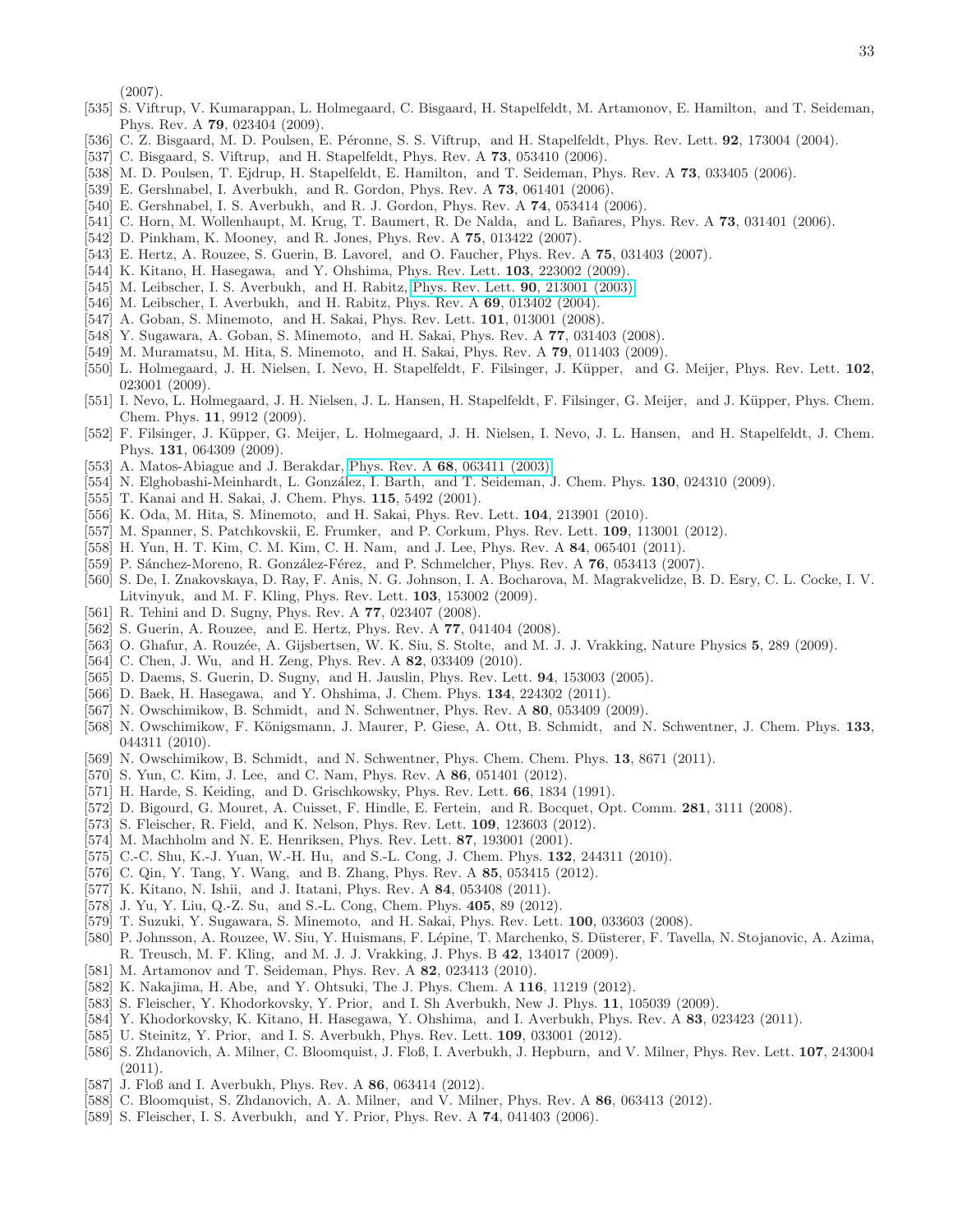(2007).

- <span id="page-32-0"></span>[535] S. Viftrup, V. Kumarappan, L. Holmegaard, C. Bisgaard, H. Stapelfeldt, M. Artamonov, E. Hamilton, and T. Seideman, Phys. Rev. A 79, 023404 (2009).
- <span id="page-32-1"></span>[536] C. Z. Bisgaard, M. D. Poulsen, E. Péronne, S. S. Viftrup, and H. Stapelfeldt, Phys. Rev. Lett. **92**, 173004 (2004).
- <span id="page-32-2"></span>[537] C. Bisgaard, S. Viftrup, and H. Stapelfeldt, Phys. Rev. A **73**, 053410 (2006).
- <span id="page-32-3"></span>[538] M. D. Poulsen, T. Ejdrup, H. Stapelfeldt, E. Hamilton, and T. Seideman, Phys. Rev. A 73, 033405 (2006).
- <span id="page-32-4"></span>[539] E. Gershnabel, I. Averbukh, and R. Gordon, Phys. Rev. A 73, 061401 (2006).
- <span id="page-32-5"></span>[540] E. Gershnabel, I. S. Averbukh, and R. J. Gordon, Phys. Rev. A 74, 053414 (2006).
- <span id="page-32-6"></span>[541] C. Horn, M. Wollenhaupt, M. Krug, T. Baumert, R. De Nalda, and L. Bañares, Phys. Rev. A 73, 031401 (2006).
- [542] D. Pinkham, K. Mooney, and R. Jones, Phys. Rev. A **75**, 013422 (2007).
- <span id="page-32-7"></span>[543] E. Hertz, A. Rouzee, S. Guerin, B. Lavorel, and O. Faucher, Phys. Rev. A 75, 031403 (2007).
- <span id="page-32-8"></span>[544] K. Kitano, H. Hasegawa, and Y. Ohshima, Phys. Rev. Lett. **103**, 223002 (2009).
- <span id="page-32-9"></span>[545] M. Leibscher, I. S. Averbukh, and H. Rabitz, Phys. Rev. Lett. **90**[, 213001 \(2003\).](http://dx.doi.org/10.1103/PhysRevLett.90.213001)
- <span id="page-32-10"></span>[546] M. Leibscher, I. Averbukh, and H. Rabitz, Phys. Rev. A 69, 013402 (2004).
- <span id="page-32-11"></span>[547] A. Goban, S. Minemoto, and H. Sakai, Phys. Rev. Lett. **101**, 013001 (2008).
- <span id="page-32-12"></span>[548] Y. Sugawara, A. Goban, S. Minemoto, and H. Sakai, Phys. Rev. A 77, 031403 (2008).
- <span id="page-32-13"></span>[549] M. Muramatsu, M. Hita, S. Minemoto, and H. Sakai, Phys. Rev. A 79, 011403 (2009).
- <span id="page-32-14"></span>[550] L. Holmegaard, J. H. Nielsen, I. Nevo, H. Stapelfeldt, F. Filsinger, J. Küpper, and G. Meijer, Phys. Rev. Lett. 102, 023001 (2009).
- <span id="page-32-15"></span>[551] I. Nevo, L. Holmegaard, J. H. Nielsen, J. L. Hansen, H. Stapelfeldt, F. Filsinger, G. Meijer, and J. Küpper, Phys. Chem. Chem. Phys. 11, 9912 (2009).
- <span id="page-32-16"></span>[552] F. Filsinger, J. Küpper, G. Meijer, L. Holmegaard, J. H. Nielsen, I. Nevo, J. L. Hansen, and H. Stapelfeldt, J. Chem. Phys. 131, 064309 (2009).
- <span id="page-32-17"></span>[553] A. Matos-Abiague and J. Berakdar, Phys. Rev. A 68[, 063411 \(2003\).](http://dx.doi.org/10.1103/PhysRevA.68.063411)
- <span id="page-32-18"></span>[554] N. Elghobashi-Meinhardt, L. González, I. Barth, and T. Seideman, J. Chem. Phys. 130, 024310 (2009).
- <span id="page-32-19"></span>[555] T. Kanai and H. Sakai, J. Chem. Phys. 115, 5492 (2001).
- <span id="page-32-20"></span>[556] K. Oda, M. Hita, S. Minemoto, and H. Sakai, Phys. Rev. Lett. 104, 213901 (2010).
- <span id="page-32-21"></span>[557] M. Spanner, S. Patchkovskii, E. Frumker, and P. Corkum, Phys. Rev. Lett. 109, 113001 (2012).
- <span id="page-32-22"></span>[558] H. Yun, H. T. Kim, C. M. Kim, C. H. Nam, and J. Lee, Phys. Rev. A 84, 065401 (2011).
- <span id="page-32-23"></span>[559] P. Sánchez-Moreno, R. González-Férez, and P. Schmelcher, Phys. Rev. A 76, 053413 (2007).
- <span id="page-32-24"></span>[560] S. De, I. Znakovskaya, D. Ray, F. Anis, N. G. Johnson, I. A. Bocharova, M. Magrakvelidze, B. D. Esry, C. L. Cocke, I. V. Litvinyuk, and M. F. Kling, Phys. Rev. Lett. 103, 153002 (2009).
- <span id="page-32-25"></span>[561] R. Tehini and D. Sugny, Phys. Rev. A **77**, 023407 (2008).
- <span id="page-32-26"></span>[562] S. Guerin, A. Rouzee, and E. Hertz, Phys. Rev. A 77, 041404 (2008).
- <span id="page-32-27"></span>[563] O. Ghafur, A. Rouzée, A. Gijsbertsen, W. K. Siu, S. Stolte, and M. J. J. Vrakking, Nature Physics 5, 289 (2009).
- <span id="page-32-28"></span>[564] C. Chen, J. Wu, and H. Zeng, Phys. Rev. A **82**, 033409 (2010).
- <span id="page-32-29"></span>[565] D. Daems, S. Guerin, D. Sugny, and H. Jauslin, Phys. Rev. Lett. 94, 153003 (2005).
- <span id="page-32-30"></span>[566] D. Baek, H. Hasegawa, and Y. Ohshima, J. Chem. Phys. 134, 224302 (2011).
- <span id="page-32-31"></span>[567] N. Owschimikow, B. Schmidt, and N. Schwentner, Phys. Rev. A 80, 053409 (2009).
- [568] N. Owschimikow, F. Königsmann, J. Maurer, P. Giese, A. Ott, B. Schmidt, and N. Schwentner, J. Chem. Phys. 133, 044311 (2010).
- <span id="page-32-32"></span>[569] N. Owschimikow, B. Schmidt, and N. Schwentner, Phys. Chem. Chem. Phys. 13, 8671 (2011).
- <span id="page-32-33"></span>[570] S. Yun, C. Kim, J. Lee, and C. Nam, Phys. Rev. A 86, 051401 (2012).
- <span id="page-32-34"></span>[571] H. Harde, S. Keiding, and D. Grischkowsky, Phys. Rev. Lett. 66, 1834 (1991).
- [572] D. Bigourd, G. Mouret, A. Cuisset, F. Hindle, E. Fertein, and R. Bocquet, Opt. Comm. 281, 3111 (2008).
- <span id="page-32-35"></span>[573] S. Fleischer, R. Field, and K. Nelson, Phys. Rev. Lett. 109, 123603 (2012).
- <span id="page-32-36"></span>[574] M. Machholm and N. E. Henriksen, Phys. Rev. Lett. 87, 193001 (2001).
- [575] C.-C. Shu, K.-J. Yuan, W.-H. Hu, and S.-L. Cong, J. Chem. Phys. 132, 244311 (2010).
- <span id="page-32-37"></span>[576] C. Qin, Y. Tang, Y. Wang, and B. Zhang, Phys. Rev. A 85, 053415 (2012).
- <span id="page-32-38"></span>[577] K. Kitano, N. Ishii, and J. Itatani, Phys. Rev. A 84, 053408 (2011).
- <span id="page-32-39"></span>[578] J. Yu, Y. Liu, Q.-Z. Su, and S.-L. Cong, Chem. Phys. 405, 89 (2012).
- <span id="page-32-40"></span>[579] T. Suzuki, Y. Sugawara, S. Minemoto, and H. Sakai, Phys. Rev. Lett. 100, 033603 (2008).
- <span id="page-32-41"></span>[580] P. Johnsson, A. Rouzee, W. Siu, Y. Huismans, F. L´epine, T. Marchenko, S. D¨usterer, F. Tavella, N. Stojanovic, A. Azima, R. Treusch, M. F. Kling, and M. J. J. Vrakking, J. Phys. B 42, 134017 (2009).
- <span id="page-32-42"></span>[581] M. Artamonov and T. Seideman, Phys. Rev. A 82, 023413 (2010).
- <span id="page-32-43"></span>[582] K. Nakajima, H. Abe, and Y. Ohtsuki, The J. Phys. Chem. A 116, 11219 (2012).
- <span id="page-32-44"></span>[583] S. Fleischer, Y. Khodorkovsky, Y. Prior, and I. Sh Averbukh, New J. Phys. 11, 105039 (2009).
- <span id="page-32-45"></span>[584] Y. Khodorkovsky, K. Kitano, H. Hasegawa, Y. Ohshima, and I. Averbukh, Phys. Rev. A 83, 023423 (2011).
- <span id="page-32-46"></span>[585] U. Steinitz, Y. Prior, and I. S. Averbukh, Phys. Rev. Lett. 109, 033001 (2012).
- <span id="page-32-47"></span>[586] S. Zhdanovich, A. Milner, C. Bloomquist, J. Floß, I. Averbukh, J. Hepburn, and V. Milner, Phys. Rev. Lett. 107, 243004 (2011).
- [587] J. Floß and I. Averbukh, Phys. Rev. A 86, 063414 (2012).
- <span id="page-32-48"></span>[588] C. Bloomquist, S. Zhdanovich, A. A. Milner, and V. Milner, Phys. Rev. A 86, 063413 (2012).
- <span id="page-32-49"></span>[589] S. Fleischer, I. S. Averbukh, and Y. Prior, Phys. Rev. A **74**, 041403 (2006).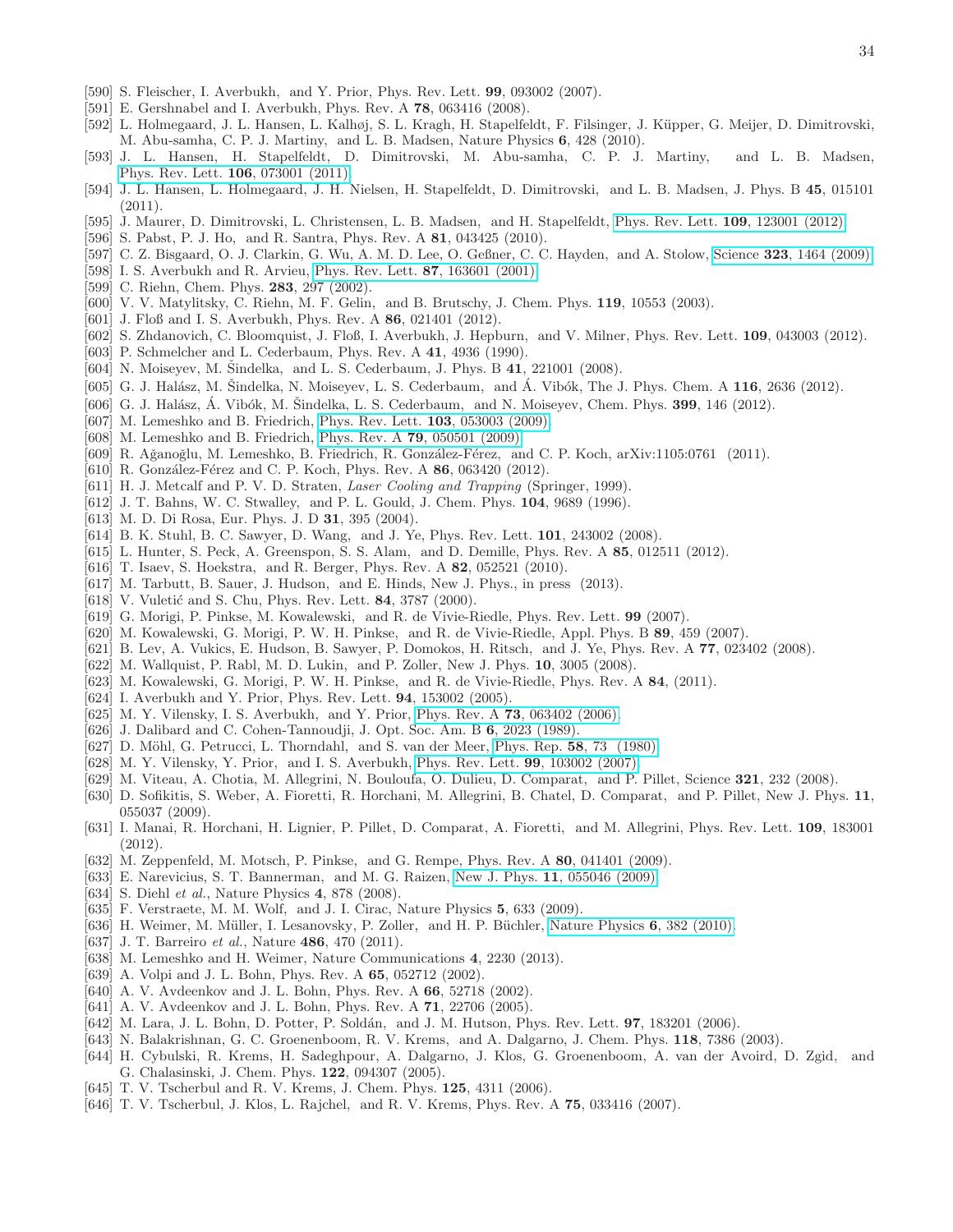- <span id="page-33-0"></span>[590] S. Fleischer, I. Averbukh, and Y. Prior, Phys. Rev. Lett. **99**, 093002 (2007).
- <span id="page-33-1"></span>[591] E. Gershnabel and I. Averbukh, Phys. Rev. A 78, 063416 (2008).
- <span id="page-33-2"></span>[592] L. Holmegaard, J. L. Hansen, L. Kalhøj, S. L. Kragh, H. Stapelfeldt, F. Filsinger, J. K¨upper, G. Meijer, D. Dimitrovski, M. Abu-samha, C. P. J. Martiny, and L. B. Madsen, Nature Physics 6, 428 (2010).
- [593] J. L. Hansen, H. Stapelfeldt, D. Dimitrovski, M. Abu-samha, C. P. J. Martiny, and L. B. Madsen, [Phys. Rev. Lett.](http://dx.doi.org/ 10.1103/PhysRevLett.106.073001) 106, 073001 (2011).
- <span id="page-33-3"></span>[594] J. L. Hansen, L. Holmegaard, J. H. Nielsen, H. Stapelfeldt, D. Dimitrovski, and L. B. Madsen, J. Phys. B 45, 015101 (2011).
- <span id="page-33-4"></span>[595] J. Maurer, D. Dimitrovski, L. Christensen, L. B. Madsen, and H. Stapelfeldt, [Phys. Rev. Lett.](http://dx.doi.org/ 10.1103/PhysRevLett.109.123001) 109, 123001 (2012).
- <span id="page-33-5"></span>[596] S. Pabst, P. J. Ho, and R. Santra, Phys. Rev. A 81, 043425 (2010).
- <span id="page-33-6"></span>[597] C. Z. Bisgaard, O. J. Clarkin, G. Wu, A. M. D. Lee, O. Geßner, C. C. Hayden, and A. Stolow, Science 323[, 1464 \(2009\).](http://dx.doi.org/ 10.1126/science.1169183)
- <span id="page-33-7"></span>[598] I. S. Averbukh and R. Arvieu, [Phys. Rev. Lett.](http://dx.doi.org/10.1103/PhysRevLett.87.163601) 87, 163601 (2001).
- <span id="page-33-8"></span>[599] C. Riehn, Chem. Phys. **283**, 297 (2002).
- <span id="page-33-9"></span>[600] V. V. Matylitsky, C. Riehn, M. F. Gelin, and B. Brutschy, J. Chem. Phys. 119, 10553 (2003).
- <span id="page-33-10"></span>[601] J. Floß and I. S. Averbukh, Phys. Rev. A **86**, 021401 (2012).
- <span id="page-33-11"></span>[602] S. Zhdanovich, C. Bloomquist, J. Floß, I. Averbukh, J. Hepburn, and V. Milner, Phys. Rev. Lett. 109, 043003 (2012).
- <span id="page-33-12"></span>[603] P. Schmelcher and L. Cederbaum, Phys. Rev. A 41, 4936 (1990).
- <span id="page-33-13"></span>[604] N. Moiseyev, M. Sindelka, and L. S. Cederbaum, J. Phys. B  $41$ ,  $221001$  (2008).
- [605] G. J. Halász, M. Šindelka, N. Moiseyev, L. S. Cederbaum, and  $\AA$ . Vibók, The J. Phys. Chem. A  $116$ , 2636 (2012).
- <span id="page-33-14"></span>[606] G. J. Halász, Á. Vibók, M. Šindelka, L. S. Cederbaum, and N. Moiseyev, Chem. Phys.  $399$ , 146 (2012).
- <span id="page-33-15"></span>[607] M. Lemeshko and B. Friedrich, [Phys. Rev. Lett.](http://dx.doi.org/10.1103/PhysRevLett.103.053003) 103, 053003 (2009).
- <span id="page-33-16"></span>[608] M. Lemeshko and B. Friedrich, Phys. Rev. A 79[, 050501 \(2009\).](http://dx.doi.org/10.1103/PhysRevA.79.050501)
- <span id="page-33-17"></span>[609] R. Ağanoğlu, M. Lemeshko, B. Friedrich, R. González-Férez, and C. P. Koch, arXiv:1105:0761 (2011).
- <span id="page-33-18"></span>[610] R. González-Férez and C. P. Koch, Phys. Rev. A 86, 063420 (2012).
- <span id="page-33-19"></span>[611] H. J. Metcalf and P. V. D. Straten, *Laser Cooling and Trapping* (Springer, 1999).
- <span id="page-33-20"></span>[612] J. T. Bahns, W. C. Stwalley, and P. L. Gould, J. Chem. Phys. 104, 9689 (1996).
- <span id="page-33-21"></span>[613] M. D. Di Rosa, Eur. Phys. J. D **31**, 395 (2004).
- <span id="page-33-22"></span>[614] B. K. Stuhl, B. C. Sawyer, D. Wang, and J. Ye, Phys. Rev. Lett. 101, 243002 (2008).
- <span id="page-33-23"></span>[615] L. Hunter, S. Peck, A. Greenspon, S. S. Alam, and D. Demille, Phys. Rev. A 85, 012511 (2012).
- <span id="page-33-24"></span>[616] T. Isaev, S. Hoekstra, and R. Berger, Phys. Rev. A 82, 052521 (2010).
- <span id="page-33-25"></span>[617] M. Tarbutt, B. Sauer, J. Hudson, and E. Hinds, New J. Phys., in press (2013).
- <span id="page-33-26"></span>[618] V. Vuletić and S. Chu, Phys. Rev. Lett. **84**, 3787 (2000).
- [619] G. Morigi, P. Pinkse, M. Kowalewski, and R. de Vivie-Riedle, Phys. Rev. Lett. 99 (2007).
- [620] M. Kowalewski, G. Morigi, P. W. H. Pinkse, and R. de Vivie-Riedle, Appl. Phys. B 89, 459 (2007).
- [621] B. Lev, A. Vukics, E. Hudson, B. Sawyer, P. Domokos, H. Ritsch, and J. Ye, Phys. Rev. A 77, 023402 (2008).
- [622] M. Wallquist, P. Rabl, M. D. Lukin, and P. Zoller, New J. Phys. 10, 3005 (2008).
- <span id="page-33-27"></span>[623] M. Kowalewski, G. Morigi, P. W. H. Pinkse, and R. de Vivie-Riedle, Phys. Rev. A 84, (2011).
- <span id="page-33-28"></span>[624] I. Averbukh and Y. Prior, Phys. Rev. Lett. **94**, 153002 (2005).
- <span id="page-33-29"></span>[625] M. Y. Vilensky, I. S. Averbukh, and Y. Prior, Phys. Rev. A 73[, 063402 \(2006\).](http://dx.doi.org/10.1103/PhysRevA.73.063402)
- <span id="page-33-30"></span>[626] J. Dalibard and C. Cohen-Tannoudji, J. Opt. Soc. Am. B 6, 2023 (1989).
- <span id="page-33-31"></span>[627] D. Möhl, G. Petrucci, L. Thorndahl, and S. van der Meer, Phys. Rep. 58[, 73 \(1980\).](http://dx.doi.org/10.1016/0370-1573(80)90140-4)
- <span id="page-33-32"></span>[628] M. Y. Vilensky, Y. Prior, and I. S. Averbukh, Phys. Rev. Lett. 99[, 103002 \(2007\).](http://dx.doi.org/10.1103/PhysRevLett.99.103002)
- <span id="page-33-33"></span>[629] M. Viteau, A. Chotia, M. Allegrini, N. Bouloufa, O. Dulieu, D. Comparat, and P. Pillet, Science 321, 232 (2008).
- [630] D. Sofikitis, S. Weber, A. Fioretti, R. Horchani, M. Allegrini, B. Chatel, D. Comparat, and P. Pillet, New J. Phys. 11, 055037 (2009).
- <span id="page-33-34"></span>[631] I. Manai, R. Horchani, H. Lignier, P. Pillet, D. Comparat, A. Fioretti, and M. Allegrini, Phys. Rev. Lett. 109, 183001 (2012).
- <span id="page-33-35"></span>[632] M. Zeppenfeld, M. Motsch, P. Pinkse, and G. Rempe, Phys. Rev. A 80, 041401 (2009).
- <span id="page-33-36"></span>[633] E. Narevicius, S. T. Bannerman, and M. G. Raizen, New J. Phys. 11[, 055046 \(2009\).](http://stacks.iop.org/1367-2630/11/i=5/a=055046)
- <span id="page-33-37"></span>[634] S. Diehl *et al.*, Nature Physics 4, 878 (2008).
- [635] F. Verstraete, M. M. Wolf, and J. I. Cirac, Nature Physics 5, 633 (2009).
- [636] H. Weimer, M. Müller, I. Lesanovsky, P. Zoller, and H. P. Büchler, [Nature Physics](http://dx.doi.org/10.1038/NPHYS1614) 6, 382 (2010).
- <span id="page-33-38"></span>[637] J. T. Barreiro *et al.*, Nature 486, 470 (2011).
- <span id="page-33-39"></span>[638] M. Lemeshko and H. Weimer, Nature Communications 4, 2230 (2013).
- <span id="page-33-40"></span>[639] A. Volpi and J. L. Bohn, Phys. Rev. A **65**, 052712 (2002).
- <span id="page-33-41"></span>[640] A. V. Avdeenkov and J. L. Bohn, Phys. Rev. A 66, 52718 (2002).
- [641] A. V. Avdeenkov and J. L. Bohn, Phys. Rev. A 71, 22706 (2005).
- <span id="page-33-42"></span>[642] M. Lara, J. L. Bohn, D. Potter, P. Soldán, and J. M. Hutson, Phys. Rev. Lett. **97**, 183201 (2006).
- <span id="page-33-43"></span>[643] N. Balakrishnan, G. C. Groenenboom, R. V. Krems, and A. Dalgarno, J. Chem. Phys. 118, 7386 (2003).
- [644] H. Cybulski, R. Krems, H. Sadeghpour, A. Dalgarno, J. Klos, G. Groenenboom, A. van der Avoird, D. Zgid, and G. Chalasinski, J. Chem. Phys. 122, 094307 (2005).
- <span id="page-33-44"></span>[645] T. V. Tscherbul and R. V. Krems, J. Chem. Phys. **125**, 4311 (2006).
- [646] T. V. Tscherbul, J. Klos, L. Rajchel, and R. V. Krems, Phys. Rev. A 75, 033416 (2007).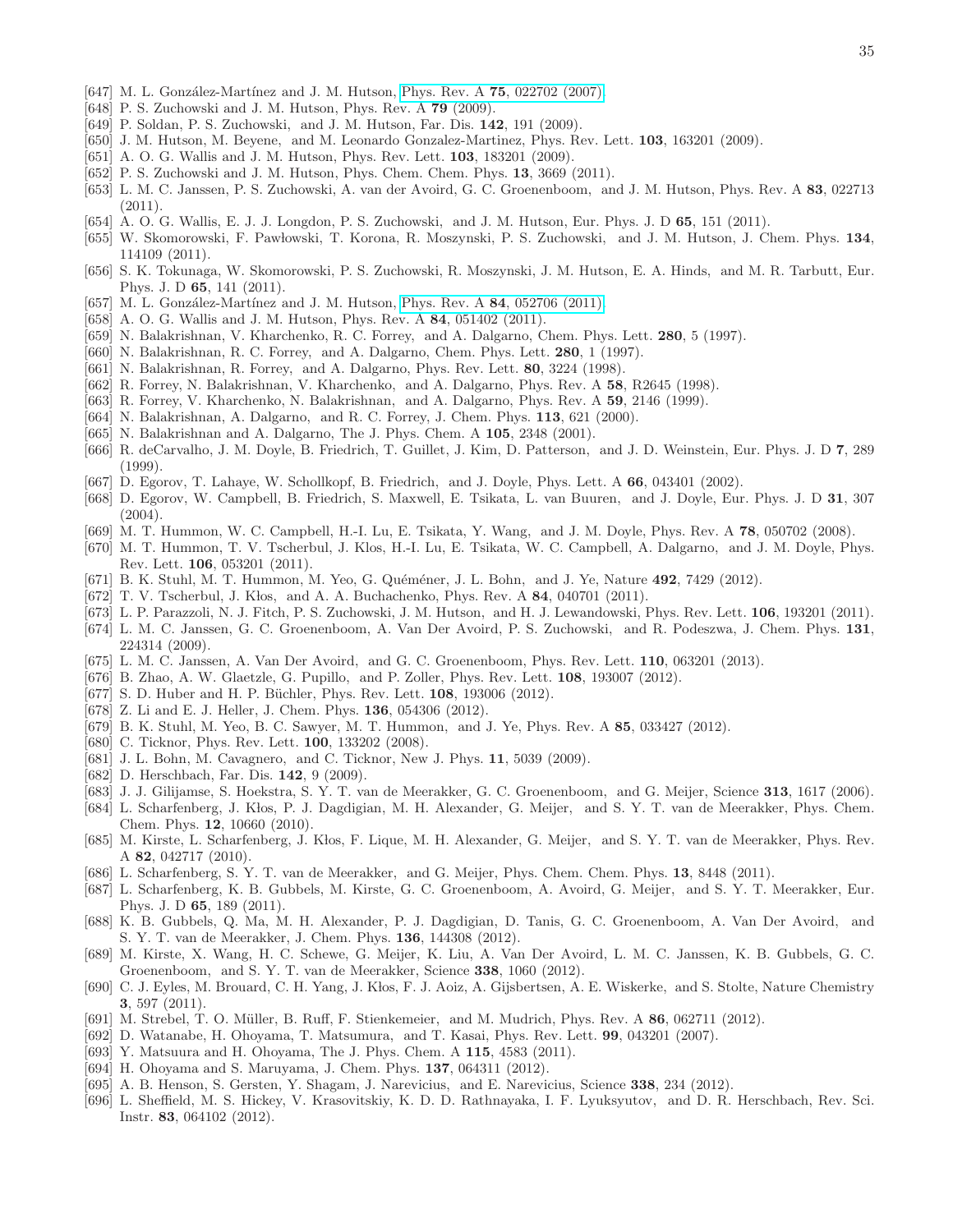- <span id="page-34-1"></span>[647] M. L. González-Martínez and J. M. Hutson, Phys. Rev. A 75[, 022702 \(2007\).](http://dx.doi.org/10.1103/PhysRevA.75.022702)
- <span id="page-34-11"></span>[648] P. S. Zuchowski and J. M. Hutson, Phys. Rev. A **79** (2009).
- <span id="page-34-6"></span>[649] P. Soldan, P. S. Zuchowski, and J. M. Hutson, Far. Dis. 142, 191 (2009).
- [650] J. M. Hutson, M. Beyene, and M. Leonardo Gonzalez-Martinez, Phys. Rev. Lett. 103, 163201 (2009).
- [651] A. O. G. Wallis and J. M. Hutson, Phys. Rev. Lett. 103, 183201 (2009).
- [652] P. S. Zuchowski and J. M. Hutson, Phys. Chem. Chem. Phys. 13, 3669 (2011).
- <span id="page-34-10"></span>[653] L. M. C. Janssen, P. S. Zuchowski, A. van der Avoird, G. C. Groenenboom, and J. M. Hutson, Phys. Rev. A 83, 022713 (2011).
- [654] A. O. G. Wallis, E. J. J. Longdon, P. S. Zuchowski, and J. M. Hutson, Eur. Phys. J. D 65, 151 (2011).
- [655] W. Skomorowski, F. Paw lowski, T. Korona, R. Moszynski, P. S. Zuchowski, and J. M. Hutson, J. Chem. Phys. 134, 114109 (2011).
- [656] S. K. Tokunaga, W. Skomorowski, P. S. Zuchowski, R. Moszynski, J. M. Hutson, E. A. Hinds, and M. R. Tarbutt, Eur. Phys. J. D 65, 141 (2011).
- <span id="page-34-7"></span>[657] M. L. González-Martínez and J. M. Hutson, Phys. Rev. A 84[, 052706 \(2011\).](http://dx.doi.org/10.1103/PhysRevA.84.052706)
- <span id="page-34-8"></span>[658] A. O. G. Wallis and J. M. Hutson, Phys. Rev. A 84, 051402 (2011).
- [659] N. Balakrishnan, V. Kharchenko, R. C. Forrey, and A. Dalgarno, Chem. Phys. Lett. 280, 5 (1997).
- [660] N. Balakrishnan, R. C. Forrey, and A. Dalgarno, Chem. Phys. Lett. 280, 1 (1997).
- [661] N. Balakrishnan, R. Forrey, and A. Dalgarno, Phys. Rev. Lett. 80, 3224 (1998).
- [662] R. Forrey, N. Balakrishnan, V. Kharchenko, and A. Dalgarno, Phys. Rev. A 58, R2645 (1998).
- [663] R. Forrey, V. Kharchenko, N. Balakrishnan, and A. Dalgarno, Phys. Rev. A 59, 2146 (1999).
- [664] N. Balakrishnan, A. Dalgarno, and R. C. Forrey, J. Chem. Phys. 113, 621 (2000).
- <span id="page-34-0"></span>[665] N. Balakrishnan and A. Dalgarno, The J. Phys. Chem. A 105, 2348 (2001).
- <span id="page-34-2"></span>[666] R. deCarvalho, J. M. Doyle, B. Friedrich, T. Guillet, J. Kim, D. Patterson, and J. D. Weinstein, Eur. Phys. J. D 7, 289 (1999).
- [667] D. Egorov, T. Lahaye, W. Schollkopf, B. Friedrich, and J. Doyle, Phys. Lett. A 66, 043401 (2002).
- [668] D. Egorov, W. Campbell, B. Friedrich, S. Maxwell, E. Tsikata, L. van Buuren, and J. Doyle, Eur. Phys. J. D 31, 307  $(2004)$ .
- <span id="page-34-4"></span>[669] M. T. Hummon, W. C. Campbell, H.-I. Lu, E. Tsikata, Y. Wang, and J. M. Doyle, Phys. Rev. A 78, 050702 (2008).
- <span id="page-34-3"></span>[670] M. T. Hummon, T. V. Tscherbul, J. Klos, H.-I. Lu, E. Tsikata, W. C. Campbell, A. Dalgarno, and J. M. Doyle, Phys. Rev. Lett. 106, 053201 (2011).
- <span id="page-34-5"></span>[671] B. K. Stuhl, M. T. Hummon, M. Yeo, G. Quéméner, J. L. Bohn, and J. Ye, Nature 492, 7429 (2012).
- <span id="page-34-9"></span>[672] T. V. Tscherbul, J. Kłos, and A. A. Buchachenko, Phys. Rev. A 84, 040701 (2011).
- <span id="page-34-12"></span>[673] L. P. Parazzoli, N. J. Fitch, P. S. Zuchowski, J. M. Hutson, and H. J. Lewandowski, Phys. Rev. Lett. 106, 193201 (2011).
- <span id="page-34-13"></span>[674] L. M. C. Janssen, G. C. Groenenboom, A. Van Der Avoird, P. S. Zuchowski, and R. Podeszwa, J. Chem. Phys. 131, 224314 (2009).
- <span id="page-34-14"></span>[675] L. M. C. Janssen, A. Van Der Avoird, and G. C. Groenenboom, Phys. Rev. Lett. 110, 063201 (2013).
- <span id="page-34-15"></span>[676] B. Zhao, A. W. Glaetzle, G. Pupillo, and P. Zoller, Phys. Rev. Lett. 108, 193007 (2012).
- <span id="page-34-16"></span>[677] S. D. Huber and H. P. Büchler, Phys. Rev. Lett. **108**, 193006 (2012).
- <span id="page-34-17"></span>[678] Z. Li and E. J. Heller, J. Chem. Phys. **136**, 054306 (2012).
- <span id="page-34-18"></span>[679] B. K. Stuhl, M. Yeo, B. C. Sawyer, M. T. Hummon, and J. Ye, Phys. Rev. A 85, 033427 (2012).
- <span id="page-34-19"></span>[680] C. Ticknor, Phys. Rev. Lett. **100**, 133202 (2008).
- <span id="page-34-20"></span>[681] J. L. Bohn, M. Cavagnero, and C. Ticknor, New J. Phys. 11, 5039 (2009).
- <span id="page-34-21"></span>[682] D. Herschbach, Far. Dis. **142**, 9 (2009).
- <span id="page-34-22"></span>[683] J. J. Gilijamse, S. Hoekstra, S. Y. T. van de Meerakker, G. C. Groenenboom, and G. Meijer, Science 313, 1617 (2006).
- [684] L. Scharfenberg, J. K los, P. J. Dagdigian, M. H. Alexander, G. Meijer, and S. Y. T. van de Meerakker, Phys. Chem. Chem. Phys. 12, 10660 (2010).
- [685] M. Kirste, L. Scharfenberg, J. K los, F. Lique, M. H. Alexander, G. Meijer, and S. Y. T. van de Meerakker, Phys. Rev. A 82, 042717 (2010).
- [686] L. Scharfenberg, S. Y. T. van de Meerakker, and G. Meijer, Phys. Chem. Chem. Phys. 13, 8448 (2011).
- [687] L. Scharfenberg, K. B. Gubbels, M. Kirste, G. C. Groenenboom, A. Avoird, G. Meijer, and S. Y. T. Meerakker, Eur. Phys. J. D 65, 189 (2011).
- <span id="page-34-23"></span>[688] K. B. Gubbels, Q. Ma, M. H. Alexander, P. J. Dagdigian, D. Tanis, G. C. Groenenboom, A. Van Der Avoird, and S. Y. T. van de Meerakker, J. Chem. Phys. 136, 144308 (2012).
- <span id="page-34-24"></span>[689] M. Kirste, X. Wang, H. C. Schewe, G. Meijer, K. Liu, A. Van Der Avoird, L. M. C. Janssen, K. B. Gubbels, G. C. Groenenboom, and S. Y. T. van de Meerakker, Science 338, 1060 (2012).
- <span id="page-34-25"></span>[690] C. J. Eyles, M. Brouard, C. H. Yang, J. K los, F. J. Aoiz, A. Gijsbertsen, A. E. Wiskerke, and S. Stolte, Nature Chemistry 3, 597 (2011).
- <span id="page-34-26"></span>[691] M. Strebel, T. O. Müller, B. Ruff, F. Stienkemeier, and M. Mudrich, Phys. Rev. A 86, 062711 (2012).
- <span id="page-34-27"></span>[692] D. Watanabe, H. Ohoyama, T. Matsumura, and T. Kasai, Phys. Rev. Lett. 99, 043201 (2007).
- [693] Y. Matsuura and H. Ohoyama, The J. Phys. Chem. A 115, 4583 (2011).
- <span id="page-34-28"></span>[694] H. Ohoyama and S. Maruyama, J. Chem. Phys. **137**, 064311 (2012).
- <span id="page-34-29"></span>[695] A. B. Henson, S. Gersten, Y. Shagam, J. Narevicius, and E. Narevicius, Science 338, 234 (2012).
- <span id="page-34-30"></span>[696] L. Sheffield, M. S. Hickey, V. Krasovitskiy, K. D. D. Rathnayaka, I. F. Lyuksyutov, and D. R. Herschbach, Rev. Sci. Instr. 83, 064102 (2012).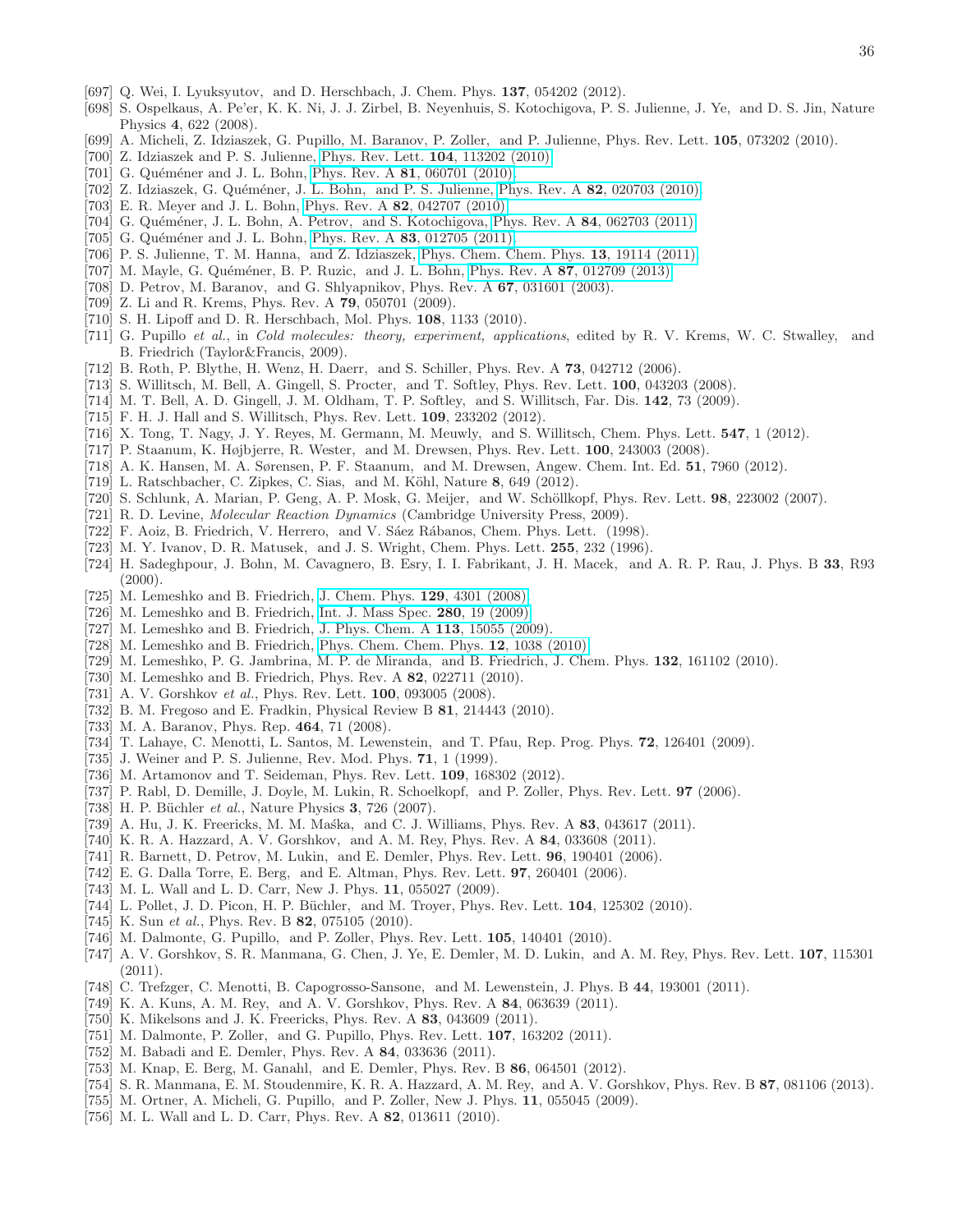- <span id="page-35-0"></span>[697] Q. Wei, I. Lyuksyutov, and D. Herschbach, J. Chem. Phys. 137, 054202 (2012).
- <span id="page-35-1"></span>[698] S. Ospelkaus, A. Pe'er, K. K. Ni, J. J. Zirbel, B. Neyenhuis, S. Kotochigova, P. S. Julienne, J. Ye, and D. S. Jin, Nature Physics 4, 622 (2008).
- <span id="page-35-2"></span>[699] A. Micheli, Z. Idziaszek, G. Pupillo, M. Baranov, P. Zoller, and P. Julienne, Phys. Rev. Lett. 105, 073202 (2010).
- [700] Z. Idziaszek and P. S. Julienne, [Phys. Rev. Lett.](http://dx.doi.org/10.1103/PhysRevLett.104.113202) 104, 113202 (2010).
- [701] G. Quéméner and J. L. Bohn, Phys. Rev. A 81[, 060701 \(2010\).](http://dx.doi.org/10.1103/PhysRevA.81.060701)
- [702] Z. Idziaszek, G. Quéméner, J. L. Bohn, and P. S. Julienne, Phys. Rev. A 82[, 020703 \(2010\).](http://dx.doi.org/10.1103/PhysRevA.82.020703)
- [703] E. R. Meyer and J. L. Bohn, Phys. Rev. A 82[, 042707 \(2010\).](http://dx.doi.org/10.1103/PhysRevA.82.042707)
- [704] G. Quéméner, J. L. Bohn, A. Petrov, and S. Kotochigova, Phys. Rev. A 84[, 062703 \(2011\).](http://dx.doi.org/10.1103/PhysRevA.84.062703)
- [705] G. Quéméner and J. L. Bohn, Phys. Rev. A 83[, 012705 \(2011\).](http://dx.doi.org/10.1103/PhysRevA.83.012705)
- [706] P. S. Julienne, T. M. Hanna, and Z. Idziaszek, [Phys. Chem. Chem. Phys.](http://dx.doi.org/10.1039/C1CP21270B) 13, 19114 (2011).
- <span id="page-35-3"></span>[707] M. Mayle, G. Quéméner, B. P. Ruzic, and J. L. Bohn, Phys. Rev. A 87[, 012709 \(2013\).](http://dx.doi.org/10.1103/PhysRevA.87.012709)
- <span id="page-35-4"></span>[708] D. Petrov, M. Baranov, and G. Shlyapnikov, Phys. Rev. A 67, 031601 (2003).
- <span id="page-35-5"></span>[709] Z. Li and R. Krems, Phys. Rev. A 79, 050701 (2009).
- <span id="page-35-6"></span>[710] S. H. Lipoff and D. R. Herschbach, Mol. Phys. 108, 1133 (2010).
- <span id="page-35-7"></span>[711] G. Pupillo *et al.*, in *Cold molecules: theory, experiment, applications*, edited by R. V. Krems, W. C. Stwalley, and B. Friedrich (Taylor&Francis, 2009).
- <span id="page-35-8"></span>[712] B. Roth, P. Blythe, H. Wenz, H. Daerr, and S. Schiller, Phys. Rev. A 73, 042712 (2006).
- [713] S. Willitsch, M. Bell, A. Gingell, S. Procter, and T. Softley, Phys. Rev. Lett. 100, 043203 (2008).
- [714] M. T. Bell, A. D. Gingell, J. M. Oldham, T. P. Softley, and S. Willitsch, Far. Dis. 142, 73 (2009).
- [715] F. H. J. Hall and S. Willitsch, Phys. Rev. Lett. 109, 233202 (2012).
- <span id="page-35-9"></span>[716] X. Tong, T. Nagy, J. Y. Reyes, M. Germann, M. Meuwly, and S. Willitsch, Chem. Phys. Lett. 547, 1 (2012).
- <span id="page-35-10"></span>[717] P. Staanum, K. Højbjerre, R. Wester, and M. Drewsen, Phys. Rev. Lett. 100, 243003 (2008).
- [718] A. K. Hansen, M. A. Sørensen, P. F. Staanum, and M. Drewsen, Angew. Chem. Int. Ed. 51, 7960 (2012).
- <span id="page-35-11"></span> $[719]$  L. Ratschbacher, C. Zipkes, C. Sias, and M. Köhl, Nature 8, 649 (2012).
- <span id="page-35-12"></span>[720] S. Schlunk, A. Marian, P. Geng, A. P. Mosk, G. Meijer, and W. Schöllkopf, Phys. Rev. Lett. 98, 223002 (2007).
- <span id="page-35-13"></span>[721] R. D. Levine, *Molecular Reaction Dynamics* (Cambridge University Press, 2009).
- <span id="page-35-14"></span>[722] F. Aoiz, B. Friedrich, V. Herrero, and V. Sáez Rábanos, Chem. Phys. Lett. (1998).
- <span id="page-35-15"></span>[723] M. Y. Ivanov, D. R. Matusek, and J. S. Wright, Chem. Phys. Lett. 255, 232 (1996).
- <span id="page-35-16"></span>[724] H. Sadeghpour, J. Bohn, M. Cavagnero, B. Esry, I. I. Fabrikant, J. H. Macek, and A. R. P. Rau, J. Phys. B 33, R93  $(2000).$
- <span id="page-35-17"></span>[725] M. Lemeshko and B. Friedrich, [J. Chem. Phys.](http://dx.doi.org/10.1063/1.2948392) 129, 4301 (2008).
- [726] M. Lemeshko and B. Friedrich, [Int. J. Mass Spec.](http://dx.doi.org/10.1016/j.ijms.2008.06.010) **280**, 19 (2009).
- <span id="page-35-18"></span>[727] M. Lemeshko and B. Friedrich, J. Phys. Chem. A 113, 15055 (2009).
- <span id="page-35-19"></span>[728] M. Lemeshko and B. Friedrich, [Phys. Chem. Chem. Phys.](http://dx.doi.org/10.1039/b920899b) 12, 1038 (2010).
- <span id="page-35-20"></span>[729] M. Lemeshko, P. G. Jambrina, M. P. de Miranda, and B. Friedrich, J. Chem. Phys. 132, 161102 (2010).
- <span id="page-35-21"></span>[730] M. Lemeshko and B. Friedrich, Phys. Rev. A 82, 022711 (2010).
- <span id="page-35-22"></span>[731] A. V. Gorshkov *et al.*, Phys. Rev. Lett. 100, 093005 (2008).
- [732] B. M. Fregoso and E. Fradkin, Physical Review B 81, 214443 (2010).
- <span id="page-35-30"></span>[733] M. A. Baranov, Phys. Rep. 464, 71 (2008).
- <span id="page-35-23"></span>[734] T. Lahaye, C. Menotti, L. Santos, M. Lewenstein, and T. Pfau, Rep. Prog. Phys. 72, 126401 (2009).
- <span id="page-35-24"></span>[735] J. Weiner and P. S. Julienne, Rev. Mod. Phys. **71**, 1 (1999).
- <span id="page-35-25"></span>[736] M. Artamonov and T. Seideman, Phys. Rev. Lett. 109, 168302 (2012).
- <span id="page-35-26"></span>[737] P. Rabl, D. Demille, J. Doyle, M. Lukin, R. Schoelkopf, and P. Zoller, Phys. Rev. Lett. 97 (2006).
- <span id="page-35-27"></span>[738] H. P. Büchler *et al.*, Nature Physics **3**, 726 (2007).
- <span id="page-35-28"></span>[739] A. Hu, J. K. Freericks, M. M. Maska, and C. J. Williams, Phys. Rev. A 83, 043617 (2011).
- <span id="page-35-29"></span>[740] K. R. A. Hazzard, A. V. Gorshkov, and A. M. Rey, Phys. Rev. A 84, 033608 (2011).
- <span id="page-35-31"></span>[741] R. Barnett, D. Petrov, M. Lukin, and E. Demler, Phys. Rev. Lett. 96, 190401 (2006).
- [742] E. G. Dalla Torre, E. Berg, and E. Altman, Phys. Rev. Lett. 97, 260401 (2006).
- [743] M. L. Wall and L. D. Carr, New J. Phys. 11, 055027 (2009).
- [744] L. Pollet, J. D. Picon, H. P. Büchler, and M. Troyer, Phys. Rev. Lett. 104, 125302 (2010).
- [745] K. Sun *et al.*, Phys. Rev. B 82, 075105 (2010).
- [746] M. Dalmonte, G. Pupillo, and P. Zoller, Phys. Rev. Lett. 105, 140401 (2010).
- [747] A. V. Gorshkov, S. R. Manmana, G. Chen, J. Ye, E. Demler, M. D. Lukin, and A. M. Rey, Phys. Rev. Lett. 107, 115301  $(2011).$
- [748] C. Trefzger, C. Menotti, B. Capogrosso-Sansone, and M. Lewenstein, J. Phys. B 44, 193001 (2011).
- [749] K. A. Kuns, A. M. Rey, and A. V. Gorshkov, Phys. Rev. A 84, 063639 (2011).
- [750] K. Mikelsons and J. K. Freericks, Phys. Rev. A 83, 043609 (2011).
- [751] M. Dalmonte, P. Zoller, and G. Pupillo, Phys. Rev. Lett. 107, 163202 (2011).
- [752] M. Babadi and E. Demler, Phys. Rev. A 84, 033636 (2011).
- [753] M. Knap, E. Berg, M. Ganahl, and E. Demler, Phys. Rev. B 86, 064501 (2012).
- <span id="page-35-32"></span>[754] S. R. Manmana, E. M. Stoudenmire, K. R. A. Hazzard, A. M. Rey, and A. V. Gorshkov, Phys. Rev. B 87, 081106 (2013).
- <span id="page-35-33"></span>[755] M. Ortner, A. Micheli, G. Pupillo, and P. Zoller, New J. Phys. 11, 055045 (2009).
- <span id="page-35-34"></span>[756] M. L. Wall and L. D. Carr, Phys. Rev. A 82, 013611 (2010).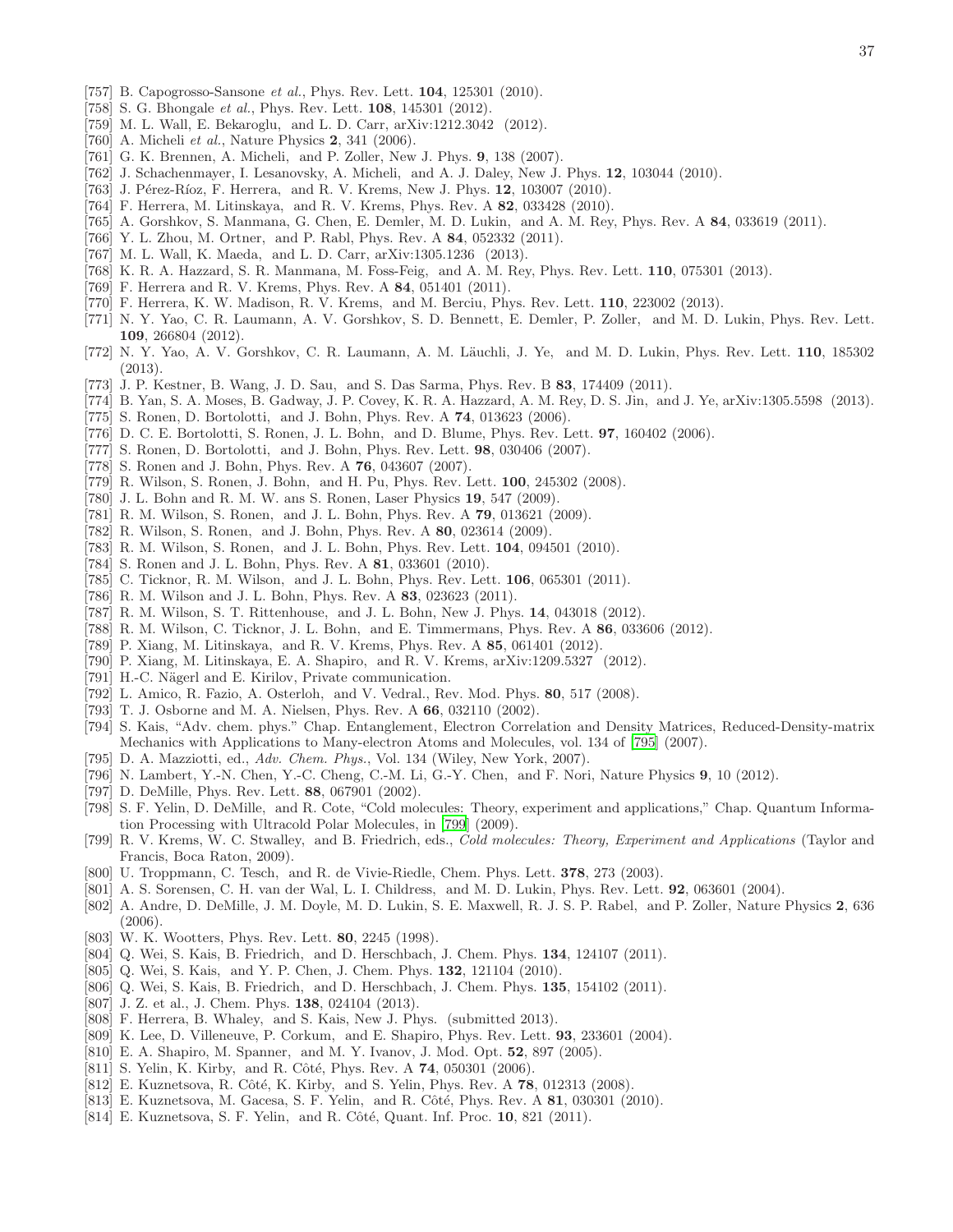- [757] B. Capogrosso-Sansone *et al.*, Phys. Rev. Lett. 104, 125301 (2010).
- [758] S. G. Bhongale *et al.*, Phys. Rev. Lett. 108, 145301 (2012).
- <span id="page-36-0"></span>[759] M. L. Wall, E. Bekaroglu, and L. D. Carr, arXiv:1212.3042 (2012).
- <span id="page-36-1"></span>[760] A. Micheli *et al.*, Nature Physics 2, 341 (2006).
- [761] G. K. Brennen, A. Micheli, and P. Zoller, New J. Phys. 9, 138 (2007).
- [762] J. Schachenmayer, I. Lesanovsky, A. Micheli, and A. J. Daley, New J. Phys. 12, 103044 (2010).
- [763] J. Pérez-Ríoz, F. Herrera, and R. V. Krems, New J. Phys. 12, 103007 (2010).
- [764] F. Herrera, M. Litinskaya, and R. V. Krems, Phys. Rev. A 82, 033428 (2010).
- [765] A. Gorshkov, S. Manmana, G. Chen, E. Demler, M. D. Lukin, and A. M. Rey, Phys. Rev. A 84, 033619 (2011).
- [766] Y. L. Zhou, M. Ortner, and P. Rabl, Phys. Rev. A 84, 052332 (2011).
- [767] M. L. Wall, K. Maeda, and L. D. Carr, arXiv:1305.1236 (2013).
- <span id="page-36-2"></span>[768] K. R. A. Hazzard, S. R. Manmana, M. Foss-Feig, and A. M. Rey, Phys. Rev. Lett. 110, 075301 (2013).
- <span id="page-36-3"></span>[769] F. Herrera and R. V. Krems, Phys. Rev. A 84, 051401 (2011).
- <span id="page-36-4"></span>[770] F. Herrera, K. W. Madison, R. V. Krems, and M. Berciu, Phys. Rev. Lett. 110, 223002 (2013).
- <span id="page-36-5"></span>[771] N. Y. Yao, C. R. Laumann, A. V. Gorshkov, S. D. Bennett, E. Demler, P. Zoller, and M. D. Lukin, Phys. Rev. Lett. 109, 266804 (2012).
- <span id="page-36-6"></span>[772] N. Y. Yao, A. V. Gorshkov, C. R. Laumann, A. M. Läuchli, J. Ye, and M. D. Lukin, Phys. Rev. Lett. 110, 185302 (2013).
- <span id="page-36-7"></span>[773] J. P. Kestner, B. Wang, J. D. Sau, and S. Das Sarma, Phys. Rev. B 83, 174409 (2011).
- <span id="page-36-8"></span>[774] B. Yan, S. A. Moses, B. Gadway, J. P. Covey, K. R. A. Hazzard, A. M. Rey, D. S. Jin, and J. Ye, arXiv:1305.5598 (2013).
- <span id="page-36-9"></span>[775] S. Ronen, D. Bortolotti, and J. Bohn, Phys. Rev. A 74, 013623 (2006).
- [776] D. C. E. Bortolotti, S. Ronen, J. L. Bohn, and D. Blume, Phys. Rev. Lett. 97, 160402 (2006).
- [777] S. Ronen, D. Bortolotti, and J. Bohn, Phys. Rev. Lett. 98, 030406 (2007).
- [778] S. Ronen and J. Bohn, Phys. Rev. A **76**, 043607 (2007).
- [779] R. Wilson, S. Ronen, J. Bohn, and H. Pu, Phys. Rev. Lett. 100, 245302 (2008).
- [780] J. L. Bohn and R. M. W. ans S. Ronen, Laser Physics 19, 547 (2009).
- [781] R. M. Wilson, S. Ronen, and J. L. Bohn, Phys. Rev. A 79, 013621 (2009).
- [782] R. Wilson, S. Ronen, and J. Bohn, Phys. Rev. A 80, 023614 (2009).
- [783] R. M. Wilson, S. Ronen, and J. L. Bohn, Phys. Rev. Lett. 104, 094501 (2010).
- [784] S. Ronen and J. L. Bohn, Phys. Rev. A 81, 033601 (2010).
- [785] C. Ticknor, R. M. Wilson, and J. L. Bohn, Phys. Rev. Lett. 106, 065301 (2011).
- [786] R. M. Wilson and J. L. Bohn, Phys. Rev. A 83, 023623 (2011).
- [787] R. M. Wilson, S. T. Rittenhouse, and J. L. Bohn, New J. Phys. 14, 043018 (2012).
- <span id="page-36-10"></span>[788] R. M. Wilson, C. Ticknor, J. L. Bohn, and E. Timmermans, Phys. Rev. A 86, 033606 (2012).
- <span id="page-36-11"></span>[789] P. Xiang, M. Litinskaya, and R. V. Krems, Phys. Rev. A 85, 061401 (2012).
- <span id="page-36-12"></span>[790] P. Xiang, M. Litinskaya, E. A. Shapiro, and R. V. Krems, arXiv:1209.5327 (2012).
- <span id="page-36-13"></span>[791] H.-C. Nägerl and E. Kirilov, Private communication.
- <span id="page-36-14"></span>[792] L. Amico, R. Fazio, A. Osterloh, and V. Vedral., Rev. Mod. Phys. 80, 517 (2008).
- [793] T. J. Osborne and M. A. Nielsen, Phys. Rev. A 66, 032110 (2002).
- <span id="page-36-23"></span>[794] S. Kais, "Adv. chem. phys." Chap. Entanglement, Electron Correlation and Density Matrices, Reduced-Density-matrix Mechanics with Applications to Many-electron Atoms and Molecules, vol. 134 of [\[795](#page-36-15)] (2007).
- <span id="page-36-15"></span>[795] D. A. Mazziotti, ed., *Adv. Chem. Phys.*, Vol. 134 (Wiley, New York, 2007).
- <span id="page-36-16"></span>[796] N. Lambert, Y.-N. Chen, Y.-C. Cheng, C.-M. Li, G.-Y. Chen, and F. Nori, Nature Physics 9, 10 (2012).
- <span id="page-36-17"></span>[797] D. DeMille, Phys. Rev. Lett. 88, 067901 (2002).
- <span id="page-36-18"></span>[798] S. F. Yelin, D. DeMille, and R. Cote, "Cold molecules: Theory, experiment and applications," Chap. Quantum Information Processing with Ultracold Polar Molecules, in [\[799](#page-36-19)] (2009).
- <span id="page-36-19"></span>[799] R. V. Krems, W. C. Stwalley, and B. Friedrich, eds., *Cold molecules: Theory, Experiment and Applications* (Taylor and Francis, Boca Raton, 2009).
- <span id="page-36-20"></span>[800] U. Troppmann, C. Tesch, and R. de Vivie-Riedle, Chem. Phys. Lett. 378, 273 (2003).
- <span id="page-36-21"></span>[801] A. S. Sorensen, C. H. van der Wal, L. I. Childress, and M. D. Lukin, Phys. Rev. Lett. 92, 063601 (2004).
- <span id="page-36-22"></span>[802] A. Andre, D. DeMille, J. M. Doyle, M. D. Lukin, S. E. Maxwell, R. J. S. P. Rabel, and P. Zoller, Nature Physics 2, 636 (2006).
- <span id="page-36-24"></span>[803] W. K. Wootters, Phys. Rev. Lett. **80**, 2245 (1998).
- <span id="page-36-25"></span>[804] Q. Wei, S. Kais, B. Friedrich, and D. Herschbach, J. Chem. Phys. 134, 124107 (2011).
- <span id="page-36-26"></span>[805] Q. Wei, S. Kais, and Y. P. Chen, J. Chem. Phys. 132, 121104 (2010).
- <span id="page-36-27"></span>[806] Q. Wei, S. Kais, B. Friedrich, and D. Herschbach, J. Chem. Phys. 135, 154102 (2011).
- <span id="page-36-28"></span>[807] J. Z. et al., J. Chem. Phys. **138**, 024104 (2013).
- <span id="page-36-29"></span>[808] F. Herrera, B. Whaley, and S. Kais, New J. Phys. (submitted 2013).
- <span id="page-36-30"></span>[809] K. Lee, D. Villeneuve, P. Corkum, and E. Shapiro, Phys. Rev. Lett. 93, 233601 (2004).
- <span id="page-36-31"></span>[810] E. A. Shapiro, M. Spanner, and M. Y. Ivanov, J. Mod. Opt. 52, 897 (2005).
- <span id="page-36-32"></span>[811] S. Yelin, K. Kirby, and R. Côté, Phys. Rev. A 74, 050301 (2006).
- <span id="page-36-33"></span>[812] E. Kuznetsova, R. Côté, K. Kirby, and S. Yelin, Phys. Rev. A 78, 012313 (2008).
- <span id="page-36-34"></span>[813] E. Kuznetsova, M. Gacesa, S. F. Yelin, and R. Côté, Phys. Rev. A 81, 030301 (2010).
- <span id="page-36-35"></span>[814] E. Kuznetsova, S. F. Yelin, and R. Côté, Quant. Inf. Proc. 10, 821 (2011).